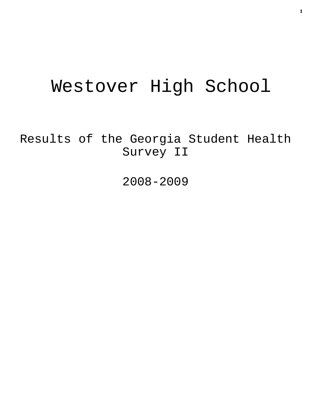# Westover High School

Results of the Georgia Student Health Survey II

2008-2009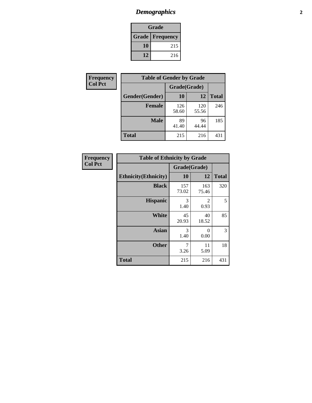# *Demographics* **2**

| Grade                  |     |  |  |  |
|------------------------|-----|--|--|--|
| <b>Grade Frequency</b> |     |  |  |  |
| 10                     | 215 |  |  |  |
| 12                     | 216 |  |  |  |

| Frequency      | <b>Table of Gender by Grade</b> |              |              |              |  |
|----------------|---------------------------------|--------------|--------------|--------------|--|
| <b>Col Pct</b> |                                 | Grade(Grade) |              |              |  |
|                | Gender(Gender)                  | 10           | 12           | <b>Total</b> |  |
|                | <b>Female</b>                   | 126<br>58.60 | 120<br>55.56 | 246          |  |
|                | <b>Male</b>                     | 89<br>41.40  | 96<br>44.44  | 185          |  |
|                | <b>Total</b>                    | 215          | 216          | 431          |  |

| <b>Frequency</b><br>Col Pct |
|-----------------------------|

| <b>Table of Ethnicity by Grade</b> |              |                  |              |  |  |  |
|------------------------------------|--------------|------------------|--------------|--|--|--|
|                                    | Grade(Grade) |                  |              |  |  |  |
| <b>Ethnicity</b> (Ethnicity)       | 10           | 12               | <b>Total</b> |  |  |  |
| <b>Black</b>                       | 157<br>73.02 | 163<br>75.46     | 320          |  |  |  |
| <b>Hispanic</b>                    | 3<br>1.40    | 2<br>0.93        | 5            |  |  |  |
| White                              | 45<br>20.93  | 40<br>18.52      | 85           |  |  |  |
| <b>Asian</b>                       | 3<br>1.40    | $\Omega$<br>0.00 | 3            |  |  |  |
| <b>Other</b>                       | 7<br>3.26    | 11<br>5.09       | 18           |  |  |  |
| <b>Total</b>                       | 215          | 216              | 431          |  |  |  |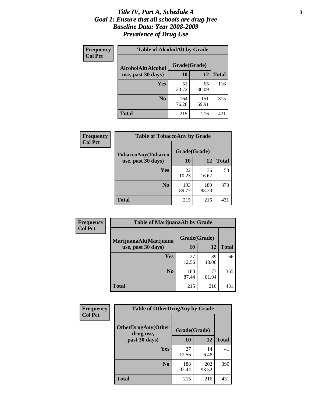#### *Title IV, Part A, Schedule A* **3** *Goal 1: Ensure that all schools are drug-free Baseline Data: Year 2008-2009 Prevalence of Drug Use*

| Frequency<br><b>Col Pct</b> | <b>Table of AlcoholAlt by Grade</b> |              |              |              |  |  |
|-----------------------------|-------------------------------------|--------------|--------------|--------------|--|--|
|                             | AlcoholAlt(Alcohol                  | Grade(Grade) |              |              |  |  |
|                             | use, past 30 days)                  | 10           | 12           | <b>Total</b> |  |  |
|                             | <b>Yes</b>                          | 51<br>23.72  | 65<br>30.09  | 116          |  |  |
|                             | N <sub>0</sub>                      | 164<br>76.28 | 151<br>69.91 | 315          |  |  |
|                             | <b>Total</b>                        | 215          | 216          | 431          |  |  |

| Frequency<br><b>Col Pct</b> | <b>Table of TobaccoAny by Grade</b> |              |              |              |  |  |
|-----------------------------|-------------------------------------|--------------|--------------|--------------|--|--|
|                             | <b>TobaccoAny(Tobacco</b>           | Grade(Grade) |              |              |  |  |
|                             | use, past 30 days)                  | 10           | 12           | <b>Total</b> |  |  |
|                             | Yes                                 | 22<br>10.23  | 36<br>16.67  | 58           |  |  |
|                             | N <sub>0</sub>                      | 193<br>89.77 | 180<br>83.33 | 373          |  |  |
|                             | <b>Total</b>                        | 215          | 216          | 431          |  |  |

| Frequency                                                      | <b>Table of MarijuanaAlt by Grade</b> |              |              |     |  |
|----------------------------------------------------------------|---------------------------------------|--------------|--------------|-----|--|
| <b>Col Pct</b><br>MarijuanaAlt(Marijuana<br>use, past 30 days) |                                       | Grade(Grade) |              |     |  |
|                                                                | 10                                    | 12           | <b>Total</b> |     |  |
|                                                                | Yes                                   | 27<br>12.56  | 39<br>18.06  | 66  |  |
|                                                                | N <sub>0</sub>                        | 188<br>87.44 | 177<br>81.94 | 365 |  |
|                                                                | <b>Total</b>                          | 215          | 216          | 431 |  |

| Frequency      | <b>Table of OtherDrugAny by Grade</b>  |              |              |              |  |
|----------------|----------------------------------------|--------------|--------------|--------------|--|
| <b>Col Pct</b> | <b>OtherDrugAny(Other</b><br>drug use, | Grade(Grade) |              |              |  |
|                | past 30 days)                          | 10           | 12           | <b>Total</b> |  |
|                | <b>Yes</b>                             | 27<br>12.56  | 14<br>6.48   | 41           |  |
|                | N <sub>0</sub>                         | 188<br>87.44 | 202<br>93.52 | 390          |  |
|                | <b>Total</b>                           | 215          | 216          | 431          |  |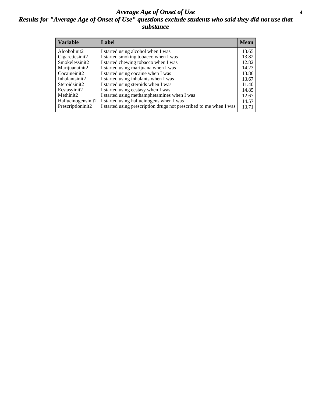#### *Average Age of Onset of Use* **4** *Results for "Average Age of Onset of Use" questions exclude students who said they did not use that substance*

| <b>Variable</b>    | Label                                                              | Mean  |
|--------------------|--------------------------------------------------------------------|-------|
| Alcoholinit2       | I started using alcohol when I was                                 | 13.65 |
| Cigarettesinit2    | I started smoking tobacco when I was                               | 13.82 |
| Smokelessinit2     | I started chewing tobacco when I was                               | 12.82 |
| Marijuanainit2     | I started using marijuana when I was                               | 14.23 |
| Cocaineinit2       | I started using cocaine when I was                                 | 13.86 |
| Inhalantsinit2     | I started using inhalants when I was                               | 13.67 |
| Steroidsinit2      | I started using steroids when I was                                | 11.40 |
| Ecstasyinit2       | I started using ecstasy when I was                                 | 14.85 |
| Methinit2          | I started using methamphetamines when I was                        | 12.67 |
| Hallucinogensinit2 | I started using hallucinogens when I was                           | 14.57 |
| Prescriptioninit2  | I started using prescription drugs not prescribed to me when I was | 13.71 |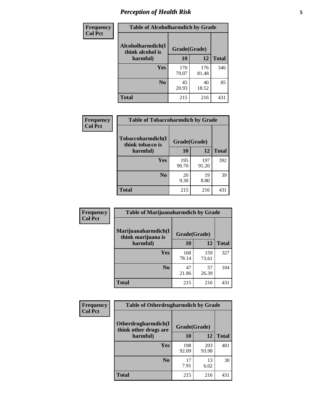# *Perception of Health Risk* **5**

| <b>Frequency</b> | <b>Table of Alcoholharmdich by Grade</b> |              |              |              |  |
|------------------|------------------------------------------|--------------|--------------|--------------|--|
| <b>Col Pct</b>   | Alcoholharmdich(I<br>think alcohol is    | Grade(Grade) |              |              |  |
|                  | harmful)                                 | 10           | 12           | <b>Total</b> |  |
|                  | <b>Yes</b>                               | 170<br>79.07 | 176<br>81.48 | 346          |  |
|                  | N <sub>0</sub>                           | 45<br>20.93  | 40<br>18.52  | 85           |  |
|                  | <b>Total</b>                             | 215          | 216          | 431          |  |

| Frequency      | <b>Table of Tobaccoharmdich by Grade</b> |              |              |              |  |
|----------------|------------------------------------------|--------------|--------------|--------------|--|
| <b>Col Pct</b> | Tobaccoharmdich(I<br>think tobacco is    | Grade(Grade) |              |              |  |
|                | harmful)                                 | 10           | 12           | <b>Total</b> |  |
|                | Yes                                      | 195<br>90.70 | 197<br>91.20 | 392          |  |
|                | N <sub>0</sub>                           | 20<br>9.30   | 19<br>8.80   | 39           |  |
|                | <b>Total</b>                             | 215          | 216          | 431          |  |

| Frequency      | <b>Table of Marijuanaharmdich by Grade</b> |              |              |              |  |  |
|----------------|--------------------------------------------|--------------|--------------|--------------|--|--|
| <b>Col Pct</b> | Marijuanaharmdich(I<br>think marijuana is  | Grade(Grade) |              |              |  |  |
|                | harmful)                                   | 10           | <b>12</b>    | <b>Total</b> |  |  |
|                | Yes                                        | 168<br>78.14 | 159<br>73.61 | 327          |  |  |
|                | N <sub>0</sub>                             | 47<br>21.86  | 57<br>26.39  | 104          |  |  |
|                | <b>Total</b>                               | 215          | 216          | 431          |  |  |

| Frequency      | <b>Table of Otherdrugharmdich by Grade</b>   |              |              |              |  |  |
|----------------|----------------------------------------------|--------------|--------------|--------------|--|--|
| <b>Col Pct</b> | Otherdrugharmdich(I<br>think other drugs are | Grade(Grade) |              |              |  |  |
|                | harmful)                                     | 10           | 12           | <b>Total</b> |  |  |
|                | <b>Yes</b>                                   | 198<br>92.09 | 203<br>93.98 | 401          |  |  |
|                | N <sub>0</sub>                               | 17<br>7.91   | 13<br>6.02   | 30           |  |  |
|                | <b>Total</b>                                 | 215          | 216          | 431          |  |  |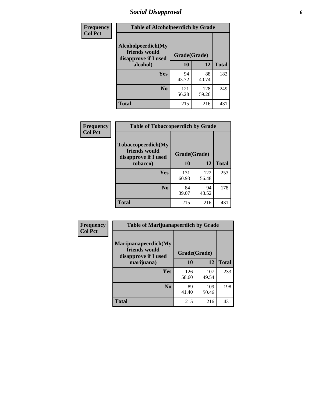# *Social Disapproval* **6**

| Frequency      | <b>Table of Alcoholpeerdich by Grade</b>                    |              |              |              |  |  |
|----------------|-------------------------------------------------------------|--------------|--------------|--------------|--|--|
| <b>Col Pct</b> | Alcoholpeerdich(My<br>friends would<br>disapprove if I used | Grade(Grade) |              |              |  |  |
|                | alcohol)                                                    | 10           | 12           | <b>Total</b> |  |  |
|                | <b>Yes</b>                                                  | 94<br>43.72  | 88<br>40.74  | 182          |  |  |
|                | N <sub>0</sub>                                              | 121<br>56.28 | 128<br>59.26 | 249          |  |  |
|                | <b>Total</b>                                                | 215          | 216          | 431          |  |  |

| <b>Frequency</b> |
|------------------|
| <b>Col Pct</b>   |

| <b>Table of Tobaccopeerdich by Grade</b>                           |              |              |              |  |  |
|--------------------------------------------------------------------|--------------|--------------|--------------|--|--|
| <b>Tobaccopeerdich(My</b><br>friends would<br>disapprove if I used | Grade(Grade) |              |              |  |  |
| tobacco)                                                           | 10           | 12           | <b>Total</b> |  |  |
| Yes                                                                | 131<br>60.93 | 122<br>56.48 | 253          |  |  |
| N <sub>0</sub>                                                     | 84<br>39.07  | 94<br>43.52  | 178          |  |  |
| Total                                                              | 215          | 216          | 431          |  |  |

| Frequency      | <b>Table of Marijuanapeerdich by Grade</b>                    |              |              |              |  |
|----------------|---------------------------------------------------------------|--------------|--------------|--------------|--|
| <b>Col Pct</b> | Marijuanapeerdich(My<br>friends would<br>disapprove if I used | Grade(Grade) |              |              |  |
|                | marijuana)                                                    | 10           | 12           | <b>Total</b> |  |
|                | <b>Yes</b>                                                    | 126<br>58.60 | 107<br>49.54 | 233          |  |
|                | N <sub>0</sub>                                                | 89<br>41.40  | 109<br>50.46 | 198          |  |
|                | <b>Total</b>                                                  | 215          | 216          | 431          |  |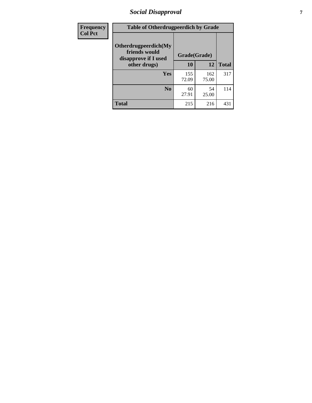# *Social Disapproval* **7**

| Frequency      | <b>Table of Otherdrugpeerdich by Grade</b>                    |              |              |              |  |
|----------------|---------------------------------------------------------------|--------------|--------------|--------------|--|
| <b>Col Pct</b> | Otherdrugpeerdich(My<br>friends would<br>disapprove if I used | Grade(Grade) |              |              |  |
|                | other drugs)                                                  | 10           | 12           | <b>Total</b> |  |
|                | <b>Yes</b>                                                    | 155<br>72.09 | 162<br>75.00 | 317          |  |
|                | N <sub>0</sub>                                                | 60<br>27.91  | 54<br>25.00  | 114          |  |
|                | <b>Total</b>                                                  | 215          | 216          | 431          |  |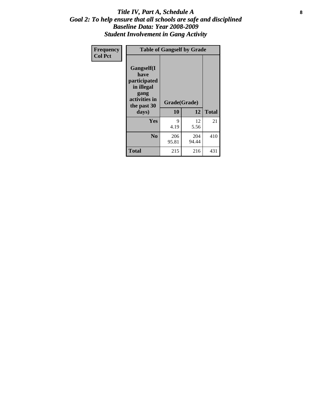### Title IV, Part A, Schedule A **8** *Goal 2: To help ensure that all schools are safe and disciplined Baseline Data: Year 2008-2009 Student Involvement in Gang Activity*

| Frequency      | <b>Table of Gangself by Grade</b>                                                                 |                    |              |              |  |
|----------------|---------------------------------------------------------------------------------------------------|--------------------|--------------|--------------|--|
| <b>Col Pct</b> | Gangself(I<br>have<br>participated<br>in illegal<br>gang<br>activities in<br>the past 30<br>days) | Grade(Grade)<br>10 | 12           | <b>Total</b> |  |
|                | Yes                                                                                               | 9<br>4.19          | 12<br>5.56   | 21           |  |
|                | N <sub>0</sub>                                                                                    | 206<br>95.81       | 204<br>94.44 | 410          |  |
|                | <b>Total</b>                                                                                      | 215                | 216          | 431          |  |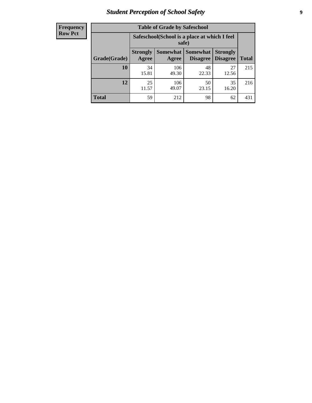# *Student Perception of School Safety* **9**

| <b>Frequency</b><br>Row Pct |
|-----------------------------|
|                             |

| <b>Table of Grade by Safeschool</b> |                          |                                                        |                             |                                    |              |  |
|-------------------------------------|--------------------------|--------------------------------------------------------|-----------------------------|------------------------------------|--------------|--|
|                                     |                          | Safeschool (School is a place at which I feel<br>safe) |                             |                                    |              |  |
| Grade(Grade)                        | <b>Strongly</b><br>Agree | <b>Somewhat</b><br>Agree                               | <b>Somewhat</b><br>Disagree | <b>Strongly</b><br><b>Disagree</b> | <b>Total</b> |  |
| 10                                  | 34<br>15.81              | 106<br>49.30                                           | 48<br>22.33                 | 27<br>12.56                        | 215          |  |
| 12                                  | 25<br>11.57              | 106<br>49.07                                           | 50<br>23.15                 | 35<br>16.20                        | 216          |  |
| <b>Total</b>                        | 59                       | 212                                                    | 98                          | 62                                 | 431          |  |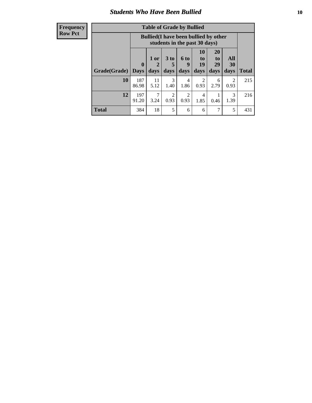### *Students Who Have Been Bullied* **10**

#### **Frequency Row Pct**

| <b>Table of Grade by Bullied</b> |                    |                                                                               |                              |                          |                        |                        |                       |              |
|----------------------------------|--------------------|-------------------------------------------------------------------------------|------------------------------|--------------------------|------------------------|------------------------|-----------------------|--------------|
|                                  |                    | <b>Bullied</b> (I have been bullied by other<br>students in the past 30 days) |                              |                          |                        |                        |                       |              |
| Grade(Grade)                     | $\bf{0}$<br>  Davs | 1 or<br>2<br>days                                                             | 3 <sub>to</sub><br>5<br>days | <b>6 to</b><br>9<br>days | 10<br>to<br>19<br>days | 20<br>to<br>29<br>days | All<br>30<br>days     | <b>Total</b> |
| 10                               | 187<br>86.98       | 11<br>5.12                                                                    | 3<br>1.40                    | 4<br>1.86                | 2<br>0.93              | 6<br>2.79              | $\mathcal{D}$<br>0.93 | 215          |
| 12                               | 197<br>91.20       | 7<br>3.24                                                                     | $\overline{2}$<br>0.93       | 2<br>0.93                | 4<br>1.85              | 0.46                   | 3<br>1.39             | 216          |
| <b>Total</b>                     | 384                | 18                                                                            | 5                            | 6                        | 6                      | 7                      | 5                     | 431          |

 $\blacksquare$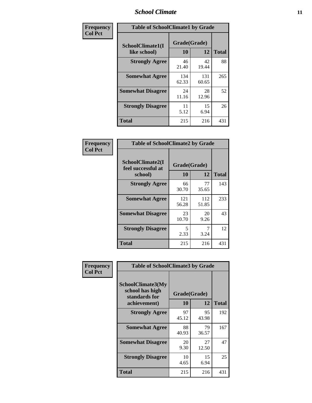### *School Climate* **11**

| Frequency      | <b>Table of SchoolClimate1 by Grade</b> |                    |              |              |  |
|----------------|-----------------------------------------|--------------------|--------------|--------------|--|
| <b>Col Pct</b> | SchoolClimate1(I<br>like school)        | Grade(Grade)<br>10 | 12           | <b>Total</b> |  |
|                | <b>Strongly Agree</b>                   | 46<br>21.40        | 42<br>19.44  | 88           |  |
|                | <b>Somewhat Agree</b>                   | 134<br>62.33       | 131<br>60.65 | 265          |  |
|                | <b>Somewhat Disagree</b>                | 24<br>11.16        | 28<br>12.96  | 52           |  |
|                | <b>Strongly Disagree</b>                | 11<br>5.12         | 15<br>6.94   | 26           |  |
|                | <b>Total</b>                            | 215                | 216          | 431          |  |

| Frequency<br>Col Pct |
|----------------------|

| <b>Table of SchoolClimate2 by Grade</b>           |                    |              |              |  |
|---------------------------------------------------|--------------------|--------------|--------------|--|
| SchoolClimate2(I<br>feel successful at<br>school) | Grade(Grade)<br>10 | 12           | <b>Total</b> |  |
| <b>Strongly Agree</b>                             | 66<br>30.70        | 77<br>35.65  | 143          |  |
| <b>Somewhat Agree</b>                             | 121<br>56.28       | 112<br>51.85 | 233          |  |
| <b>Somewhat Disagree</b>                          | 23<br>10.70        | 20<br>9.26   | 43           |  |
| <b>Strongly Disagree</b>                          | 5<br>2.33          | 7<br>3.24    | 12           |  |
| <b>Total</b>                                      | 215                | 216          | 431          |  |

| Frequency      | <b>Table of SchoolClimate3 by Grade</b>                      |              |             |              |  |
|----------------|--------------------------------------------------------------|--------------|-------------|--------------|--|
| <b>Col Pct</b> | <b>SchoolClimate3(My</b><br>school has high<br>standards for | Grade(Grade) |             |              |  |
|                | achievement)                                                 | <b>10</b>    | 12          | <b>Total</b> |  |
|                | <b>Strongly Agree</b>                                        | 97<br>45.12  | 95<br>43.98 | 192          |  |
|                | <b>Somewhat Agree</b>                                        | 88<br>40.93  | 79<br>36.57 | 167          |  |
|                | <b>Somewhat Disagree</b>                                     | 20<br>9.30   | 27<br>12.50 | 47           |  |
|                | <b>Strongly Disagree</b>                                     | 10<br>4.65   | 15<br>6.94  | 25           |  |
|                | Total                                                        | 215          | 216         | 431          |  |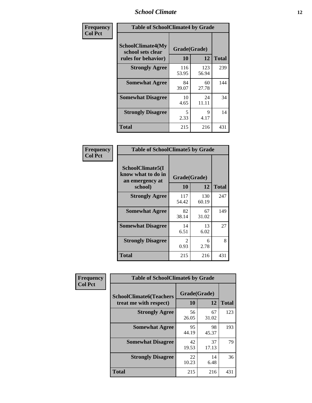### *School Climate* **12**

| Frequency      | <b>Table of SchoolClimate4 by Grade</b>                              |                    |              |              |
|----------------|----------------------------------------------------------------------|--------------------|--------------|--------------|
| <b>Col Pct</b> | <b>SchoolClimate4(My</b><br>school sets clear<br>rules for behavior) | Grade(Grade)<br>10 | 12           | <b>Total</b> |
|                | <b>Strongly Agree</b>                                                | 116<br>53.95       | 123<br>56.94 | 239          |
|                | <b>Somewhat Agree</b>                                                | 84<br>39.07        | 60<br>27.78  | 144          |
|                | <b>Somewhat Disagree</b>                                             | 10<br>4.65         | 24<br>11.11  | 34           |
|                | <b>Strongly Disagree</b>                                             | 5<br>2.33          | 9<br>4.17    | 14           |
|                | <b>Total</b>                                                         | 215                | 216          | 431          |

| <b>Table of SchoolClimate5 by Grade</b>                              |                    |             |              |  |
|----------------------------------------------------------------------|--------------------|-------------|--------------|--|
| SchoolClimate5(I<br>know what to do in<br>an emergency at<br>school) | Grade(Grade)<br>10 | 12          | <b>Total</b> |  |
| <b>Strongly Agree</b>                                                | 117                | 130         | 247          |  |
|                                                                      | 54.42              | 60.19       |              |  |
| <b>Somewhat Agree</b>                                                | 82<br>38.14        | 67<br>31.02 | 149          |  |
| <b>Somewhat Disagree</b>                                             | 14<br>6.51         | 13<br>6.02  | 27           |  |
| <b>Strongly Disagree</b>                                             | 2<br>0.93          | 6<br>2.78   | 8            |  |
| Total                                                                | 215                | 216         | 431          |  |

| Frequency      | <b>Table of SchoolClimate6 by Grade</b>                  |                    |             |              |
|----------------|----------------------------------------------------------|--------------------|-------------|--------------|
| <b>Col Pct</b> | <b>SchoolClimate6(Teachers</b><br>treat me with respect) | Grade(Grade)<br>10 | 12          | <b>Total</b> |
|                | <b>Strongly Agree</b>                                    | 56<br>26.05        | 67<br>31.02 | 123          |
|                | <b>Somewhat Agree</b>                                    | 95<br>44.19        | 98<br>45.37 | 193          |
|                | <b>Somewhat Disagree</b>                                 | 42<br>19.53        | 37<br>17.13 | 79           |
|                | <b>Strongly Disagree</b>                                 | 22<br>10.23        | 14<br>6.48  | 36           |
|                | <b>Total</b>                                             | 215                | 216         | 431          |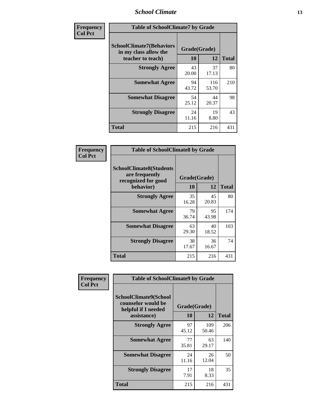### *School Climate* **13**

| Frequency      | <b>Table of SchoolClimate7 by Grade</b>                                       |                    |              |              |
|----------------|-------------------------------------------------------------------------------|--------------------|--------------|--------------|
| <b>Col Pct</b> | <b>SchoolClimate7(Behaviors</b><br>in my class allow the<br>teacher to teach) | Grade(Grade)<br>10 | 12           | <b>Total</b> |
|                | <b>Strongly Agree</b>                                                         | 43<br>20.00        | 37<br>17.13  | 80           |
|                | <b>Somewhat Agree</b>                                                         | 94<br>43.72        | 116<br>53.70 | 210          |
|                | <b>Somewhat Disagree</b>                                                      | 54<br>25.12        | 44<br>20.37  | 98           |
|                | <b>Strongly Disagree</b>                                                      | 24<br>11.16        | 19<br>8.80   | 43           |
|                | <b>Total</b>                                                                  | 215                | 216          | 431          |

| Frequency      | <b>Table of SchoolClimate8 by Grade</b>                                              |                    |             |              |
|----------------|--------------------------------------------------------------------------------------|--------------------|-------------|--------------|
| <b>Col Pct</b> | <b>SchoolClimate8(Students</b><br>are frequently<br>recognized for good<br>behavior) | Grade(Grade)<br>10 | 12          | <b>Total</b> |
|                | <b>Strongly Agree</b>                                                                | 35<br>16.28        | 45<br>20.83 | 80           |
|                | <b>Somewhat Agree</b>                                                                | 79<br>36.74        | 95<br>43.98 | 174          |
|                | <b>Somewhat Disagree</b>                                                             | 63<br>29.30        | 40<br>18.52 | 103          |
|                | <b>Strongly Disagree</b>                                                             | 38<br>17.67        | 36<br>16.67 | 74           |
|                | <b>Total</b>                                                                         | 215                | 216         | 431          |

| Frequency      | <b>Table of SchoolClimate9 by Grade</b>                                           |                    |              |              |
|----------------|-----------------------------------------------------------------------------------|--------------------|--------------|--------------|
| <b>Col Pct</b> | SchoolClimate9(School<br>counselor would be<br>helpful if I needed<br>assistance) | Grade(Grade)<br>10 | 12           | <b>Total</b> |
|                | <b>Strongly Agree</b>                                                             | 97<br>45.12        | 109<br>50.46 | 206          |
|                | <b>Somewhat Agree</b>                                                             | 77<br>35.81        | 63<br>29.17  | 140          |
|                | <b>Somewhat Disagree</b>                                                          | 24<br>11.16        | 26<br>12.04  | 50           |
|                | <b>Strongly Disagree</b>                                                          | 17<br>7.91         | 18<br>8.33   | 35           |
|                | <b>Total</b>                                                                      | 215                | 216          | 431          |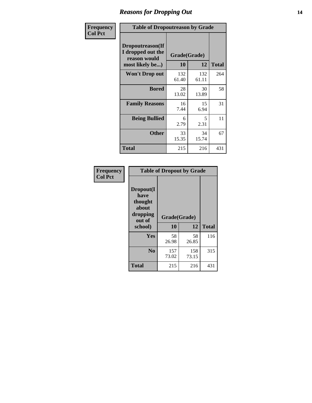### *Reasons for Dropping Out* **14**

| Frequency      | <b>Table of Dropoutreason by Grade</b>                                   |                    |              |              |
|----------------|--------------------------------------------------------------------------|--------------------|--------------|--------------|
| <b>Col Pct</b> | Dropoutreason(If<br>I dropped out the<br>reason would<br>most likely be) | Grade(Grade)<br>10 | 12           | <b>Total</b> |
|                | <b>Won't Drop out</b>                                                    | 132<br>61.40       | 132<br>61.11 | 264          |
|                | <b>Bored</b>                                                             | 28<br>13.02        | 30<br>13.89  | 58           |
|                | <b>Family Reasons</b>                                                    | 16<br>7.44         | 15<br>6.94   | 31           |
|                | <b>Being Bullied</b>                                                     | 6<br>2.79          | 5<br>2.31    | 11           |
|                | <b>Other</b>                                                             | 33<br>15.35        | 34<br>15.74  | 67           |
|                | <b>Total</b>                                                             | 215                | 216          | 431          |

| Frequency<br><b>Col Pct</b> | <b>Table of Dropout by Grade</b>                                            |             |             |              |  |
|-----------------------------|-----------------------------------------------------------------------------|-------------|-------------|--------------|--|
|                             | Dropout(I<br>have<br>thought<br>about<br>dropping<br>Grade(Grade)<br>out of |             |             |              |  |
|                             | school)                                                                     | 10          | 12          | <b>Total</b> |  |
|                             | Yes                                                                         | 58<br>26.98 | 58<br>26.85 | 116          |  |
|                             | N <sub>0</sub>                                                              | 157         | 158         | 315          |  |
|                             |                                                                             | 73.02       | 73.15       |              |  |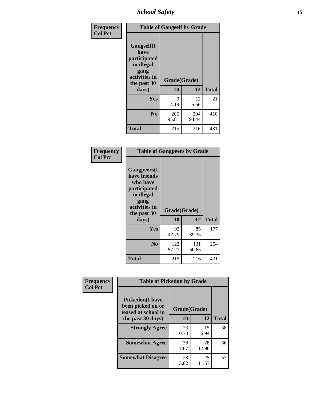*School Safety* **15**

| Frequency      | <b>Table of Gangself by Grade</b>                                                                 |                          |              |              |
|----------------|---------------------------------------------------------------------------------------------------|--------------------------|--------------|--------------|
| <b>Col Pct</b> | Gangself(I<br>have<br>participated<br>in illegal<br>gang<br>activities in<br>the past 30<br>days) | Grade(Grade)<br>10<br>12 |              | <b>Total</b> |
|                | Yes                                                                                               | 9<br>4.19                | 12<br>5.56   | 21           |
|                | N <sub>0</sub>                                                                                    | 206<br>95.81             | 204<br>94.44 | 410          |
|                | <b>Total</b>                                                                                      | 215                      | 216          | 431          |

| Frequency<br><b>Col Pct</b> | <b>Table of Gangpeers by Grade</b>                                                                                             |                    |              |              |
|-----------------------------|--------------------------------------------------------------------------------------------------------------------------------|--------------------|--------------|--------------|
|                             | <b>Gangpeers</b> (I<br>have friends<br>who have<br>participated<br>in illegal<br>gang<br>activities in<br>the past 30<br>days) | Grade(Grade)<br>10 | 12           | <b>Total</b> |
|                             | <b>Yes</b>                                                                                                                     | 92<br>42.79        | 85<br>39.35  | 177          |
|                             | N <sub>0</sub>                                                                                                                 | 123<br>57.21       | 131<br>60.65 | 254          |
|                             | <b>Total</b>                                                                                                                   | 215                | 216          | 431          |

| Frequency      | <b>Table of Pickedon by Grade</b>                                  |              |             |              |  |  |  |  |  |
|----------------|--------------------------------------------------------------------|--------------|-------------|--------------|--|--|--|--|--|
| <b>Col Pct</b> | <b>Pickedon(I have</b><br>been picked on or<br>teased at school in | Grade(Grade) |             |              |  |  |  |  |  |
|                | the past 30 days)                                                  | 10           | 12          | <b>Total</b> |  |  |  |  |  |
|                | <b>Strongly Agree</b>                                              | 23<br>10.70  | 15<br>6.94  | 38           |  |  |  |  |  |
|                | <b>Somewhat Agree</b>                                              | 38<br>17.67  | 28<br>12.96 | 66           |  |  |  |  |  |
|                | <b>Somewhat Disagree</b>                                           | 28<br>13.02  | 25<br>11.57 | 53           |  |  |  |  |  |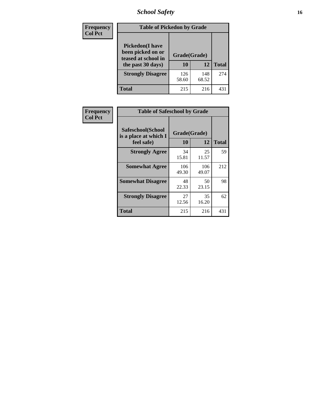# *School Safety* **16**

| <b>Frequency</b> | <b>Table of Pickedon by Grade</b>                                                        |                    |              |              |
|------------------|------------------------------------------------------------------------------------------|--------------------|--------------|--------------|
| <b>Col Pct</b>   | <b>Pickedon</b> (I have<br>been picked on or<br>teased at school in<br>the past 30 days) | Grade(Grade)<br>10 | 12           | <b>Total</b> |
|                  | <b>Strongly Disagree</b>                                                                 | 126<br>58.60       | 148<br>68.52 | 274          |
|                  | Total                                                                                    | 215                | 216          | 43           |

| Frequency      |                                                          | <b>Table of Safeschool by Grade</b> |              |              |  |  |  |  |  |  |  |
|----------------|----------------------------------------------------------|-------------------------------------|--------------|--------------|--|--|--|--|--|--|--|
| <b>Col Pct</b> | Safeschool(School<br>is a place at which I<br>feel safe) | Grade(Grade)<br>10                  | 12           | <b>Total</b> |  |  |  |  |  |  |  |
|                | <b>Strongly Agree</b>                                    | 34<br>15.81                         | 25<br>11.57  | 59           |  |  |  |  |  |  |  |
|                | <b>Somewhat Agree</b>                                    | 106<br>49.30                        | 106<br>49.07 | 212          |  |  |  |  |  |  |  |
|                | <b>Somewhat Disagree</b>                                 | 48<br>22.33                         | 50<br>23.15  | 98           |  |  |  |  |  |  |  |
|                | <b>Strongly Disagree</b>                                 | 27<br>12.56                         | 35<br>16.20  | 62           |  |  |  |  |  |  |  |
|                | <b>Total</b>                                             | 215                                 | 216          | 431          |  |  |  |  |  |  |  |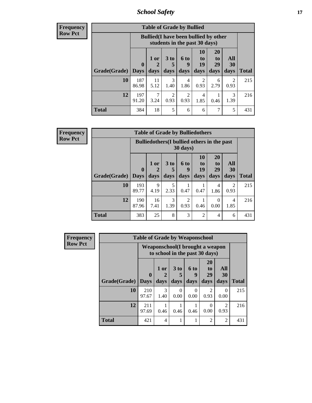*School Safety* **17**

| <b>Frequency</b> |
|------------------|
| Row Pct          |

| <b>Table of Grade by Bullied</b> |                    |                                                                               |                        |           |                |                |                        |                     |  |  |  |  |
|----------------------------------|--------------------|-------------------------------------------------------------------------------|------------------------|-----------|----------------|----------------|------------------------|---------------------|--|--|--|--|
|                                  |                    | <b>Bullied</b> (I have been bullied by other<br>students in the past 30 days) |                        |           |                |                |                        |                     |  |  |  |  |
|                                  | $\bf{0}$           | $1$ or                                                                        | 3 <sub>to</sub><br>5   | 6 to<br>9 | 10<br>to<br>19 | 20<br>to<br>29 | All<br>30              |                     |  |  |  |  |
| Grade(Grade)<br>10               | <b>Days</b><br>187 | days<br>11                                                                    | days<br>3              | days<br>4 | days           | days<br>6      | days<br>$\mathfrak{D}$ | <b>Total</b><br>215 |  |  |  |  |
|                                  | 86.98              | 5.12                                                                          | 1.40                   | 1.86      | 0.93           | 2.79           | 0.93                   |                     |  |  |  |  |
| 12                               | 197<br>91.20       | 3.24                                                                          | $\overline{2}$<br>0.93 | 2<br>0.93 | 4<br>1.85      | 0.46           | 3<br>1.39              | 216                 |  |  |  |  |
| Total                            | 384                | 18                                                                            | 5                      | 6         | 6              | 7              | 5                      | 431                 |  |  |  |  |

| Frequency      |              | <b>Table of Grade by Bulliedothers</b>                         |            |           |                        |                |                       |           |              |  |  |  |  |  |
|----------------|--------------|----------------------------------------------------------------|------------|-----------|------------------------|----------------|-----------------------|-----------|--------------|--|--|--|--|--|
| <b>Row Pct</b> |              | <b>Bulliedothers</b> (I bullied others in the past<br>30 days) |            |           |                        |                |                       |           |              |  |  |  |  |  |
|                |              | $\mathbf{0}$                                                   | 1 or       | 3 to      | 6 to<br>9              | 10<br>to<br>19 | <b>20</b><br>to<br>29 | All<br>30 |              |  |  |  |  |  |
|                | Grade(Grade) | <b>Days</b>                                                    | days       | days      | days                   | days           | days                  | days      | <b>Total</b> |  |  |  |  |  |
|                | 10           | 193<br>89.77                                                   | 9<br>4.19  | 2.33      | 0.47                   | 0.47           | 4<br>1.86             | 2<br>0.93 | 215          |  |  |  |  |  |
|                | 12           | 190<br>87.96                                                   | 16<br>7.41 | 3<br>1.39 | $\mathfrak{D}$<br>0.93 | 0.46           | $\mathbf{0}$<br>0.00  | 4<br>1.85 | 216          |  |  |  |  |  |
|                | <b>Total</b> | 383                                                            | 25         | 8         | 3                      | $\overline{2}$ | 4                     | 6         | 431          |  |  |  |  |  |

| <b>Frequency</b> |              | <b>Table of Grade by Weaponschool</b> |                                                                    |                  |                   |                                           |                        |              |  |  |  |  |
|------------------|--------------|---------------------------------------|--------------------------------------------------------------------|------------------|-------------------|-------------------------------------------|------------------------|--------------|--|--|--|--|
| <b>Row Pct</b>   |              |                                       | Weaponschool (I brought a weapon<br>to school in the past 30 days) |                  |                   |                                           |                        |              |  |  |  |  |
|                  | Grade(Grade) | $\mathbf{0}$<br><b>Days</b>           | 1 or<br>days                                                       | 3 to<br>days     | 6 to<br>9<br>days | <b>20</b><br>t <sub>0</sub><br>29<br>days | All<br>30<br>days      | <b>Total</b> |  |  |  |  |
|                  | 10           | 210<br>97.67                          | $\mathcal{E}$<br>1.40                                              | $\Omega$<br>0.00 | 0<br>0.00         | $\mathcal{D}_{\mathcal{L}}$<br>0.93       | $\Omega$<br>0.00       | 215          |  |  |  |  |
|                  | 12           | 211<br>97.69                          | 0.46                                                               | 0.46             | 0.46              | 0<br>0.00                                 | $\mathfrak{D}$<br>0.93 | 216          |  |  |  |  |
|                  | <b>Total</b> | 421                                   | $\overline{4}$                                                     |                  |                   | $\mathfrak{D}$                            | $\overline{2}$         | 431          |  |  |  |  |

Ŧ.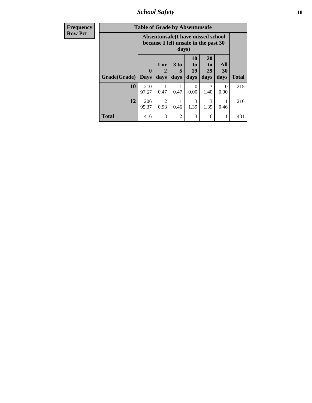*School Safety* **18**

| <b>Frequency</b> | <b>Table of Grade by Absentunsafe</b> |                                                                           |                        |                   |                        |                                    |                   |              |  |  |
|------------------|---------------------------------------|---------------------------------------------------------------------------|------------------------|-------------------|------------------------|------------------------------------|-------------------|--------------|--|--|
| <b>Row Pct</b>   |                                       | Absentunsafe(I have missed school<br>because I felt unsafe in the past 30 |                        |                   |                        |                                    |                   |              |  |  |
|                  | Grade(Grade)                          | $\mathbf 0$<br><b>Days</b>                                                | 1 or<br>2<br>days      | 3 to<br>5<br>days | 10<br>to<br>19<br>days | 20<br>t <sub>0</sub><br>29<br>days | All<br>30<br>days | <b>Total</b> |  |  |
|                  | 10                                    | 210<br>97.67                                                              | 0.47                   | 0.47              | 0<br>0.00              | 3<br>1.40                          | $\Omega$<br>0.00  | 215          |  |  |
|                  | 12                                    | 206<br>95.37                                                              | $\mathfrak{D}$<br>0.93 | 0.46              | 3<br>1.39              | 3<br>1.39                          | 0.46              | 216          |  |  |
|                  | <b>Total</b>                          | 416                                                                       | 3                      | $\overline{2}$    | 3                      | 6                                  | 1                 | 431          |  |  |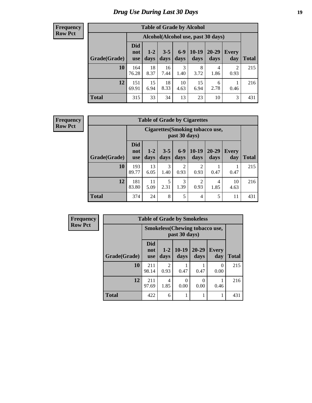# *Drug Use During Last 30 Days* **19**

#### **Frequency Row Pct**

| <b>Table of Grade by Alcohol</b> |                                 |                                    |                 |                 |                 |                   |              |              |  |  |  |
|----------------------------------|---------------------------------|------------------------------------|-----------------|-----------------|-----------------|-------------------|--------------|--------------|--|--|--|
|                                  |                                 | Alcohol(Alcohol use, past 30 days) |                 |                 |                 |                   |              |              |  |  |  |
| Grade(Grade)                     | <b>Did</b><br>not<br><b>use</b> | $1 - 2$<br>days                    | $3 - 5$<br>days | $6 - 9$<br>days | $10-19$<br>days | $20 - 29$<br>days | Every<br>day | <b>Total</b> |  |  |  |
| 10                               | 164<br>76.28                    | 18<br>8.37                         | 16<br>7.44      | 3<br>1.40       | 8<br>3.72       | 4<br>1.86         | 2<br>0.93    | 215          |  |  |  |
| 12                               | 151<br>69.91                    | 15<br>6.94                         | 18<br>8.33      | 10<br>4.63      | 15<br>6.94      | 6<br>2.78         | 0.46         | 216          |  |  |  |
| <b>Total</b>                     | 315                             | 33                                 | 34              | 13              | 23              | 10                | 3            | 431          |  |  |  |

#### **Frequency Row Pct**

| <b>Table of Grade by Cigarettes</b> |                                 |                                                   |                 |               |                        |                   |                     |       |  |  |  |
|-------------------------------------|---------------------------------|---------------------------------------------------|-----------------|---------------|------------------------|-------------------|---------------------|-------|--|--|--|
|                                     |                                 | Cigarettes (Smoking tobacco use,<br>past 30 days) |                 |               |                        |                   |                     |       |  |  |  |
| Grade(Grade)                        | <b>Did</b><br>not<br><b>use</b> | $1-2$<br>days                                     | $3 - 5$<br>days | $6-9$<br>days | $10-19$<br>days        | $20 - 29$<br>days | <b>Every</b><br>day | Total |  |  |  |
| 10                                  | 193<br>89.77                    | 13<br>6.05                                        | 3<br>1.40       | 2<br>0.93     | 2<br>0.93              | 0.47              | 0.47                | 215   |  |  |  |
| 12                                  | 181<br>83.80                    | 11<br>5.09                                        | 5<br>2.31       | 3<br>1.39     | $\overline{2}$<br>0.93 | 4<br>1.85         | 10<br>4.63          | 216   |  |  |  |
| <b>Total</b>                        | 374                             | 24                                                | 8               | 5             | $\overline{4}$         | 5                 | 11                  | 431   |  |  |  |

| Frequency      | <b>Table of Grade by Smokeless</b> |                                 |                        |                                                        |               |                     |              |  |  |
|----------------|------------------------------------|---------------------------------|------------------------|--------------------------------------------------------|---------------|---------------------|--------------|--|--|
| <b>Row Pct</b> |                                    |                                 |                        | <b>Smokeless</b> (Chewing tobaccouse,<br>past 30 days) |               |                     |              |  |  |
|                | Grade(Grade)                       | <b>Did</b><br>not<br><b>use</b> | $1 - 2$<br>days        | $10-19$<br>days                                        | 20-29<br>days | <b>Every</b><br>day | <b>Total</b> |  |  |
|                | 10                                 | 211<br>98.14                    | $\overline{c}$<br>0.93 | 0.47                                                   | 0.47          | $\Omega$<br>0.00    | 215          |  |  |
|                | 12                                 | 211<br>97.69                    | 4<br>1.85              | 0<br>0.00                                              | 0.00          | 0.46                | 216          |  |  |
|                | <b>Total</b>                       | 422                             | 6                      |                                                        |               |                     | 431          |  |  |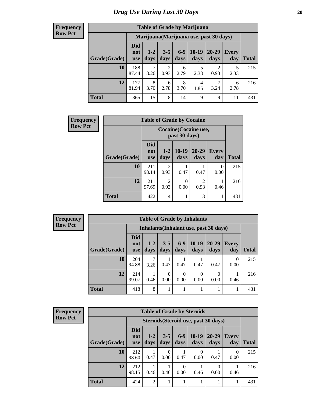#### **Frequency Row Pct**

I

| <b>Table of Grade by Marijuana</b> |                          |                                         |                 |                 |                 |                        |              |       |  |  |  |  |
|------------------------------------|--------------------------|-----------------------------------------|-----------------|-----------------|-----------------|------------------------|--------------|-------|--|--|--|--|
|                                    |                          | Marijuana (Marijuana use, past 30 days) |                 |                 |                 |                        |              |       |  |  |  |  |
| Grade(Grade)                       | Did<br>not<br><b>use</b> | $1 - 2$<br>days                         | $3 - 5$<br>days | $6 - 9$<br>days | $10-19$<br>days | 20-29<br>days          | Every<br>day | Total |  |  |  |  |
| 10                                 | 188<br>87.44             | 7<br>3.26                               | 2<br>0.93       | 6<br>2.79       | 5<br>2.33       | $\overline{2}$<br>0.93 | 5<br>2.33    | 215   |  |  |  |  |
| 12                                 | 177<br>81.94             | 8<br>3.70                               | 6<br>2.78       | 8<br>3.70       | 4<br>1.85       | 3.24                   | 6<br>2.78    | 216   |  |  |  |  |
| <b>Total</b>                       | 365                      | 15                                      | 8               | 14              | 9               | 9                      | 11           | 431   |  |  |  |  |

| <b>Frequency</b> | <b>Table of Grade by Cocaine</b> |                                        |                        |                 |                   |                  |              |  |
|------------------|----------------------------------|----------------------------------------|------------------------|-----------------|-------------------|------------------|--------------|--|
| <b>Row Pct</b>   |                                  | Cocaine (Cocaine use,<br>past 30 days) |                        |                 |                   |                  |              |  |
|                  | Grade(Grade)                     | <b>Did</b><br>not<br><b>use</b>        | $1 - 2$<br>days        | $10-19$<br>days | $20 - 29$<br>days | Every<br>day     | <b>Total</b> |  |
|                  | 10                               | 211<br>98.14                           | 2<br>0.93              | 0.47            | 0.47              | $\Omega$<br>0.00 | 215          |  |
|                  | 12                               | 211<br>97.69                           | $\overline{2}$<br>0.93 | 0<br>0.00       | 2<br>0.93         | 0.46             | 216          |  |
|                  | <b>Total</b>                     | 422                                    | $\overline{4}$         | 1               | 3                 | 1                | 431          |  |

| Frequency      | <b>Table of Grade by Inhalants</b> |                                        |               |                  |                  |                  |               |                     |              |
|----------------|------------------------------------|----------------------------------------|---------------|------------------|------------------|------------------|---------------|---------------------|--------------|
| <b>Row Pct</b> |                                    | Inhalants (Inhalant use, past 30 days) |               |                  |                  |                  |               |                     |              |
|                | Grade(Grade)                       | <b>Did</b><br>not<br><b>use</b>        | $1-2$<br>days | $3 - 5$<br>days  | $6-9$<br>days    | $10-19$<br>days  | 20-29<br>days | <b>Every</b><br>day | <b>Total</b> |
|                | 10                                 | 204<br>94.88                           | 7<br>3.26     | 0.47             | 0.47             | 0.47             | 0.47          | $\Omega$<br>0.00    | 215          |
|                | 12                                 | 214<br>99.07                           | 0.46          | $\Omega$<br>0.00 | $\Omega$<br>0.00 | $\Omega$<br>0.00 | 0<br>0.00     | 0.46                | 216          |
|                | <b>Total</b>                       | 418                                    | 8             |                  |                  |                  |               |                     | 431          |

| <b>Frequency</b> |
|------------------|
| <b>Row Pct</b>   |

| <b>Table of Grade by Steroids</b> |                                 |                                                                                                                                    |           |      |           |                                      |                  |     |  |
|-----------------------------------|---------------------------------|------------------------------------------------------------------------------------------------------------------------------------|-----------|------|-----------|--------------------------------------|------------------|-----|--|
|                                   |                                 |                                                                                                                                    |           |      |           | Steroids (Steroid use, past 30 days) |                  |     |  |
| Grade(Grade)                      | <b>Did</b><br>not<br><b>use</b> | 10-19<br>$6 - 9$<br>$3 - 5$<br>$20 - 29$<br>$1 - 2$<br><b>Every</b><br>days<br>days<br>days<br>days<br>day<br><b>Total</b><br>days |           |      |           |                                      |                  |     |  |
| 10                                | 212<br>98.60                    | 0.47                                                                                                                               | 0<br>0.00 | 0.47 | 0<br>0.00 | 0.47                                 | $\theta$<br>0.00 | 215 |  |
| 12                                | 212<br>98.15                    | $\theta$<br>0<br>0.00<br>0.00<br>0.46<br>0.46<br>0.46<br>0.46                                                                      |           |      |           |                                      |                  |     |  |
| <b>Total</b>                      | 424                             | $\overline{2}$                                                                                                                     | 1         | л    |           |                                      | 1                | 431 |  |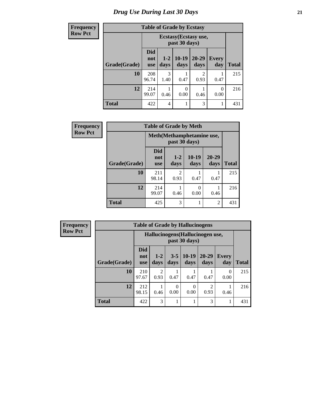#### **Frequency Row Pct**

| <b>Table of Grade by Ecstasy</b> |  |  |
|----------------------------------|--|--|
|                                  |  |  |

| equency |              |                                 |                                        | <b>Lable of Graue by Ecstasy</b> |               |                     |              |  |  |  |
|---------|--------------|---------------------------------|----------------------------------------|----------------------------------|---------------|---------------------|--------------|--|--|--|
| w Pct   |              |                                 | Ecstasy (Ecstasy use,<br>past 30 days) |                                  |               |                     |              |  |  |  |
|         | Grade(Grade) | <b>Did</b><br>not<br><b>use</b> | $1-2$<br>days                          | $10-19$<br>days                  | 20-29<br>days | <b>Every</b><br>day | <b>Total</b> |  |  |  |
|         | 10           | 208<br>96.74                    | 3<br>1.40                              | 0.47                             | 2<br>0.93     | 0.47                | 215          |  |  |  |
|         | 12           | 214<br>99.07                    | 0.46                                   | 0.00                             | 0.46          | 0<br>0.00           | 216          |  |  |  |
|         | <b>Total</b> | 422                             | 4                                      |                                  | 3             |                     | 431          |  |  |  |

| Frequency      | <b>Table of Grade by Meth</b> |                                 |                                            |                  |               |              |  |
|----------------|-------------------------------|---------------------------------|--------------------------------------------|------------------|---------------|--------------|--|
| <b>Row Pct</b> |                               |                                 | Meth(Methamphetamine use,<br>past 30 days) |                  |               |              |  |
|                | Grade(Grade)                  | <b>Did</b><br>not<br><b>use</b> | $1 - 2$<br>days                            | $10-19$<br>days  | 20-29<br>days | <b>Total</b> |  |
|                | 10                            | 211<br>98.14                    | $\mathfrak{D}$<br>0.93                     | 0.47             | 0.47          | 215          |  |
|                | 12                            | 214<br>99.07                    | 0.46                                       | $\theta$<br>0.00 | 0.46          | 216          |  |
|                | <b>Total</b>                  | 425                             | 3                                          |                  | 2             | 431          |  |

| Frequency      | <b>Table of Grade by Hallucinogens</b> |                                 |                        |                 |                                                   |                   |                     |              |
|----------------|----------------------------------------|---------------------------------|------------------------|-----------------|---------------------------------------------------|-------------------|---------------------|--------------|
| <b>Row Pct</b> |                                        |                                 |                        |                 | Hallucinogens (Hallucinogen use,<br>past 30 days) |                   |                     |              |
|                | Grade(Grade)                           | <b>Did</b><br>not<br><b>use</b> | $1-2$<br>days          | $3 - 5$<br>days | $10-19$<br>days                                   | $20 - 29$<br>days | <b>Every</b><br>day | <b>Total</b> |
|                | 10                                     | 210<br>97.67                    | $\mathfrak{D}$<br>0.93 | 0.47            | 0.47                                              | 0.47              | $\Omega$<br>0.00    | 215          |
|                | 12                                     | 212<br>98.15                    | 0.46                   | 0.00            | 0<br>0.00                                         | 2<br>0.93         | 0.46                | 216          |
|                | <b>Total</b>                           | 422                             | 3                      |                 |                                                   | 3                 | 1                   | 431          |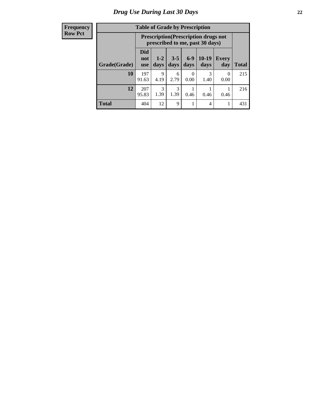#### **Frequency Row Pct**

| <b>Table of Grade by Prescription</b>                                |                          |                                                                                                        |           |      |           |           |     |  |
|----------------------------------------------------------------------|--------------------------|--------------------------------------------------------------------------------------------------------|-----------|------|-----------|-----------|-----|--|
|                                                                      |                          | <b>Prescription</b> (Prescription drugs not<br>prescribed to me, past 30 days)                         |           |      |           |           |     |  |
| Grade(Grade)                                                         | Did<br>not<br><b>use</b> | $10-19$<br>$6-9$<br>$3 - 5$<br>$1 - 2$<br>Every<br>days<br><b>Total</b><br>days<br>days<br>day<br>days |           |      |           |           |     |  |
| 10                                                                   | 197<br>91.63             | 9<br>4.19                                                                                              | 6<br>2.79 | 0.00 | 3<br>1.40 | 0<br>0.00 | 215 |  |
| 12<br>3<br>207<br>3<br>1.39<br>1.39<br>95.83<br>0.46<br>0.46<br>0.46 |                          |                                                                                                        |           |      |           |           | 216 |  |
| <b>Total</b>                                                         | 404                      | 12                                                                                                     | 9         |      | 4         | 1         | 431 |  |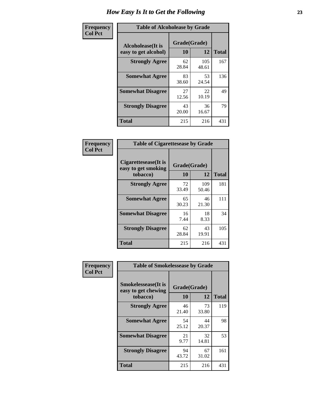| Frequency      | <b>Table of Alcoholease by Grade</b>              |                    |              |              |  |  |  |  |
|----------------|---------------------------------------------------|--------------------|--------------|--------------|--|--|--|--|
| <b>Col Pct</b> | <b>Alcoholease</b> (It is<br>easy to get alcohol) | Grade(Grade)<br>10 | 12           | <b>Total</b> |  |  |  |  |
|                | <b>Strongly Agree</b>                             | 62<br>28.84        | 105<br>48.61 | 167          |  |  |  |  |
|                | <b>Somewhat Agree</b>                             | 83<br>38.60        | 53<br>24.54  | 136          |  |  |  |  |
|                | <b>Somewhat Disagree</b>                          | 27<br>12.56        | 22<br>10.19  | 49           |  |  |  |  |
|                | <b>Strongly Disagree</b>                          | 43<br>20.00        | 36<br>16.67  | 79           |  |  |  |  |
|                | <b>Total</b>                                      | 215                | 216          | 431          |  |  |  |  |

| Frequency      |                                                          | <b>Table of Cigarettesease by Grade</b> |              |              |  |  |  |  |
|----------------|----------------------------------------------------------|-----------------------------------------|--------------|--------------|--|--|--|--|
| <b>Col Pct</b> | Cigarettesease (It is<br>easy to get smoking<br>tobacco) | Grade(Grade)<br>10                      | 12           | <b>Total</b> |  |  |  |  |
|                | <b>Strongly Agree</b>                                    | 72<br>33.49                             | 109<br>50.46 | 181          |  |  |  |  |
|                | <b>Somewhat Agree</b>                                    | 65<br>30.23                             | 46<br>21.30  | 111          |  |  |  |  |
|                | <b>Somewhat Disagree</b>                                 | 16<br>7.44                              | 18<br>8.33   | 34           |  |  |  |  |
|                | <b>Strongly Disagree</b>                                 | 62<br>28.84                             | 43<br>19.91  | 105          |  |  |  |  |
|                | <b>Total</b>                                             | 215                                     | 216          | 431          |  |  |  |  |

| Frequency      | <b>Table of Smokelessease by Grade</b>                                                                     |             |             |     |  |  |  |  |  |  |
|----------------|------------------------------------------------------------------------------------------------------------|-------------|-------------|-----|--|--|--|--|--|--|
| <b>Col Pct</b> | <b>Smokelessease</b> (It is<br>Grade(Grade)<br>easy to get chewing<br>12<br><b>Total</b><br>10<br>tobacco) |             |             |     |  |  |  |  |  |  |
|                | <b>Strongly Agree</b>                                                                                      | 46<br>21.40 | 73<br>33.80 | 119 |  |  |  |  |  |  |
|                | <b>Somewhat Agree</b>                                                                                      | 54<br>25.12 | 44<br>20.37 | 98  |  |  |  |  |  |  |
|                | <b>Somewhat Disagree</b>                                                                                   | 21<br>9.77  | 32<br>14.81 | 53  |  |  |  |  |  |  |
|                | <b>Strongly Disagree</b>                                                                                   | 94<br>43.72 | 67<br>31.02 | 161 |  |  |  |  |  |  |
|                | Total                                                                                                      | 215         | 216         | 431 |  |  |  |  |  |  |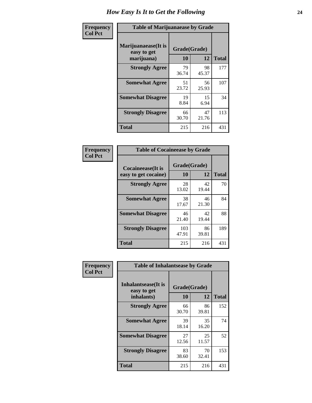| Frequency      | <b>Table of Marijuanaease by Grade</b>           |                    |             |              |  |  |  |  |  |  |
|----------------|--------------------------------------------------|--------------------|-------------|--------------|--|--|--|--|--|--|
| <b>Col Pct</b> | Marijuanaease(It is<br>easy to get<br>marijuana) | Grade(Grade)<br>10 | 12          | <b>Total</b> |  |  |  |  |  |  |
|                | <b>Strongly Agree</b>                            | 79<br>36.74        | 98<br>45.37 | 177          |  |  |  |  |  |  |
|                | <b>Somewhat Agree</b>                            | 51<br>23.72        | 56<br>25.93 | 107          |  |  |  |  |  |  |
|                | <b>Somewhat Disagree</b>                         | 19<br>8.84         | 15<br>6.94  | 34           |  |  |  |  |  |  |
|                | <b>Strongly Disagree</b>                         | 66<br>30.70        | 47<br>21.76 | 113          |  |  |  |  |  |  |
|                | <b>Total</b>                                     | 215                | 216         | 431          |  |  |  |  |  |  |

| <b>Table of Cocaineease by Grade</b>      |                    |              |     |  |  |  |  |  |  |
|-------------------------------------------|--------------------|--------------|-----|--|--|--|--|--|--|
| Cocaineease(It is<br>easy to get cocaine) | Grade(Grade)<br>10 | <b>Total</b> |     |  |  |  |  |  |  |
| <b>Strongly Agree</b>                     | 28<br>13.02        | 42<br>19.44  | 70  |  |  |  |  |  |  |
| <b>Somewhat Agree</b>                     | 38<br>17.67        | 46<br>21.30  | 84  |  |  |  |  |  |  |
| <b>Somewhat Disagree</b>                  | 46<br>21.40        | 42<br>19.44  | 88  |  |  |  |  |  |  |
| <b>Strongly Disagree</b>                  | 103<br>47.91       | 86<br>39.81  | 189 |  |  |  |  |  |  |
| <b>Total</b>                              | 215                | 216          | 431 |  |  |  |  |  |  |

| Frequency      | <b>Table of Inhalantsease by Grade</b>                   |                    |             |              |
|----------------|----------------------------------------------------------|--------------------|-------------|--------------|
| <b>Col Pct</b> | <b>Inhalantsease</b> (It is<br>easy to get<br>inhalants) | Grade(Grade)<br>10 | 12          | <b>Total</b> |
|                | <b>Strongly Agree</b>                                    | 66<br>30.70        | 86<br>39.81 | 152          |
|                | <b>Somewhat Agree</b>                                    | 39<br>18.14        | 35<br>16.20 | 74           |
|                | <b>Somewhat Disagree</b>                                 | 27<br>12.56        | 25<br>11.57 | 52           |
|                | <b>Strongly Disagree</b>                                 | 83<br>38.60        | 70<br>32.41 | 153          |
|                | <b>Total</b>                                             | 215                | 216         | 431          |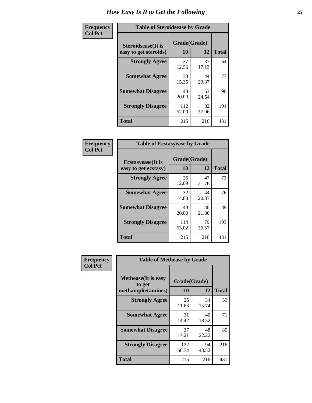| Frequency      | <b>Table of Steroidsease by Grade</b>               |                    |             |              |  |  |  |  |  |  |
|----------------|-----------------------------------------------------|--------------------|-------------|--------------|--|--|--|--|--|--|
| <b>Col Pct</b> | <b>Steroidsease</b> (It is<br>easy to get steroids) | Grade(Grade)<br>10 | 12          | <b>Total</b> |  |  |  |  |  |  |
|                | <b>Strongly Agree</b>                               | 27<br>12.56        | 37<br>17.13 | 64           |  |  |  |  |  |  |
|                | <b>Somewhat Agree</b>                               | 33<br>15.35        | 44<br>20.37 | 77           |  |  |  |  |  |  |
|                | <b>Somewhat Disagree</b>                            | 43<br>20.00        | 53<br>24.54 | 96           |  |  |  |  |  |  |
|                | <b>Strongly Disagree</b>                            | 112<br>52.09       | 82<br>37.96 | 194          |  |  |  |  |  |  |
|                | <b>Total</b>                                        | 215                | 216         | 431          |  |  |  |  |  |  |

| Frequency      | <b>Table of Ecstasyease by Grade</b>              |                    |             |              |
|----------------|---------------------------------------------------|--------------------|-------------|--------------|
| <b>Col Pct</b> | <b>Ecstasyease</b> (It is<br>easy to get ecstasy) | Grade(Grade)<br>10 | 12          | <b>Total</b> |
|                | <b>Strongly Agree</b>                             | 26<br>12.09        | 47<br>21.76 | 73           |
|                | <b>Somewhat Agree</b>                             | 32<br>14.88        | 44<br>20.37 | 76           |
|                | <b>Somewhat Disagree</b>                          | 43<br>20.00        | 46<br>21.30 | 89           |
|                | <b>Strongly Disagree</b>                          | 114<br>53.02       | 79<br>36.57 | 193          |
|                | <b>Total</b>                                      | 215                | 216         | 431          |

| Frequency      | <b>Table of Methease by Grade</b>                          |                    |             |              |  |  |  |  |  |  |
|----------------|------------------------------------------------------------|--------------------|-------------|--------------|--|--|--|--|--|--|
| <b>Col Pct</b> | <b>Methease</b> (It is easy<br>to get<br>methamphetamines) | Grade(Grade)<br>10 | 12          | <b>Total</b> |  |  |  |  |  |  |
|                | <b>Strongly Agree</b>                                      | 25<br>11.63        | 34<br>15.74 | 59           |  |  |  |  |  |  |
|                | <b>Somewhat Agree</b>                                      | 31<br>14.42        | 40<br>18.52 | 71           |  |  |  |  |  |  |
|                | <b>Somewhat Disagree</b>                                   | 37<br>17.21        | 48<br>22.22 | 85           |  |  |  |  |  |  |
|                | <b>Strongly Disagree</b>                                   | 122<br>56.74       | 94<br>43.52 | 216          |  |  |  |  |  |  |
|                | Total                                                      | 215                | 216         | 431          |  |  |  |  |  |  |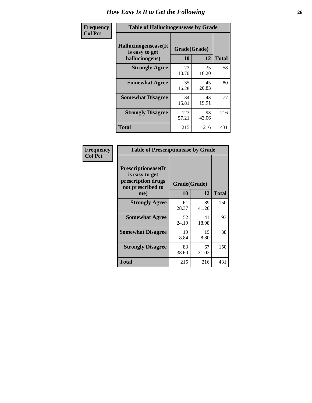| <b>Frequency</b> | <b>Table of Hallucinogensease by Grade</b>               |                    |             |              |  |  |  |  |  |  |
|------------------|----------------------------------------------------------|--------------------|-------------|--------------|--|--|--|--|--|--|
| <b>Col Pct</b>   | Hallucinogensease(It<br>is easy to get<br>hallucinogens) | Grade(Grade)<br>10 | 12          | <b>Total</b> |  |  |  |  |  |  |
|                  | <b>Strongly Agree</b>                                    | 23<br>10.70        | 35<br>16.20 | 58           |  |  |  |  |  |  |
|                  | <b>Somewhat Agree</b>                                    | 35<br>16.28        | 45<br>20.83 | 80           |  |  |  |  |  |  |
|                  | <b>Somewhat Disagree</b>                                 | 34<br>15.81        | 43<br>19.91 | 77           |  |  |  |  |  |  |
|                  | <b>Strongly Disagree</b>                                 | 123<br>57.21       | 93<br>43.06 | 216          |  |  |  |  |  |  |
|                  | <b>Total</b>                                             | 215                | 216         | 431          |  |  |  |  |  |  |

| Frequency<br>Col Pct |
|----------------------|
|                      |

| <b>Table of Prescriptionease by Grade</b>                                                       |                    |             |              |  |  |  |  |  |
|-------------------------------------------------------------------------------------------------|--------------------|-------------|--------------|--|--|--|--|--|
| <b>Prescriptionease</b> (It<br>is easy to get<br>prescription drugs<br>not prescribed to<br>me) | Grade(Grade)<br>10 | 12          | <b>Total</b> |  |  |  |  |  |
| <b>Strongly Agree</b>                                                                           | 61<br>28.37        | 89<br>41.20 | 150          |  |  |  |  |  |
| <b>Somewhat Agree</b>                                                                           | 52<br>24.19        | 41<br>18.98 | 93           |  |  |  |  |  |
| <b>Somewhat Disagree</b>                                                                        | 19<br>8.84         | 19<br>8.80  | 38           |  |  |  |  |  |
| <b>Strongly Disagree</b>                                                                        | 83<br>38.60        | 67<br>31.02 | 150          |  |  |  |  |  |
| Total                                                                                           | 215                | 216         | 431          |  |  |  |  |  |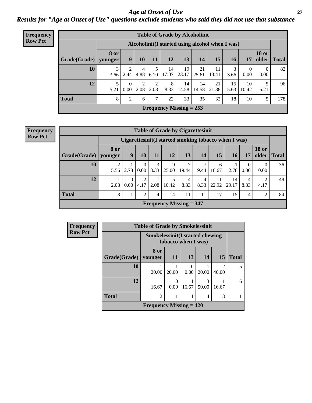### *Age at Onset of Use* **27** *Results for "Age at Onset of Use" questions exclude students who said they did not use that substance*

| Frequency      | <b>Table of Grade by Alcoholinit</b> |                        |                                                  |           |               |             |                           |             |             |             |                  |                       |              |
|----------------|--------------------------------------|------------------------|--------------------------------------------------|-----------|---------------|-------------|---------------------------|-------------|-------------|-------------|------------------|-----------------------|--------------|
| <b>Row Pct</b> |                                      |                        | Alcoholinit (I started using alcohol when I was) |           |               |             |                           |             |             |             |                  |                       |              |
|                | Grade(Grade)                         | <b>8 or</b><br>younger | 9 <sub>1</sub>                                   | <b>10</b> | 11            | 12          | 13                        | 14          | 15          | <b>16</b>   | 17               | <b>18 or</b><br>older | <b>Total</b> |
|                | 10                                   | 3<br>3.66              | 2.44                                             | 4<br>4.88 | 5<br>6.10     | 14<br>17.07 | 19<br>23.17               | 21<br>25.61 | 11<br>13.41 | 3.66        | $\theta$<br>0.00 | $\Omega$<br>0.00      | 82           |
|                | 12                                   | 5<br>5.21              | $\Omega$<br>0.00                                 | C<br>2.08 | 2<br>2.08     | 8<br>8.33   | 14<br>14.58               | 14<br>14.58 | 21<br>21.88 | 15<br>15.63 | 10<br>10.42      | 5.21                  | 96           |
|                | <b>Total</b>                         | 8                      | $\overline{2}$                                   | 6         | $\mathcal{L}$ | 22          | 33                        | 35          | 32          | 18          | 10               |                       | 178          |
|                |                                      |                        |                                                  |           |               |             | Frequency Missing $= 253$ |             |             |             |                  |                       |              |

#### **Frequency Row Pct**

| <b>Table of Grade by Cigarettesinit</b> |                        |                                                      |                  |           |                                |            |           |             |             |                                   |                        |              |  |
|-----------------------------------------|------------------------|------------------------------------------------------|------------------|-----------|--------------------------------|------------|-----------|-------------|-------------|-----------------------------------|------------------------|--------------|--|
|                                         |                        | Cigarettesinit(I started smoking tobacco when I was) |                  |           |                                |            |           |             |             |                                   |                        |              |  |
| Grade(Grade)                            | <b>8 or</b><br>vounger | 9                                                    | 10               | 11        | 12                             | 13         | 14        | 15          | <b>16</b>   | 17                                | <b>18 or</b><br>older  | <b>Total</b> |  |
| 10                                      | 2<br>5.56              | 2.78                                                 | $\theta$<br>0.00 | 3<br>8.33 | 9<br>25.00                     | 7<br>19.44 | 19.44     | 6<br>16.67  | 2.78        | $\mathbf{0}$<br>0.00 <sub>1</sub> | $\left($<br>0.00       | 36           |  |
| 12                                      | 2.08                   | 0.00                                                 | 2<br>4.17        | 2.08      | 10.42                          | 4<br>8.33  | 4<br>8.33 | 11<br>22.92 | 14<br>29.17 | $\overline{4}$<br>8.33            | $\mathfrak{D}$<br>4.17 | 48           |  |
| <b>Total</b>                            | 3                      |                                                      | 2                | 4         | 14                             | 11         | 11        | 17          | 15          | $\overline{4}$                    | 2                      | 84           |  |
|                                         |                        |                                                      |                  |           | <b>Frequency Missing = 347</b> |            |           |             |             |                                   |                        |              |  |

| <b>Frequency</b> |              | <b>Table of Grade by Smokelessinit</b>                         |           |           |            |            |              |  |  |  |  |
|------------------|--------------|----------------------------------------------------------------|-----------|-----------|------------|------------|--------------|--|--|--|--|
| <b>Row Pct</b>   |              | <b>Smokelessinit (I started chewing</b><br>tobacco when I was) |           |           |            |            |              |  |  |  |  |
|                  | Grade(Grade) | 8 or<br>vounger                                                | <b>11</b> | 13        | 14         | <b>15</b>  | <b>Total</b> |  |  |  |  |
|                  | 10           | 20.00                                                          | 20.00     | 0<br>0.00 | 20.00      | っ<br>40.00 | 5            |  |  |  |  |
|                  | 12           | 16.67                                                          | 0.00      | 16.67     | 3<br>50.00 | 16.67      | 6            |  |  |  |  |
|                  | <b>Total</b> | $\overline{c}$<br>3<br>4                                       |           |           |            |            |              |  |  |  |  |
|                  |              | Frequency Missing $= 420$                                      |           |           |            |            |              |  |  |  |  |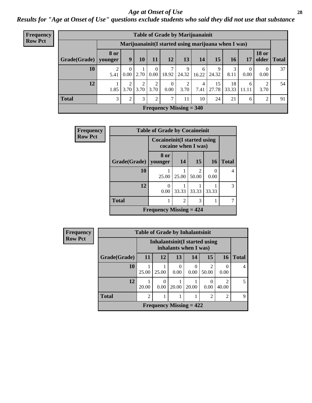#### *Age at Onset of Use* **28**

*Results for "Age at Onset of Use" questions exclude students who said they did not use that substance*

| Frequency      | <b>Table of Grade by Marijuanainit</b> |                        |                  |           |                      |                  |                                                     |                        |             |             |                  |                  |             |
|----------------|----------------------------------------|------------------------|------------------|-----------|----------------------|------------------|-----------------------------------------------------|------------------------|-------------|-------------|------------------|------------------|-------------|
| <b>Row Pct</b> |                                        |                        |                  |           |                      |                  | Marijuanainit(I started using marijuana when I was) |                        |             |             |                  |                  |             |
|                | Grade(Grade)                           | <b>8 or</b><br>younger | 9                | 10        | 11                   | 12               | 13                                                  | 14                     | 15          | 16          | 17               | <b>18 or</b>     | older Total |
|                | 10                                     | 5.41                   | $\Omega$<br>0.00 | 2.70      | $\theta$<br>$0.00\,$ | 18.92            | 9<br>24.32                                          | 6<br>16.22             | 9<br>24.32  | 8.11        | $\Omega$<br>0.00 | $\theta$<br>0.00 | 37          |
|                | 12                                     | 1.85                   | 2<br>3.70        | 2<br>3.70 | 2<br>3.70            | $\Omega$<br>0.00 | 2<br>3.70                                           | $\overline{4}$<br>7.41 | 15<br>27.78 | 18<br>33.33 | 6<br>11.11       | 2<br>3.70        | 54          |
|                | <b>Total</b>                           | 3                      | $\overline{2}$   | 3         | 2                    | 7                | 11                                                  | 10                     | 24          | 21          | 6                | $\overline{2}$   | 91          |
|                |                                        |                        |                  |           |                      |                  | <b>Frequency Missing = 340</b>                      |                        |             |             |                  |                  |             |

| Frequency      |              | <b>Table of Grade by Cocaineinit</b>                       |                |       |           |              |  |  |  |
|----------------|--------------|------------------------------------------------------------|----------------|-------|-----------|--------------|--|--|--|
| <b>Row Pct</b> |              | <b>Cocaineinit</b> (I started using<br>cocaine when I was) |                |       |           |              |  |  |  |
|                | Grade(Grade) | 8 or<br>younger                                            | 14             | 15    | <b>16</b> | <b>Total</b> |  |  |  |
|                | 10           | 25.00                                                      | 25.00          | 50.00 | 0<br>0.00 | 4            |  |  |  |
|                | 12           | $\Omega$<br>0.00                                           | 33.33          | 33.33 | 33.33     | 3            |  |  |  |
|                | <b>Total</b> |                                                            | $\overline{2}$ | 3     |           |              |  |  |  |
|                |              | <b>Frequency Missing <math>= 424</math></b>                |                |       |           |              |  |  |  |

| Frequency      |              | <b>Table of Grade by Inhalantsinit</b> |           |                                                         |                  |                         |                |              |
|----------------|--------------|----------------------------------------|-----------|---------------------------------------------------------|------------------|-------------------------|----------------|--------------|
| <b>Row Pct</b> |              |                                        |           | Inhalantsinit (I started using<br>inhalants when I was) |                  |                         |                |              |
|                | Grade(Grade) | 11                                     | 12        | 13                                                      | 14               | 15                      | <b>16</b>      | <b>Total</b> |
|                | 10           | 25.00                                  | 25.00     | 0<br>0.00                                               | $\theta$<br>0.00 | $\mathfrak{D}$<br>50.00 | 0.00           | 4            |
|                | 12           | 20.00                                  | 0<br>0.00 | 20.00                                                   | 20.00            | 0.00                    | 40.00          | 5            |
|                | <b>Total</b> | $\overline{2}$                         | 1         | 1                                                       |                  | $\mathfrak{D}$          | $\mathfrak{D}$ | $\mathbf Q$  |
|                |              |                                        |           | Frequency Missing $= 422$                               |                  |                         |                |              |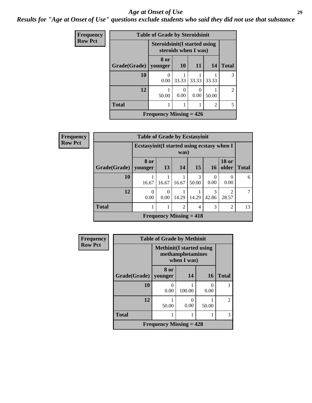#### *Age at Onset of Use* **29**

*Results for "Age at Onset of Use" questions exclude students who said they did not use that substance*

| <b>Frequency</b> |              | <b>Table of Grade by Steroidsinit</b> |                      |       |                |                |
|------------------|--------------|---------------------------------------|----------------------|-------|----------------|----------------|
| <b>Row Pct</b>   |              | <b>Steroidsinit (I started using</b>  | steroids when I was) |       |                |                |
|                  | Grade(Grade) | 8 or<br>younger                       | <b>10</b>            | 11    | 14             | <b>Total</b>   |
|                  | 10           | $\Omega$<br>0.00                      | 33.33                | 33.33 | 33.33          | 3              |
|                  | 12           | 50.00                                 | 0<br>0.00            | 0.00  | 50.00          | $\overline{2}$ |
|                  | <b>Total</b> |                                       |                      |       | $\overline{2}$ | 5              |
|                  |              | Frequency Missing $= 426$             |                      |       |                |                |

| Frequency      |                        | <b>Table of Grade by Ecstasyinit</b> |                                                     |       |                                |            |                         |              |  |  |  |  |
|----------------|------------------------|--------------------------------------|-----------------------------------------------------|-------|--------------------------------|------------|-------------------------|--------------|--|--|--|--|
| <b>Row Pct</b> |                        |                                      | Ecstasyinit (I started using ecstasy when I<br>was) |       |                                |            |                         |              |  |  |  |  |
|                | Grade(Grade)   younger | 8 or                                 | 13                                                  | 14    | 15                             | <b>16</b>  | <b>18 or</b><br>older   | <b>Total</b> |  |  |  |  |
|                | 10                     | 16.67                                | 16.67                                               | 16.67 | 3<br>50.00                     | 0<br>0.00  | $\Omega$<br>0.00        | 6            |  |  |  |  |
|                | 12                     | $\Omega$<br>0.00                     | 0<br>0.00                                           | 14.29 | 14.29                          | 3<br>42.86 | $\overline{2}$<br>28.57 |              |  |  |  |  |
|                | <b>Total</b>           |                                      |                                                     | 2     | 4                              | 3          | $\overline{2}$          | 13           |  |  |  |  |
|                |                        |                                      |                                                     |       | <b>Frequency Missing = 418</b> |            |                         |              |  |  |  |  |

| Frequency      | <b>Table of Grade by Methinit</b> |                                                                     |        |           |                |  |  |  |  |
|----------------|-----------------------------------|---------------------------------------------------------------------|--------|-----------|----------------|--|--|--|--|
| <b>Row Pct</b> |                                   | <b>Methinit</b> (I started using<br>methamphetamines<br>when I was) |        |           |                |  |  |  |  |
|                | Grade(Grade)                      | 8 or<br>younger                                                     | 14     | 16        | <b>Total</b>   |  |  |  |  |
|                | 10                                | 0.00                                                                | 100.00 | 0<br>0.00 |                |  |  |  |  |
|                | 12                                | 50.00                                                               | 0.00   | 50.00     | $\mathfrak{D}$ |  |  |  |  |
|                | <b>Total</b>                      |                                                                     |        | 1         | 3              |  |  |  |  |
|                | Frequency Missing $= 428$         |                                                                     |        |           |                |  |  |  |  |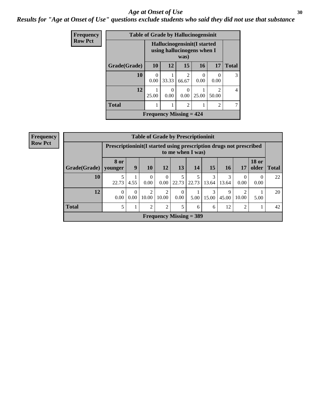#### Age at Onset of Use **30**

*Results for "Age at Onset of Use" questions exclude students who said they did not use that substance*

| Frequency      |              |                                                           | <b>Table of Grade by Hallucinogensinit</b> |                         |                  |                                      |              |  |
|----------------|--------------|-----------------------------------------------------------|--------------------------------------------|-------------------------|------------------|--------------------------------------|--------------|--|
| <b>Row Pct</b> |              | Hallucinogensinit(I started<br>using hallucinogens when I |                                            |                         |                  |                                      |              |  |
|                | Grade(Grade) | <b>10</b>                                                 | 12                                         | 15                      | 16               | 17                                   | <b>Total</b> |  |
|                | 10           | $\mathcal{O}$<br>0.00                                     | 33.33                                      | $\mathfrak{D}$<br>66.67 | $\Omega$<br>0.00 | 0<br>0.00                            | 3            |  |
|                | 12           | 25.00                                                     | 0<br>0.00                                  | $\theta$<br>0.00        | 25.00            | $\mathcal{D}_{\mathcal{L}}$<br>50.00 | 4            |  |
|                | <b>Total</b> |                                                           |                                            | $\overline{c}$          |                  | $\overline{2}$                       |              |  |
|                |              |                                                           | Frequency Missing $= 424$                  |                         |                  |                                      |              |  |

| Frequency      |              |                 |                                                                                          |                  |                  |                      | <b>Table of Grade by Prescriptioninit</b> |            |            |                  |                       |              |
|----------------|--------------|-----------------|------------------------------------------------------------------------------------------|------------------|------------------|----------------------|-------------------------------------------|------------|------------|------------------|-----------------------|--------------|
| <b>Row Pct</b> |              |                 | Prescriptioninit (I started using prescription drugs not prescribed<br>to me when I was) |                  |                  |                      |                                           |            |            |                  |                       |              |
|                | Grade(Grade) | 8 or<br>vounger | 9                                                                                        | <b>10</b>        | 12               | 13                   | 14                                        | 15         | <b>16</b>  | 17               | <b>18 or</b><br>older | <b>Total</b> |
|                | 10           | 22.73           | 4.55                                                                                     | $\Omega$<br>0.00 | $\Omega$<br>0.00 | 22.73                | 22.73                                     | 3<br>13.64 | 3<br>13.64 | $\theta$<br>0.00 | $\Omega$<br>0.00      | 22           |
|                | 12           | 0<br>0.00       | $\theta$<br>0.00                                                                         | 10.00            | 2<br>10.00       | $\Omega$<br>$0.00\,$ | 5.00                                      | 3<br>15.00 | 9<br>45.00 | 10.00            | 5.00                  | 20           |
|                | <b>Total</b> |                 |                                                                                          | っ                | $\overline{2}$   | 5                    | 6                                         | 6          | 12         | 2                |                       | 42           |
|                |              |                 |                                                                                          |                  |                  |                      | Frequency Missing $=$ 389                 |            |            |                  |                       |              |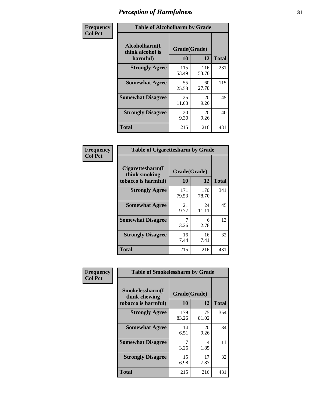| Frequency      | <b>Table of Alcoholharm by Grade</b>          |                    |              |              |  |  |  |
|----------------|-----------------------------------------------|--------------------|--------------|--------------|--|--|--|
| <b>Col Pct</b> | Alcoholharm(I<br>think alcohol is<br>harmful) | Grade(Grade)<br>10 | 12           | <b>Total</b> |  |  |  |
|                | <b>Strongly Agree</b>                         | 115<br>53.49       | 116<br>53.70 | 231          |  |  |  |
|                | <b>Somewhat Agree</b>                         | 55<br>25.58        | 60<br>27.78  | 115          |  |  |  |
|                | <b>Somewhat Disagree</b>                      | 25<br>11.63        | 20<br>9.26   | 45           |  |  |  |
|                | <b>Strongly Disagree</b>                      | 20<br>9.30         | 20<br>9.26   | 40           |  |  |  |
|                | <b>Total</b>                                  | 215                | 216          | 431          |  |  |  |

| <b>Table of Cigarettesharm by Grade</b>                  |                    |              |              |  |  |  |  |  |
|----------------------------------------------------------|--------------------|--------------|--------------|--|--|--|--|--|
| Cigarettesharm(I<br>think smoking<br>tobacco is harmful) | Grade(Grade)<br>10 | 12           | <b>Total</b> |  |  |  |  |  |
| <b>Strongly Agree</b>                                    | 171<br>79.53       | 170<br>78.70 | 341          |  |  |  |  |  |
| <b>Somewhat Agree</b>                                    | 21<br>9.77         | 24<br>11.11  | 45           |  |  |  |  |  |
| <b>Somewhat Disagree</b>                                 | 7<br>3.26          | 6<br>2.78    | 13           |  |  |  |  |  |
| <b>Strongly Disagree</b>                                 | 16<br>7.44         | 16<br>7.41   | 32           |  |  |  |  |  |
| <b>Total</b>                                             | 215                | 216          | 431          |  |  |  |  |  |

| Frequency      | <b>Table of Smokelessharm by Grade</b>                  |                    |              |              |
|----------------|---------------------------------------------------------|--------------------|--------------|--------------|
| <b>Col Pct</b> | Smokelessharm(I<br>think chewing<br>tobacco is harmful) | Grade(Grade)<br>10 | 12           | <b>Total</b> |
|                | <b>Strongly Agree</b>                                   | 179<br>83.26       | 175<br>81.02 | 354          |
|                | <b>Somewhat Agree</b>                                   | 14<br>6.51         | 20<br>9.26   | 34           |
|                | <b>Somewhat Disagree</b>                                | 3.26               | 4<br>1.85    | 11           |
|                | <b>Strongly Disagree</b>                                | 15<br>6.98         | 17<br>7.87   | 32           |
|                | <b>Total</b>                                            | 215                | 216          | 431          |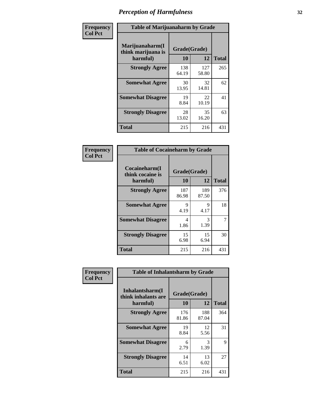| Frequency      | <b>Table of Marijuanaharm by Grade</b>            |                    |              |              |
|----------------|---------------------------------------------------|--------------------|--------------|--------------|
| <b>Col Pct</b> | Marijuanaharm(I<br>think marijuana is<br>harmful) | Grade(Grade)<br>10 | 12           | <b>Total</b> |
|                | <b>Strongly Agree</b>                             | 138<br>64.19       | 127<br>58.80 | 265          |
|                | <b>Somewhat Agree</b>                             | 30<br>13.95        | 32<br>14.81  | 62           |
|                | <b>Somewhat Disagree</b>                          | 19<br>8.84         | 22<br>10.19  | 41           |
|                | <b>Strongly Disagree</b>                          | 28<br>13.02        | 35<br>16.20  | 63           |
|                | <b>Total</b>                                      | 215                | 216          | 431          |

| <b>Table of Cocaineharm by Grade</b>          |                    |              |              |  |  |  |
|-----------------------------------------------|--------------------|--------------|--------------|--|--|--|
| Cocaineharm(I<br>think cocaine is<br>harmful) | Grade(Grade)<br>10 | 12           | <b>Total</b> |  |  |  |
| <b>Strongly Agree</b>                         | 187<br>86.98       | 189<br>87.50 | 376          |  |  |  |
| <b>Somewhat Agree</b>                         | 9<br>4.19          | 9<br>4.17    | 18           |  |  |  |
| <b>Somewhat Disagree</b>                      | 4<br>1.86          | 3<br>1.39    | 7            |  |  |  |
| <b>Strongly Disagree</b>                      | 15<br>6.98         | 15<br>6.94   | 30           |  |  |  |
| <b>Total</b>                                  | 215                | 216          | 431          |  |  |  |

| Frequency      | <b>Table of Inhalantsharm by Grade</b>              |                    |              |              |
|----------------|-----------------------------------------------------|--------------------|--------------|--------------|
| <b>Col Pct</b> | Inhalantsharm(I)<br>think inhalants are<br>harmful) | Grade(Grade)<br>10 | 12           | <b>Total</b> |
|                | <b>Strongly Agree</b>                               | 176<br>81.86       | 188<br>87.04 | 364          |
|                | <b>Somewhat Agree</b>                               | 19<br>8.84         | 12<br>5.56   | 31           |
|                | <b>Somewhat Disagree</b>                            | 6<br>2.79          | 3<br>1.39    | 9            |
|                | <b>Strongly Disagree</b>                            | 14<br>6.51         | 13<br>6.02   | 27           |
|                | <b>Total</b>                                        | 215                | 216          | 431          |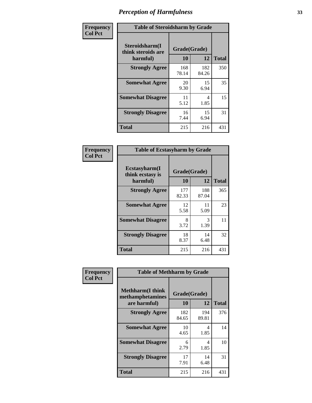| Frequency      | <b>Table of Steroidsharm by Grade</b>            |                    |              |              |
|----------------|--------------------------------------------------|--------------------|--------------|--------------|
| <b>Col Pct</b> | Steroidsharm(I<br>think steroids are<br>harmful) | Grade(Grade)<br>10 | 12           | <b>Total</b> |
|                | <b>Strongly Agree</b>                            | 168<br>78.14       | 182<br>84.26 | 350          |
|                | <b>Somewhat Agree</b>                            | 20<br>9.30         | 15<br>6.94   | 35           |
|                | <b>Somewhat Disagree</b>                         | 11<br>5.12         | 4<br>1.85    | 15           |
|                | <b>Strongly Disagree</b>                         | 16<br>7.44         | 15<br>6.94   | 31           |
|                | <b>Total</b>                                     | 215                | 216          | 431          |

| <b>Table of Ecstasyharm by Grade</b>          |                    |                    |     |  |  |
|-----------------------------------------------|--------------------|--------------------|-----|--|--|
| Ecstasyharm(I<br>think ecstasy is<br>harmful) | Grade(Grade)<br>10 | <b>Total</b>       |     |  |  |
| <b>Strongly Agree</b>                         | 177<br>82.33       | 12<br>188<br>87.04 | 365 |  |  |
| <b>Somewhat Agree</b>                         | 12<br>5.58         | 11<br>5.09         | 23  |  |  |
| <b>Somewhat Disagree</b>                      | 8<br>3.72          | 3<br>1.39          | 11  |  |  |
| <b>Strongly Disagree</b>                      | 18<br>8.37         | 14<br>6.48         | 32  |  |  |
| <b>Total</b>                                  | 215                | 216                | 431 |  |  |

| Frequency      | <b>Table of Methharm by Grade</b>                            |                           |              |              |  |
|----------------|--------------------------------------------------------------|---------------------------|--------------|--------------|--|
| <b>Col Pct</b> | <b>Methharm</b> (I think<br>methamphetamines<br>are harmful) | Grade(Grade)<br><b>10</b> | 12           | <b>Total</b> |  |
|                | <b>Strongly Agree</b>                                        | 182<br>84.65              | 194<br>89.81 | 376          |  |
|                | <b>Somewhat Agree</b>                                        | 10<br>4.65                | 4<br>1.85    | 14           |  |
|                | <b>Somewhat Disagree</b>                                     | 6<br>2.79                 | 4<br>1.85    | 10           |  |
|                | <b>Strongly Disagree</b>                                     | 17<br>7.91                | 14<br>6.48   | 31           |  |
|                | Total                                                        | 215                       | 216          | 431          |  |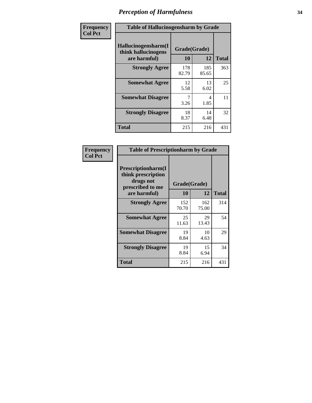| Frequency | <b>Table of Hallucinogensharm by Grade</b>                 |                    |              |              |
|-----------|------------------------------------------------------------|--------------------|--------------|--------------|
| Col Pct   | Hallucinogensharm(I<br>think hallucinogens<br>are harmful) | Grade(Grade)<br>10 | 12           | <b>Total</b> |
|           | <b>Strongly Agree</b>                                      | 178<br>82.79       | 185<br>85.65 | 363          |
|           | <b>Somewhat Agree</b>                                      | 12<br>5.58         | 13<br>6.02   | 25           |
|           | <b>Somewhat Disagree</b>                                   | 7<br>3.26          | 4<br>1.85    | 11           |
|           | <b>Strongly Disagree</b>                                   | 18<br>8.37         | 14<br>6.48   | 32           |
|           | <b>Total</b>                                               | 215                | 216          | 431          |

| <b>Table of Prescriptionharm by Grade</b>                                         |              |              |              |  |  |
|-----------------------------------------------------------------------------------|--------------|--------------|--------------|--|--|
| <b>Prescriptionharm(I)</b><br>think prescription<br>drugs not<br>prescribed to me | Grade(Grade) |              |              |  |  |
| are harmful)                                                                      | 10           | 12           | <b>Total</b> |  |  |
| <b>Strongly Agree</b>                                                             | 152<br>70.70 | 162<br>75.00 | 314          |  |  |
| <b>Somewhat Agree</b>                                                             | 25<br>11.63  | 29<br>13.43  | 54           |  |  |
| <b>Somewhat Disagree</b>                                                          | 19<br>8.84   | 10<br>4.63   | 29           |  |  |
| <b>Strongly Disagree</b>                                                          | 19<br>8.84   | 15<br>6.94   | 34           |  |  |
| Total                                                                             | 215          | 216          | 431          |  |  |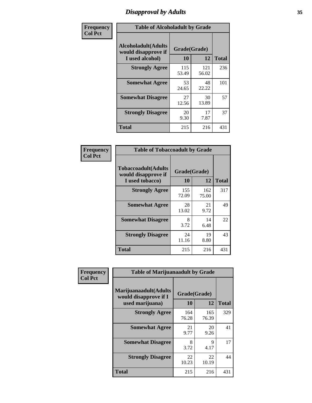# *Disapproval by Adults* **35**

| Frequency      | <b>Table of Alcoholadult by Grade</b>                                 |                    |              |              |  |
|----------------|-----------------------------------------------------------------------|--------------------|--------------|--------------|--|
| <b>Col Pct</b> | <b>Alcoholadult</b> (Adults<br>would disapprove if<br>I used alcohol) | Grade(Grade)<br>10 | 12           | <b>Total</b> |  |
|                | <b>Strongly Agree</b>                                                 | 115<br>53.49       | 121<br>56.02 | 236          |  |
|                | <b>Somewhat Agree</b>                                                 | 53<br>24.65        | 48<br>22.22  | 101          |  |
|                | <b>Somewhat Disagree</b>                                              | 27<br>12.56        | 30<br>13.89  | 57           |  |
|                | <b>Strongly Disagree</b>                                              | 20<br>9.30         | 17<br>7.87   | 37           |  |
|                | <b>Total</b>                                                          | 215                | 216          | 431          |  |

| <b>Table of Tobaccoadult by Grade</b>                         |                    |              |              |  |
|---------------------------------------------------------------|--------------------|--------------|--------------|--|
| Tobaccoadult(Adults<br>would disapprove if<br>I used tobacco) | Grade(Grade)<br>10 | 12           | <b>Total</b> |  |
| <b>Strongly Agree</b>                                         | 155<br>72.09       | 162<br>75.00 | 317          |  |
| <b>Somewhat Agree</b>                                         | 28<br>13.02        | 21<br>9.72   | 49           |  |
| <b>Somewhat Disagree</b>                                      | 8<br>3.72          | 14<br>6.48   | 22           |  |
| <b>Strongly Disagree</b>                                      | 24<br>11.16        | 19<br>8.80   | 43           |  |
| Total                                                         | 215                | 216          | 431          |  |

| Frequency      | <b>Table of Marijuanaadult by Grade</b>                           |                    |              |              |
|----------------|-------------------------------------------------------------------|--------------------|--------------|--------------|
| <b>Col Pct</b> | Marijuanaadult(Adults<br>would disapprove if I<br>used marijuana) | Grade(Grade)<br>10 | 12           | <b>Total</b> |
|                | <b>Strongly Agree</b>                                             | 164<br>76.28       | 165<br>76.39 | 329          |
|                | <b>Somewhat Agree</b>                                             | 21<br>9.77         | 20<br>9.26   | 41           |
|                | <b>Somewhat Disagree</b>                                          | 8<br>3.72          | 9<br>4.17    | 17           |
|                | <b>Strongly Disagree</b>                                          | 22<br>10.23        | 22<br>10.19  | 44           |
|                | <b>Total</b>                                                      | 215                | 216          | 431          |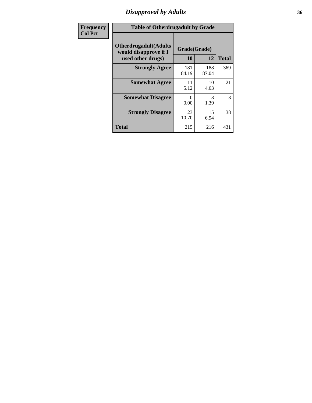### *Disapproval by Adults* **36**

| <b>Frequency</b> | <b>Table of Otherdrugadult by Grade</b>                                     |                    |              |              |
|------------------|-----------------------------------------------------------------------------|--------------------|--------------|--------------|
| <b>Col Pct</b>   | <b>Otherdrugadult</b> (Adults<br>would disapprove if I<br>used other drugs) | Grade(Grade)<br>10 | 12           | <b>Total</b> |
|                  | <b>Strongly Agree</b>                                                       | 181<br>84.19       | 188<br>87.04 | 369          |
|                  | <b>Somewhat Agree</b>                                                       | 11<br>5.12         | 10<br>4.63   | 21           |
|                  | <b>Somewhat Disagree</b>                                                    | $\Omega$<br>0.00   | 3<br>1.39    | 3            |
|                  | <b>Strongly Disagree</b>                                                    | 23<br>10.70        | 15<br>6.94   | 38           |
|                  | <b>Total</b>                                                                | 215                | 216          | 431          |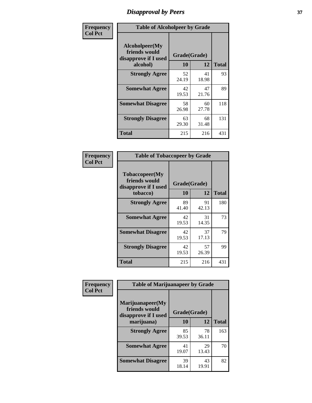## *Disapproval by Peers* **37**

| Frequency      | <b>Table of Alcoholpeer by Grade</b>                    |              |             |              |
|----------------|---------------------------------------------------------|--------------|-------------|--------------|
| <b>Col Pct</b> | Alcoholpeer(My<br>friends would<br>disapprove if I used | Grade(Grade) |             |              |
|                | alcohol)                                                | 10           | 12          | <b>Total</b> |
|                | <b>Strongly Agree</b>                                   | 52<br>24.19  | 41<br>18.98 | 93           |
|                | <b>Somewhat Agree</b>                                   | 42<br>19.53  | 47<br>21.76 | 89           |
|                | <b>Somewhat Disagree</b>                                | 58<br>26.98  | 60<br>27.78 | 118          |
|                | <b>Strongly Disagree</b>                                | 63<br>29.30  | 68<br>31.48 | 131          |
|                | Total                                                   | 215          | 216         | 431          |

| Frequency      | <b>Table of Tobaccopeer by Grade</b>                                |                    |             |              |
|----------------|---------------------------------------------------------------------|--------------------|-------------|--------------|
| <b>Col Pct</b> | Tobaccopeer(My<br>friends would<br>disapprove if I used<br>tobacco) | Grade(Grade)<br>10 | 12          | <b>Total</b> |
|                | <b>Strongly Agree</b>                                               | 89<br>41.40        | 91<br>42.13 | 180          |
|                | <b>Somewhat Agree</b>                                               | 42<br>19.53        | 31<br>14.35 | 73           |
|                | <b>Somewhat Disagree</b>                                            | 42<br>19.53        | 37<br>17.13 | 79           |
|                | <b>Strongly Disagree</b>                                            | 42<br>19.53        | 57<br>26.39 | 99           |
|                | Total                                                               | 215                | 216         | 431          |

| Frequency      | <b>Table of Marijuanapeer by Grade</b>                    |              |             |              |  |
|----------------|-----------------------------------------------------------|--------------|-------------|--------------|--|
| <b>Col Pct</b> | Marijuanapeer(My<br>friends would<br>disapprove if I used | Grade(Grade) |             |              |  |
|                | marijuana)                                                | 10           | 12          | <b>Total</b> |  |
|                | <b>Strongly Agree</b>                                     | 85<br>39.53  | 78<br>36.11 | 163          |  |
|                | <b>Somewhat Agree</b>                                     | 41<br>19.07  | 29<br>13.43 | 70           |  |
|                | <b>Somewhat Disagree</b>                                  | 39<br>18.14  | 43<br>19.91 | 82           |  |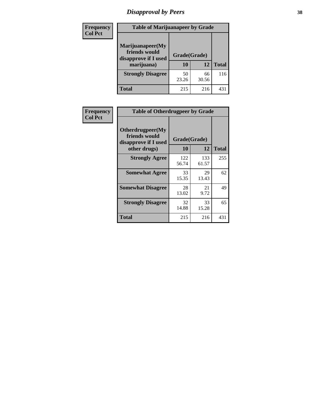# *Disapproval by Peers* **38**

| <b>Frequency</b> | <b>Table of Marijuanapeer by Grade</b>                                  |                           |             |              |  |
|------------------|-------------------------------------------------------------------------|---------------------------|-------------|--------------|--|
| <b>Col Pct</b>   | Marijuanapeer(My<br>friends would<br>disapprove if I used<br>marijuana) | Grade(Grade)<br><b>10</b> | 12          | <b>Total</b> |  |
|                  | <b>Strongly Disagree</b>                                                | 50<br>23.26               | 66<br>30.56 | 116          |  |
|                  | <b>Total</b>                                                            | 215                       | 216         | 431          |  |

| <b>Frequency</b> | <b>Table of Otherdrugpeer by Grade</b>                    |              |              |              |
|------------------|-----------------------------------------------------------|--------------|--------------|--------------|
| <b>Col Pct</b>   | Otherdrugpeer(My<br>friends would<br>disapprove if I used | Grade(Grade) |              |              |
|                  | other drugs)                                              | 10           | 12           | <b>Total</b> |
|                  | <b>Strongly Agree</b>                                     | 122<br>56.74 | 133<br>61.57 | 255          |
|                  | <b>Somewhat Agree</b>                                     | 33<br>15.35  | 29<br>13.43  | 62           |
|                  | <b>Somewhat Disagree</b>                                  | 28<br>13.02  | 21<br>9.72   | 49           |
|                  | <b>Strongly Disagree</b>                                  | 32<br>14.88  | 33<br>15.28  | 65           |
|                  | Total                                                     | 215          | 216          | 431          |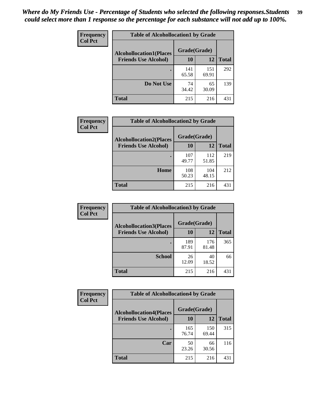| Frequency<br><b>Col Pct</b> | <b>Table of Alcohollocation1 by Grade</b> |              |              |              |
|-----------------------------|-------------------------------------------|--------------|--------------|--------------|
|                             | <b>Alcohollocation1(Places</b>            | Grade(Grade) |              |              |
|                             | <b>Friends Use Alcohol)</b>               | 10           | 12           | <b>Total</b> |
|                             |                                           | 141<br>65.58 | 151<br>69.91 | 292          |
|                             | Do Not Use                                | 74<br>34.42  | 65<br>30.09  | 139          |
|                             | <b>Total</b>                              | 215          | 216          | 431          |

| Frequency      | <b>Table of Alcohollocation2 by Grade</b>                     |                    |              |              |
|----------------|---------------------------------------------------------------|--------------------|--------------|--------------|
| <b>Col Pct</b> | <b>Alcohollocation2(Places</b><br><b>Friends Use Alcohol)</b> | Grade(Grade)<br>10 | 12           | <b>Total</b> |
|                |                                                               | 107<br>49.77       | 112<br>51.85 | 219          |
|                | Home                                                          | 108<br>50.23       | 104<br>48.15 | 212          |
|                | <b>Total</b>                                                  | 215                | 216          | 431          |

| Frequency<br><b>Col Pct</b> | <b>Table of Alcohollocation 3 by Grade</b>                    |                    |              |              |
|-----------------------------|---------------------------------------------------------------|--------------------|--------------|--------------|
|                             | <b>Alcohollocation3(Places</b><br><b>Friends Use Alcohol)</b> | Grade(Grade)<br>10 | 12           | <b>Total</b> |
|                             |                                                               | 189<br>87.91       | 176<br>81.48 | 365          |
|                             | <b>School</b>                                                 | 26<br>12.09        | 40<br>18.52  | 66           |
|                             | <b>Total</b>                                                  | 215                | 216          | 431          |

| Frequency      | <b>Table of Alcohollocation4 by Grade</b> |              |              |              |  |
|----------------|-------------------------------------------|--------------|--------------|--------------|--|
| <b>Col Pct</b> | <b>Alcohollocation4(Places</b>            | Grade(Grade) |              |              |  |
|                | <b>Friends Use Alcohol)</b>               | 10           | 12           | <b>Total</b> |  |
|                |                                           | 165<br>76.74 | 150<br>69.44 | 315          |  |
|                | Car                                       | 50<br>23.26  | 66<br>30.56  | 116          |  |
|                | <b>Total</b>                              | 215          | 216          | 431          |  |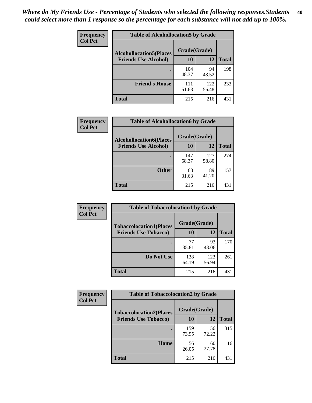| Frequency<br><b>Col Pct</b> | <b>Table of Alcohollocation5 by Grade</b> |              |              |              |  |
|-----------------------------|-------------------------------------------|--------------|--------------|--------------|--|
|                             | <b>Alcohollocation5(Places</b>            | Grade(Grade) |              |              |  |
|                             | <b>Friends Use Alcohol)</b>               | 10           | 12           | <b>Total</b> |  |
|                             |                                           | 104<br>48.37 | 94<br>43.52  | 198          |  |
|                             | <b>Friend's House</b>                     | 111<br>51.63 | 122<br>56.48 | 233          |  |
|                             | <b>Total</b>                              | 215          | 216          | 431          |  |

| Frequency      | <b>Table of Alcohollocation6 by Grade</b>                     |                    |             |              |
|----------------|---------------------------------------------------------------|--------------------|-------------|--------------|
| <b>Col Pct</b> | <b>Alcohollocation6(Places</b><br><b>Friends Use Alcohol)</b> | Grade(Grade)<br>10 | 12          | <b>Total</b> |
|                |                                                               | 147                | 127         | 274          |
|                |                                                               | 68.37              | 58.80       |              |
|                | <b>Other</b>                                                  | 68<br>31.63        | 89<br>41.20 | 157          |
|                | Total                                                         | 215                | 216         | 431          |

| Frequency      | <b>Table of Tobaccolocation1 by Grade</b> |              |              |              |
|----------------|-------------------------------------------|--------------|--------------|--------------|
| <b>Col Pct</b> | <b>Tobaccolocation1(Places</b>            | Grade(Grade) |              |              |
|                | <b>Friends Use Tobacco)</b>               | 10           | <b>12</b>    | <b>Total</b> |
|                |                                           | 77<br>35.81  | 93<br>43.06  | 170          |
|                | <b>Do Not Use</b>                         | 138<br>64.19 | 123<br>56.94 | 261          |
|                | <b>Total</b>                              | 215          | 216          | 431          |

| <b>Frequency</b> | <b>Table of Tobaccolocation2 by Grade</b> |              |              |              |  |
|------------------|-------------------------------------------|--------------|--------------|--------------|--|
| <b>Col Pct</b>   | <b>Tobaccolocation2(Places</b>            | Grade(Grade) |              |              |  |
|                  | <b>Friends Use Tobacco)</b>               | 10           | 12           | <b>Total</b> |  |
|                  |                                           | 159<br>73.95 | 156<br>72.22 | 315          |  |
|                  | Home                                      | 56<br>26.05  | 60<br>27.78  | 116          |  |
|                  | <b>Total</b>                              | 215          | 216          | 431          |  |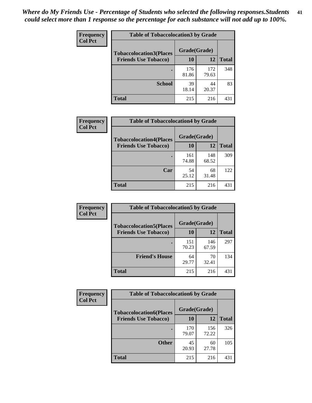| Frequency      | <b>Table of Tobaccolocation 3 by Grade</b> |              |              |              |  |
|----------------|--------------------------------------------|--------------|--------------|--------------|--|
| <b>Col Pct</b> | <b>Tobaccolocation3(Places</b>             | Grade(Grade) |              |              |  |
|                | <b>Friends Use Tobacco)</b>                | 10           | <b>12</b>    | <b>Total</b> |  |
|                |                                            | 176<br>81.86 | 172<br>79.63 | 348          |  |
|                | <b>School</b>                              | 39<br>18.14  | 44<br>20.37  | 83           |  |
|                | <b>Total</b>                               | 215          | 216          | 431          |  |

| Frequency      | <b>Table of Tobaccolocation4 by Grade</b> |                    |              |              |
|----------------|-------------------------------------------|--------------------|--------------|--------------|
| <b>Col Pct</b> | <b>Tobaccolocation4(Places</b>            | Grade(Grade)<br>10 | 12           |              |
|                | <b>Friends Use Tobacco)</b>               |                    |              | <b>Total</b> |
|                |                                           | 161<br>74.88       | 148<br>68.52 | 309          |
|                | Car                                       | 54<br>25.12        | 68<br>31.48  | 122          |
|                | <b>Total</b>                              | 215                | 216          | 431          |

| Frequency      | <b>Table of Tobaccolocation5 by Grade</b>                     |                    |              |              |
|----------------|---------------------------------------------------------------|--------------------|--------------|--------------|
| <b>Col Pct</b> | <b>Tobaccolocation5(Places</b><br><b>Friends Use Tobacco)</b> | Grade(Grade)<br>10 | 12           | <b>Total</b> |
|                |                                                               | 151<br>70.23       | 146<br>67.59 | 297          |
|                | <b>Friend's House</b>                                         | 64<br>29.77        | 70<br>32.41  | 134          |
|                | <b>Total</b>                                                  | 215                | 216          | 431          |

| Frequency      | <b>Table of Tobaccolocation6 by Grade</b> |              |              |              |  |
|----------------|-------------------------------------------|--------------|--------------|--------------|--|
| <b>Col Pct</b> | <b>Tobaccolocation6(Places</b>            | Grade(Grade) |              |              |  |
|                | <b>Friends Use Tobacco)</b>               | 10           | 12           | <b>Total</b> |  |
|                |                                           | 170<br>79.07 | 156<br>72.22 | 326          |  |
|                | <b>Other</b>                              | 45<br>20.93  | 60<br>27.78  | 105          |  |
|                | <b>Total</b>                              | 215          | 216          | 431          |  |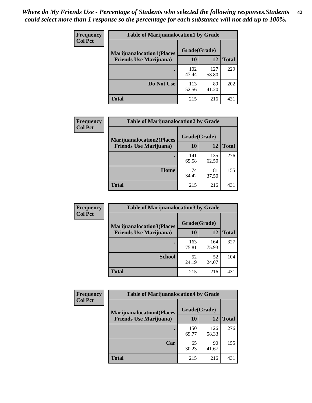| <b>Frequency</b> | <b>Table of Marijuanalocation1 by Grade</b> |              |              |              |
|------------------|---------------------------------------------|--------------|--------------|--------------|
| <b>Col Pct</b>   | <b>Marijuanalocation1(Places</b>            | Grade(Grade) |              |              |
|                  | <b>Friends Use Marijuana</b> )              | 10           | 12           | <b>Total</b> |
|                  |                                             | 102<br>47.44 | 127<br>58.80 | 229          |
|                  | Do Not Use                                  | 113<br>52.56 | 89<br>41.20  | 202          |
|                  | <b>Total</b>                                | 215          | 216          | 431          |

| <b>Frequency</b> | <b>Table of Marijuanalocation2 by Grade</b>                        |                    |              |              |
|------------------|--------------------------------------------------------------------|--------------------|--------------|--------------|
| <b>Col Pct</b>   | <b>Marijuanalocation2(Places</b><br><b>Friends Use Marijuana</b> ) | Grade(Grade)<br>10 | 12           | <b>Total</b> |
|                  |                                                                    | 141<br>65.58       | 135<br>62.50 | 276          |
|                  | Home                                                               | 74<br>34.42        | 81<br>37.50  | 155          |
|                  | <b>Total</b>                                                       | 215                | 216          | 431          |

| Frequency<br><b>Col Pct</b> | <b>Table of Marijuanalocation3 by Grade</b> |              |              |              |
|-----------------------------|---------------------------------------------|--------------|--------------|--------------|
|                             | <b>Marijuanalocation3</b> (Places           | Grade(Grade) |              |              |
|                             | <b>Friends Use Marijuana</b> )              | 10           | 12           | <b>Total</b> |
|                             |                                             | 163<br>75.81 | 164<br>75.93 | 327          |
|                             | <b>School</b>                               | 52<br>24.19  | 52<br>24.07  | 104          |
|                             | <b>Total</b>                                | 215          | 216          | 431          |

| Frequency      | <b>Table of Marijuanalocation4 by Grade</b> |              |              |              |  |
|----------------|---------------------------------------------|--------------|--------------|--------------|--|
| <b>Col Pct</b> | <b>Marijuanalocation4(Places</b>            | Grade(Grade) |              |              |  |
|                | <b>Friends Use Marijuana</b> )              | <b>10</b>    | 12           | <b>Total</b> |  |
|                |                                             | 150<br>69.77 | 126<br>58.33 | 276          |  |
|                | Car                                         | 65<br>30.23  | 90<br>41.67  | 155          |  |
|                | <b>Total</b>                                | 215          | 216          | 431          |  |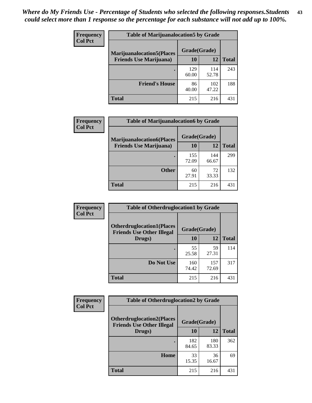| <b>Frequency</b>               | <b>Table of Marijuanalocation5 by Grade</b> |              |              |     |
|--------------------------------|---------------------------------------------|--------------|--------------|-----|
| <b>Col Pct</b>                 | <b>Marijuanalocation5</b> (Places           | Grade(Grade) |              |     |
| <b>Friends Use Marijuana</b> ) | 10                                          | 12           | <b>Total</b> |     |
|                                |                                             | 129<br>60.00 | 114<br>52.78 | 243 |
|                                | <b>Friend's House</b>                       | 86<br>40.00  | 102<br>47.22 | 188 |
|                                | <b>Total</b>                                | 215          | 216          | 431 |

| Frequency      | <b>Table of Marijuanalocation6 by Grade</b> |              |              |              |
|----------------|---------------------------------------------|--------------|--------------|--------------|
| <b>Col Pct</b> | <b>Marijuanalocation6(Places</b>            | Grade(Grade) |              |              |
|                | <b>Friends Use Marijuana</b> )              | 10           | 12           | <b>Total</b> |
|                |                                             | 155<br>72.09 | 144<br>66.67 | 299          |
|                | <b>Other</b>                                | 60<br>27.91  | 72<br>33.33  | 132          |
|                | <b>Total</b>                                | 215          | 216          | 431          |

| <b>Frequency</b> | <b>Table of Otherdruglocation1 by Grade</b>                          |              |              |              |
|------------------|----------------------------------------------------------------------|--------------|--------------|--------------|
| <b>Col Pct</b>   | <b>Otherdruglocation1(Places</b><br><b>Friends Use Other Illegal</b> | Grade(Grade) |              |              |
|                  | Drugs)                                                               | 10           | 12           | <b>Total</b> |
|                  |                                                                      | 55<br>25.58  | 59<br>27.31  | 114          |
|                  | Do Not Use                                                           | 160<br>74.42 | 157<br>72.69 | 317          |
|                  | <b>Total</b>                                                         | 215          | 216          | 431          |

| <b>Frequency</b> | <b>Table of Otherdruglocation2 by Grade</b>                           |              |              |              |
|------------------|-----------------------------------------------------------------------|--------------|--------------|--------------|
| <b>Col Pct</b>   | <b>Otherdruglocation2(Places)</b><br><b>Friends Use Other Illegal</b> | Grade(Grade) |              |              |
|                  | Drugs)                                                                | 10           | 12           | <b>Total</b> |
|                  |                                                                       | 182<br>84.65 | 180<br>83.33 | 362          |
|                  | Home                                                                  | 33<br>15.35  | 36<br>16.67  | 69           |
|                  | <b>Total</b>                                                          | 215          | 216          | 431          |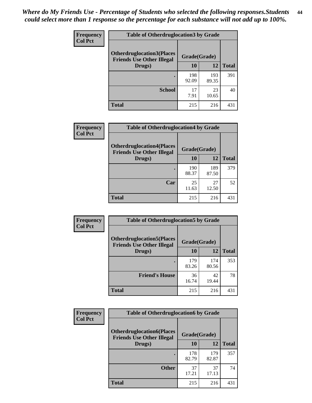| <b>Frequency</b> | <b>Table of Otherdruglocation 3 by Grade</b>                         |              |              |              |
|------------------|----------------------------------------------------------------------|--------------|--------------|--------------|
| <b>Col Pct</b>   | <b>Otherdruglocation3(Places</b><br><b>Friends Use Other Illegal</b> | Grade(Grade) |              |              |
|                  | Drugs)                                                               | 10           | 12           | <b>Total</b> |
|                  |                                                                      | 198<br>92.09 | 193<br>89.35 | 391          |
|                  | <b>School</b>                                                        | 17<br>7.91   | 23<br>10.65  | 40           |
|                  | <b>Total</b>                                                         | 215          | 216          | 431          |

| Frequency      | <b>Table of Otherdruglocation4 by Grade</b>                          |              |              |              |
|----------------|----------------------------------------------------------------------|--------------|--------------|--------------|
| <b>Col Pct</b> | <b>Otherdruglocation4(Places</b><br><b>Friends Use Other Illegal</b> | Grade(Grade) |              |              |
|                | Drugs)                                                               | 10           | 12           | <b>Total</b> |
|                |                                                                      | 190<br>88.37 | 189<br>87.50 | 379          |
|                | Car                                                                  | 25<br>11.63  | 27<br>12.50  | 52           |
|                | <b>Total</b>                                                         | 215          | 216          | 431          |

| <b>Frequency</b> | <b>Table of Otherdruglocation5 by Grade</b>                          |              |              |              |
|------------------|----------------------------------------------------------------------|--------------|--------------|--------------|
| <b>Col Pct</b>   | <b>Otherdruglocation5(Places</b><br><b>Friends Use Other Illegal</b> | Grade(Grade) |              |              |
|                  | Drugs)                                                               | <b>10</b>    | 12           | <b>Total</b> |
|                  |                                                                      | 179<br>83.26 | 174<br>80.56 | 353          |
|                  | <b>Friend's House</b>                                                | 36<br>16.74  | 42<br>19.44  | 78           |
|                  | <b>Total</b>                                                         | 215          | 216          | 431          |

| <b>Frequency</b> | <b>Table of Otherdruglocation6 by Grade</b>                          |              |              |              |
|------------------|----------------------------------------------------------------------|--------------|--------------|--------------|
| <b>Col Pct</b>   | <b>Otherdruglocation6(Places</b><br><b>Friends Use Other Illegal</b> | Grade(Grade) |              |              |
|                  | Drugs)                                                               | <b>10</b>    | 12           | <b>Total</b> |
|                  |                                                                      | 178<br>82.79 | 179<br>82.87 | 357          |
|                  | <b>Other</b>                                                         | 37<br>17.21  | 37<br>17.13  | 74           |
|                  | <b>Total</b>                                                         | 215          | 216          | 431          |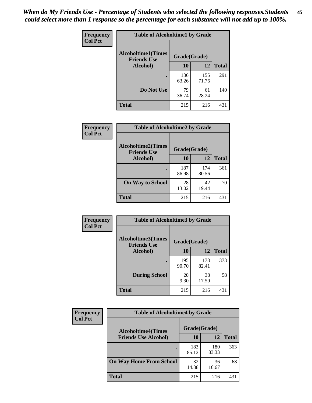| Frequency      | <b>Table of Alcoholtime1 by Grade</b>           |              |              |              |
|----------------|-------------------------------------------------|--------------|--------------|--------------|
| <b>Col Pct</b> | <b>Alcoholtime1(Times</b><br><b>Friends Use</b> | Grade(Grade) |              |              |
|                | Alcohol)                                        | 10           | 12           | <b>Total</b> |
|                |                                                 | 136<br>63.26 | 155<br>71.76 | 291          |
|                | Do Not Use                                      | 79<br>36.74  | 61<br>28.24  | 140          |
|                | <b>Total</b>                                    | 215          | 216          | 431          |

| Frequency      | <b>Table of Alcoholtime2 by Grade</b>           |              |              |              |
|----------------|-------------------------------------------------|--------------|--------------|--------------|
| <b>Col Pct</b> | <b>Alcoholtime2(Times</b><br><b>Friends Use</b> | Grade(Grade) |              |              |
|                | Alcohol)                                        | 10           | 12           | <b>Total</b> |
|                |                                                 | 187<br>86.98 | 174<br>80.56 | 361          |
|                | <b>On Way to School</b>                         | 28<br>13.02  | 42<br>19.44  | 70           |
|                | <b>Total</b>                                    | 215          | 216          | 431          |

| Frequency<br><b>Col Pct</b> | <b>Table of Alcoholtime3 by Grade</b>                           |              |              |              |
|-----------------------------|-----------------------------------------------------------------|--------------|--------------|--------------|
|                             | <b>Alcoholtime3(Times</b><br>Grade(Grade)<br><b>Friends Use</b> |              |              |              |
|                             | Alcohol)                                                        | 10           | 12           | <b>Total</b> |
|                             |                                                                 | 195<br>90.70 | 178<br>82.41 | 373          |
|                             | <b>During School</b>                                            | 20<br>9.30   | 38<br>17.59  | 58           |
|                             | Total                                                           | 215          | 216          | 431          |

| <b>Frequency</b> | <b>Table of Alcoholtime4 by Grade</b> |              |              |              |  |
|------------------|---------------------------------------|--------------|--------------|--------------|--|
| <b>Col Pct</b>   | <b>Alcoholtime4(Times</b>             | Grade(Grade) |              |              |  |
|                  | <b>Friends Use Alcohol)</b>           | 10           | 12           | <b>Total</b> |  |
|                  | $\bullet$                             | 183<br>85.12 | 180<br>83.33 | 363          |  |
|                  | <b>On Way Home From School</b>        | 32<br>14.88  | 36<br>16.67  | 68           |  |
|                  | <b>Total</b>                          | 215          | 216          | 431          |  |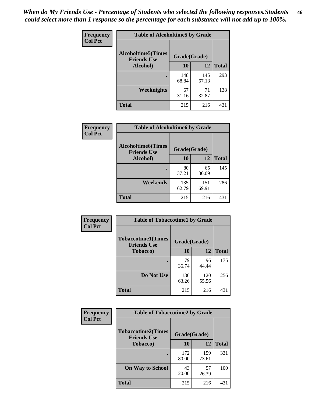*When do My Friends Use - Percentage of Students who selected the following responses.Students could select more than 1 response so the percentage for each substance will not add up to 100%.* **46**

| Frequency      | <b>Table of Alcoholtime5 by Grade</b>           |              |              |              |
|----------------|-------------------------------------------------|--------------|--------------|--------------|
| <b>Col Pct</b> | <b>Alcoholtime5(Times</b><br><b>Friends Use</b> | Grade(Grade) |              |              |
|                | Alcohol)                                        | 10           | 12           | <b>Total</b> |
|                |                                                 | 148<br>68.84 | 145<br>67.13 | 293          |
|                | Weeknights                                      | 67<br>31.16  | 71<br>32.87  | 138          |
|                | <b>Total</b>                                    | 215          | 216          | 431          |

| Frequency      | <b>Table of Alcoholtime6 by Grade</b>           |              |              |              |
|----------------|-------------------------------------------------|--------------|--------------|--------------|
| <b>Col Pct</b> | <b>Alcoholtime6(Times</b><br><b>Friends Use</b> | Grade(Grade) |              |              |
|                | Alcohol)                                        | 10           | 12           | <b>Total</b> |
|                | ٠                                               | 80<br>37.21  | 65<br>30.09  | 145          |
|                | Weekends                                        | 135<br>62.79 | 151<br>69.91 | 286          |
|                | <b>Total</b>                                    | 215          | 216          | 431          |

| Frequency<br><b>Col Pct</b> | <b>Table of Tobaccotime1 by Grade</b>           |              |              |              |
|-----------------------------|-------------------------------------------------|--------------|--------------|--------------|
|                             | <b>Tobaccotime1(Times</b><br><b>Friends Use</b> | Grade(Grade) |              |              |
|                             | <b>Tobacco</b> )                                | 10           | 12           | <b>Total</b> |
|                             | ٠                                               | 79<br>36.74  | 96<br>44.44  | 175          |
|                             | Do Not Use                                      | 136<br>63.26 | 120<br>55.56 | 256          |
|                             | <b>Total</b>                                    | 215          | 216          | 431          |

| <b>Frequency</b> | <b>Table of Tobaccotime2 by Grade</b>           |              |              |              |
|------------------|-------------------------------------------------|--------------|--------------|--------------|
| <b>Col Pct</b>   | <b>Tobaccotime2(Times</b><br><b>Friends Use</b> | Grade(Grade) |              |              |
|                  | <b>Tobacco</b> )                                | 10           | 12           | <b>Total</b> |
|                  |                                                 | 172<br>80.00 | 159<br>73.61 | 331          |
|                  | <b>On Way to School</b>                         | 43<br>20.00  | 57<br>26.39  | 100          |
|                  | <b>Total</b>                                    | 215          | 216          | 431          |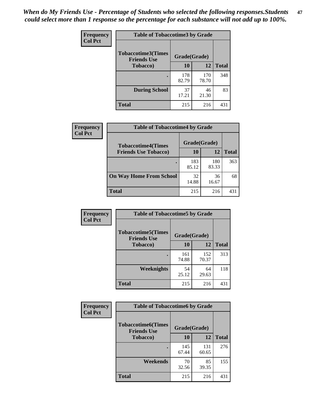*When do My Friends Use - Percentage of Students who selected the following responses.Students could select more than 1 response so the percentage for each substance will not add up to 100%.* **47**

| <b>Frequency</b> | <b>Table of Tobaccotime3 by Grade</b>           |              |              |              |
|------------------|-------------------------------------------------|--------------|--------------|--------------|
| <b>Col Pct</b>   | <b>Tobaccotime3(Times</b><br><b>Friends Use</b> | Grade(Grade) |              |              |
|                  | <b>Tobacco</b> )                                | 10           | 12           | <b>Total</b> |
|                  |                                                 | 178<br>82.79 | 170<br>78.70 | 348          |
|                  | <b>During School</b>                            | 37<br>17.21  | 46<br>21.30  | 83           |
|                  | <b>Total</b>                                    | 215          | 216          | 431          |

| <b>Frequency</b><br><b>Col Pct</b> | <b>Table of Tobaccotime4 by Grade</b> |              |              |              |
|------------------------------------|---------------------------------------|--------------|--------------|--------------|
|                                    | <b>Tobaccotime4(Times</b>             | Grade(Grade) |              |              |
|                                    | <b>Friends Use Tobacco)</b>           | 10           | 12           | <b>Total</b> |
|                                    |                                       | 183<br>85.12 | 180<br>83.33 | 363          |
|                                    | <b>On Way Home From School</b>        | 32<br>14.88  | 36<br>16.67  | 68           |
|                                    | <b>Total</b>                          | 215          | 216          | 431          |

| Frequency<br><b>Col Pct</b> | <b>Table of Tobaccotime5 by Grade</b>           |              |              |              |  |
|-----------------------------|-------------------------------------------------|--------------|--------------|--------------|--|
|                             | <b>Tobaccotime5(Times</b><br><b>Friends Use</b> | Grade(Grade) |              |              |  |
|                             | <b>Tobacco</b> )                                | 10           | 12           | <b>Total</b> |  |
|                             |                                                 | 161<br>74.88 | 152<br>70.37 | 313          |  |
|                             | Weeknights                                      | 54<br>25.12  | 64<br>29.63  | 118          |  |
|                             | <b>Total</b>                                    | 215          | 216          | 431          |  |

| Frequency      | <b>Table of Tobaccotime6 by Grade</b>                           |              |              |              |
|----------------|-----------------------------------------------------------------|--------------|--------------|--------------|
| <b>Col Pct</b> | <b>Tobaccotime6(Times</b><br>Grade(Grade)<br><b>Friends Use</b> |              |              |              |
|                | <b>Tobacco</b> )                                                | 10           | 12           | <b>Total</b> |
|                |                                                                 | 145<br>67.44 | 131<br>60.65 | 276          |
|                | Weekends                                                        | 70<br>32.56  | 85<br>39.35  | 155          |
|                | <b>Total</b>                                                    | 215          | 216          | 431          |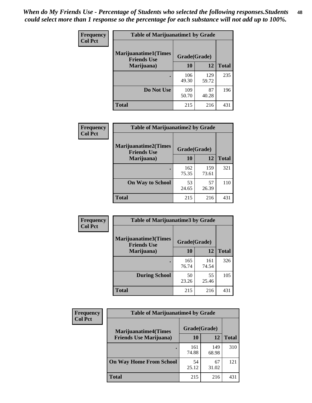| Frequency      | <b>Table of Marijuanatime1 by Grade</b>           |              |              |              |
|----------------|---------------------------------------------------|--------------|--------------|--------------|
| <b>Col Pct</b> | <b>Marijuanatime1(Times</b><br><b>Friends Use</b> | Grade(Grade) |              |              |
|                | Marijuana)                                        | 10           | 12           | <b>Total</b> |
|                |                                                   | 106<br>49.30 | 129<br>59.72 | 235          |
|                | Do Not Use                                        | 109<br>50.70 | 87<br>40.28  | 196          |
|                | <b>Total</b>                                      | 215          | 216          | 431          |

| Frequency      | <b>Table of Marijuanatime2 by Grade</b>           |              |              |              |
|----------------|---------------------------------------------------|--------------|--------------|--------------|
| <b>Col Pct</b> | <b>Marijuanatime2(Times</b><br><b>Friends Use</b> | Grade(Grade) |              |              |
|                | Marijuana)                                        | 10           | 12           | <b>Total</b> |
|                |                                                   | 162<br>75.35 | 159<br>73.61 | 321          |
|                | <b>On Way to School</b>                           | 53<br>24.65  | 57<br>26.39  | 110          |
|                | <b>Total</b>                                      | 215          | 216          | 431          |

| Frequency      | <b>Table of Marijuanatime3 by Grade</b>    |              |              |              |  |
|----------------|--------------------------------------------|--------------|--------------|--------------|--|
| <b>Col Pct</b> | Marijuanatime3(Times<br><b>Friends Use</b> | Grade(Grade) |              |              |  |
|                | Marijuana)                                 | 10           | 12           | <b>Total</b> |  |
|                |                                            | 165<br>76.74 | 161<br>74.54 | 326          |  |
|                | <b>During School</b>                       | 50<br>23.26  | 55<br>25.46  | 105          |  |
|                | Total                                      | 215          | 216          | 431          |  |

| <b>Frequency</b> | <b>Table of Marijuanatime4 by Grade</b> |              |              |              |
|------------------|-----------------------------------------|--------------|--------------|--------------|
| <b>Col Pct</b>   | <b>Marijuanatime4(Times</b>             | Grade(Grade) |              |              |
|                  | <b>Friends Use Marijuana</b> )          | 10           | 12           | <b>Total</b> |
|                  |                                         | 161<br>74.88 | 149<br>68.98 | 310          |
|                  | <b>On Way Home From School</b>          | 54<br>25.12  | 67<br>31.02  | 121          |
|                  | <b>Total</b>                            | 215          | 216          | 431          |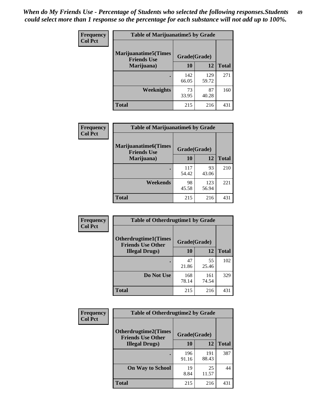| Frequency      | <b>Table of Marijuanatime5 by Grade</b>            |              |              |              |  |
|----------------|----------------------------------------------------|--------------|--------------|--------------|--|
| <b>Col Pct</b> | <b>Marijuanatime5</b> (Times<br><b>Friends Use</b> | Grade(Grade) |              |              |  |
|                | Marijuana)                                         | 10           | 12           | <b>Total</b> |  |
|                |                                                    | 142<br>66.05 | 129<br>59.72 | 271          |  |
|                | Weeknights                                         | 73<br>33.95  | 87<br>40.28  | 160          |  |
|                | <b>Total</b>                                       | 215          | 216          | 431          |  |

| Frequency      | <b>Table of Marijuanatime6 by Grade</b>            |              |              |              |
|----------------|----------------------------------------------------|--------------|--------------|--------------|
| <b>Col Pct</b> | <b>Marijuanatime6</b> (Times<br><b>Friends Use</b> | Grade(Grade) |              |              |
|                | Marijuana)                                         | 10           | 12           | <b>Total</b> |
|                |                                                    | 117<br>54.42 | 93<br>43.06  | 210          |
|                | Weekends                                           | 98<br>45.58  | 123<br>56.94 | 221          |
|                | <b>Total</b>                                       | 215          | 216          | 431          |

| <b>Frequency</b> | <b>Table of Otherdrugtime1 by Grade</b>                  |              |              |              |
|------------------|----------------------------------------------------------|--------------|--------------|--------------|
| <b>Col Pct</b>   | <b>Otherdrugtime1</b> (Times<br><b>Friends Use Other</b> | Grade(Grade) |              |              |
|                  | <b>Illegal Drugs</b> )                                   | 10           | 12           | <b>Total</b> |
|                  |                                                          | 47<br>21.86  | 55<br>25.46  | 102          |
|                  | Do Not Use                                               | 168<br>78.14 | 161<br>74.54 | 329          |
|                  | Total                                                    | 215          | 216          | 431          |

| <b>Frequency</b> | <b>Table of Otherdrugtime2 by Grade</b>                 |              |              |              |  |  |
|------------------|---------------------------------------------------------|--------------|--------------|--------------|--|--|
| <b>Col Pct</b>   | <b>Otherdrugtime2(Times</b><br><b>Friends Use Other</b> | Grade(Grade) |              |              |  |  |
|                  | <b>Illegal Drugs</b> )                                  | 10           | 12           | <b>Total</b> |  |  |
|                  |                                                         | 196<br>91.16 | 191<br>88.43 | 387          |  |  |
|                  | <b>On Way to School</b>                                 | 19<br>8.84   | 25<br>11.57  | 44           |  |  |
|                  | Total                                                   | 215          | 216          | 431          |  |  |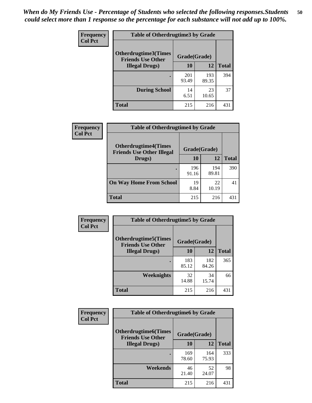| <b>Frequency</b><br><b>Col Pct</b> | <b>Table of Otherdrugtime3 by Grade</b>                 |              |              |              |  |  |
|------------------------------------|---------------------------------------------------------|--------------|--------------|--------------|--|--|
|                                    | <b>Otherdrugtime3(Times</b><br><b>Friends Use Other</b> | Grade(Grade) |              |              |  |  |
|                                    | <b>Illegal Drugs</b> )                                  | 10           | 12           | <b>Total</b> |  |  |
|                                    |                                                         | 201<br>93.49 | 193<br>89.35 | 394          |  |  |
|                                    | <b>During School</b>                                    | 14<br>6.51   | 23<br>10.65  | 37           |  |  |
|                                    | <b>Total</b>                                            | 215          | 216          | 431          |  |  |

| <b>Frequency</b> | <b>Table of Otherdrugtime4 by Grade</b>                         |              |              |              |  |  |
|------------------|-----------------------------------------------------------------|--------------|--------------|--------------|--|--|
| <b>Col Pct</b>   | <b>Otherdrugtime4(Times</b><br><b>Friends Use Other Illegal</b> | Grade(Grade) |              |              |  |  |
|                  | Drugs)                                                          | 10           | 12           | <b>Total</b> |  |  |
|                  |                                                                 | 196<br>91.16 | 194<br>89.81 | 390          |  |  |
|                  | <b>On Way Home From School</b>                                  | 19<br>8.84   | 22<br>10.19  | 41           |  |  |
|                  | <b>Total</b>                                                    | 215          | 216          | 431          |  |  |

| <b>Frequency</b> | <b>Table of Otherdrugtime5 by Grade</b>                  |              |              |              |  |  |
|------------------|----------------------------------------------------------|--------------|--------------|--------------|--|--|
| <b>Col Pct</b>   | <b>Otherdrugtime5</b> (Times<br><b>Friends Use Other</b> | Grade(Grade) |              |              |  |  |
|                  | <b>Illegal Drugs</b> )                                   | 10           | 12           | <b>Total</b> |  |  |
|                  |                                                          | 183<br>85.12 | 182<br>84.26 | 365          |  |  |
|                  | <b>Weeknights</b>                                        | 32<br>14.88  | 34<br>15.74  | 66           |  |  |
|                  | Total                                                    | 215          | 216          | 431          |  |  |

| <b>Frequency</b> | <b>Table of Otherdrugtime6 by Grade</b>                                 |              |              |              |  |
|------------------|-------------------------------------------------------------------------|--------------|--------------|--------------|--|
| <b>Col Pct</b>   | <b>Otherdrugtime6(Times</b><br>Grade(Grade)<br><b>Friends Use Other</b> |              |              |              |  |
|                  | <b>Illegal Drugs</b> )                                                  | 10           | 12           | <b>Total</b> |  |
|                  |                                                                         | 169<br>78.60 | 164<br>75.93 | 333          |  |
|                  | Weekends                                                                | 46<br>21.40  | 52<br>24.07  | 98           |  |
|                  | Total                                                                   | 215          | 216          | 431          |  |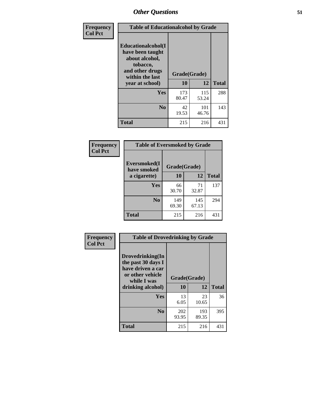| Frequency      | <b>Table of Educationalcohol by Grade</b>                                                                  |              |              |              |  |
|----------------|------------------------------------------------------------------------------------------------------------|--------------|--------------|--------------|--|
| <b>Col Pct</b> | Educationalcohol(I<br>have been taught<br>about alcohol,<br>tobacco,<br>and other drugs<br>within the last | Grade(Grade) |              |              |  |
|                | year at school)                                                                                            | 10           | 12           | <b>Total</b> |  |
|                | <b>Yes</b>                                                                                                 | 173<br>80.47 | 115<br>53.24 | 288          |  |
|                | N <sub>0</sub>                                                                                             | 42<br>19.53  | 101<br>46.76 | 143          |  |
|                | <b>Total</b>                                                                                               | 215          | 216          | 431          |  |

| Frequency      | <b>Table of Eversmoked by Grade</b> |              |              |              |  |  |
|----------------|-------------------------------------|--------------|--------------|--------------|--|--|
| <b>Col Pct</b> | Eversmoked(I<br>have smoked         | Grade(Grade) |              |              |  |  |
|                | a cigarette)                        | 10           | 12           | <b>Total</b> |  |  |
|                | Yes                                 | 66<br>30.70  | 71<br>32.87  | 137          |  |  |
|                | N <sub>0</sub>                      | 149<br>69.30 | 145<br>67.13 | 294          |  |  |
|                | <b>Total</b>                        | 215          | 216          | 431          |  |  |

| Frequency      | <b>Table of Drovedrinking by Grade</b>                                                                              |                          |              |              |  |  |
|----------------|---------------------------------------------------------------------------------------------------------------------|--------------------------|--------------|--------------|--|--|
| <b>Col Pct</b> | Drovedrinking(In<br>the past 30 days I<br>have driven a car<br>or other vehicle<br>while I was<br>drinking alcohol) | Grade(Grade)<br>12<br>10 |              | <b>Total</b> |  |  |
|                | <b>Yes</b>                                                                                                          | 13<br>6.05               | 23<br>10.65  | 36           |  |  |
|                | N <sub>0</sub>                                                                                                      | 202<br>93.95             | 193<br>89.35 | 395          |  |  |
|                | <b>Total</b>                                                                                                        | 215                      | 216          | 431          |  |  |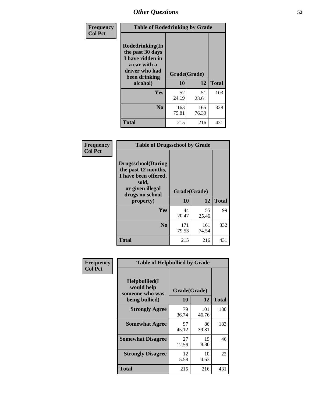| Frequency<br><b>Col Pct</b> | <b>Table of Rodedrinking by Grade</b>                                                                                      |              |              |              |  |  |
|-----------------------------|----------------------------------------------------------------------------------------------------------------------------|--------------|--------------|--------------|--|--|
|                             | Rodedrinking(In<br>the past 30 days<br>I have ridden in<br>a car with a<br>driver who had<br>Grade(Grade)<br>been drinking |              |              |              |  |  |
|                             | alcohol)                                                                                                                   | 10           | 12           | <b>Total</b> |  |  |
|                             | <b>Yes</b>                                                                                                                 | 52<br>24.19  | 51<br>23.61  | 103          |  |  |
|                             | N <sub>0</sub>                                                                                                             | 163<br>75.81 | 165<br>76.39 | 328          |  |  |
|                             | <b>Total</b>                                                                                                               | 215          | 216          | 431          |  |  |

#### **Frequency Col Pct**

| <b>Table of Drugsschool by Grade</b>                                                                                      |              |              |              |  |  |  |
|---------------------------------------------------------------------------------------------------------------------------|--------------|--------------|--------------|--|--|--|
| <b>Drugsschool</b> (During<br>the past 12 months,<br>I have been offered,<br>sold,<br>or given illegal<br>drugs on school | Grade(Grade) |              |              |  |  |  |
| property)                                                                                                                 | 10           | 12           | <b>Total</b> |  |  |  |
| Yes                                                                                                                       | 44<br>20.47  | 55<br>25.46  | 99           |  |  |  |
| N <sub>0</sub>                                                                                                            | 171<br>79.53 | 161<br>74.54 | 332          |  |  |  |
| <b>Total</b>                                                                                                              | 215          | 216          | 431          |  |  |  |

| Frequency      | <b>Table of Helpbullied by Grade</b>                 |              |              |              |  |  |  |
|----------------|------------------------------------------------------|--------------|--------------|--------------|--|--|--|
| <b>Col Pct</b> | $Helpb$ ullied $(I$<br>would help<br>someone who was | Grade(Grade) |              |              |  |  |  |
|                | being bullied)                                       | <b>10</b>    | 12           | <b>Total</b> |  |  |  |
|                | <b>Strongly Agree</b>                                | 79<br>36.74  | 101<br>46.76 | 180          |  |  |  |
|                | <b>Somewhat Agree</b>                                | 97<br>45.12  | 86<br>39.81  | 183          |  |  |  |
|                | <b>Somewhat Disagree</b>                             | 27<br>12.56  | 19<br>8.80   | 46           |  |  |  |
|                | <b>Strongly Disagree</b>                             | 12<br>5.58   | 10<br>4.63   | 22           |  |  |  |
|                | <b>Total</b>                                         | 215          | 216          | 431          |  |  |  |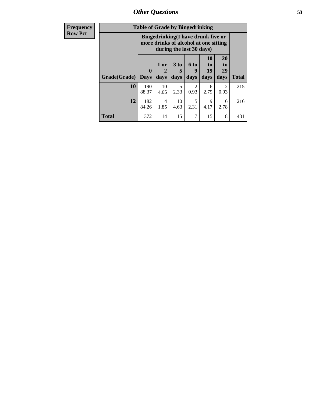*Other Questions* **53**

| <b>Frequency</b> | <b>Table of Grade by Bingedrinking</b> |                             |                |                              |                                                                                                         |                        |                        |              |
|------------------|----------------------------------------|-----------------------------|----------------|------------------------------|---------------------------------------------------------------------------------------------------------|------------------------|------------------------|--------------|
| <b>Row Pct</b>   |                                        |                             |                |                              | Bingedrinking(I have drunk five or<br>more drinks of alcohol at one sitting<br>during the last 30 days) |                        |                        |              |
|                  | Grade(Grade)                           | $\mathbf{0}$<br><b>Days</b> | $1$ or<br>days | 3 <sub>to</sub><br>5<br>days | 6 <sup>to</sup><br>9<br>days                                                                            | 10<br>to<br>19<br>days | 20<br>to<br>29<br>days | <b>Total</b> |
|                  | 10                                     | 190<br>88.37                | 10<br>4.65     | 5<br>2.33                    | 2<br>0.93                                                                                               | 6<br>2.79              | 2<br>0.93              | 215          |
|                  | 12                                     | 182<br>84.26                | 4<br>1.85      | 10<br>4.63                   | 5<br>2.31                                                                                               | 9<br>4.17              | 6<br>2.78              | 216          |
|                  | <b>Total</b>                           | 372                         | 14             | 15                           | 7                                                                                                       | 15                     | 8                      | 431          |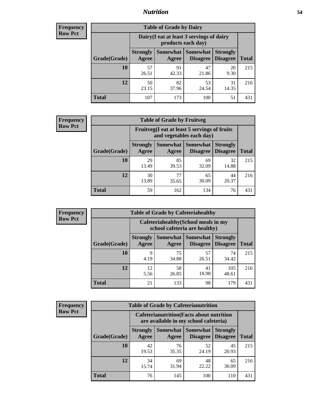### *Nutrition* **54**

| <b>Frequency</b> |
|------------------|
| <b>Row Pct</b>   |

| <b>Table of Grade by Dairy</b> |                          |                                                                 |                             |                                    |              |  |  |  |
|--------------------------------|--------------------------|-----------------------------------------------------------------|-----------------------------|------------------------------------|--------------|--|--|--|
|                                |                          | Dairy (I eat at least 3 servings of dairy<br>products each day) |                             |                                    |              |  |  |  |
| Grade(Grade)                   | <b>Strongly</b><br>Agree | Somewhat<br>Agree                                               | <b>Somewhat</b><br>Disagree | <b>Strongly</b><br><b>Disagree</b> | <b>Total</b> |  |  |  |
| 10                             | 57<br>26.51              | 91<br>42.33                                                     | 47<br>21.86                 | 20<br>9.30                         | 215          |  |  |  |
| 12                             | 50<br>23.15              | 82<br>37.96                                                     | 53<br>24.54                 | 31<br>14.35                        | 216          |  |  |  |
| <b>Total</b>                   | 107                      | 173                                                             | 100                         | 51                                 | 431          |  |  |  |

| <b>Frequency</b> |  |
|------------------|--|
| <b>Row Pct</b>   |  |

| <b>Table of Grade by Fruitveg</b> |                                                                          |             |                               |                                    |              |  |  |
|-----------------------------------|--------------------------------------------------------------------------|-------------|-------------------------------|------------------------------------|--------------|--|--|
|                                   | Fruitveg(I eat at least 5 servings of fruits<br>and vegetables each day) |             |                               |                                    |              |  |  |
| Grade(Grade)                      | <b>Strongly</b><br>Agree                                                 | Agree       | Somewhat Somewhat<br>Disagree | <b>Strongly</b><br><b>Disagree</b> | <b>Total</b> |  |  |
| 10                                | 29<br>13.49                                                              | 85<br>39.53 | 69<br>32.09                   | 32<br>14.88                        | 215          |  |  |
| 12                                | 30<br>13.89                                                              | 77<br>35.65 | 65<br>30.09                   | 44<br>20.37                        | 216          |  |  |
| <b>Total</b>                      | 59                                                                       | 162         | 134                           | 76                                 | 431          |  |  |

| <b>Frequency</b> | <b>Table of Grade by Cafeteriahealthy</b> |                                                                       |             |                                          |                                    |              |  |
|------------------|-------------------------------------------|-----------------------------------------------------------------------|-------------|------------------------------------------|------------------------------------|--------------|--|
| <b>Row Pct</b>   |                                           | Cafeteriahealthy (School meals in my<br>school cafeteria are healthy) |             |                                          |                                    |              |  |
|                  | Grade(Grade)                              | <b>Strongly</b><br>Agree                                              | Agree       | Somewhat   Somewhat  <br><b>Disagree</b> | <b>Strongly</b><br><b>Disagree</b> | <b>Total</b> |  |
|                  | 10                                        | Q<br>4.19                                                             | 75<br>34.88 | 57<br>26.51                              | 74<br>34.42                        | 215          |  |
|                  | 12                                        | 12<br>5.56                                                            | 58<br>26.85 | 41<br>18.98                              | 105<br>48.61                       | 216          |  |
|                  | <b>Total</b>                              | 21                                                                    | 133         | 98                                       | 179                                | 431          |  |

| <b>Frequency</b> |
|------------------|
| <b>Row Pct</b>   |

| <b>Table of Grade by Cafeterianutrition</b>                                               |                          |                   |                             |                                    |              |  |  |
|-------------------------------------------------------------------------------------------|--------------------------|-------------------|-----------------------------|------------------------------------|--------------|--|--|
| <b>Cafeterianutrition</b> (Facts about nutrition<br>are available in my school cafeteria) |                          |                   |                             |                                    |              |  |  |
| Grade(Grade)                                                                              | <b>Strongly</b><br>Agree | Somewhat<br>Agree | <b>Somewhat</b><br>Disagree | <b>Strongly</b><br><b>Disagree</b> | <b>Total</b> |  |  |
| 10                                                                                        | 42<br>19.53              | 76<br>35.35       | 52<br>24.19                 | 45<br>20.93                        | 215          |  |  |
| 12                                                                                        | 34<br>15.74              | 69<br>31.94       | 48<br>22.22                 | 65<br>30.09                        | 216          |  |  |
| Total                                                                                     | 76                       | 145               | 100                         | 110                                | 431          |  |  |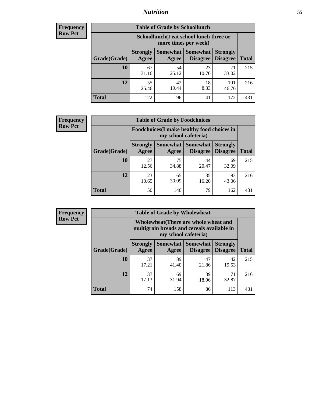### *Nutrition* **55**

| Frequency |
|-----------|
| Row Pct   |

| <b>Table of Grade by Schoollunch</b> |                                                                                                                      |                                                                 |             |              |     |  |  |  |
|--------------------------------------|----------------------------------------------------------------------------------------------------------------------|-----------------------------------------------------------------|-------------|--------------|-----|--|--|--|
|                                      |                                                                                                                      | Schoollunch(I eat school lunch three or<br>more times per week) |             |              |     |  |  |  |
| Grade(Grade)                         | Somewhat  <br><b>Somewhat</b><br><b>Strongly</b><br><b>Strongly</b><br><b>Disagree</b><br>Disagree<br>Agree<br>Agree |                                                                 |             |              |     |  |  |  |
| 10                                   | 67<br>31.16                                                                                                          | 54<br>25.12                                                     | 23<br>10.70 | 71<br>33.02  | 215 |  |  |  |
| 12                                   | 55<br>25.46                                                                                                          | 42<br>19.44                                                     | 18<br>8.33  | 101<br>46.76 | 216 |  |  |  |
| <b>Total</b>                         | 122                                                                                                                  | 96                                                              | 41          | 172          | 431 |  |  |  |

| <b>Frequency</b> |  |
|------------------|--|
| <b>Row Pct</b>   |  |

| <b>Table of Grade by Foodchoices</b>                                       |                          |             |                                      |                                    |              |  |  |
|----------------------------------------------------------------------------|--------------------------|-------------|--------------------------------------|------------------------------------|--------------|--|--|
| <b>Foodchoices</b> (I make healthy food choices in<br>my school cafeteria) |                          |             |                                      |                                    |              |  |  |
| Grade(Grade)                                                               | <b>Strongly</b><br>Agree | Agree       | <b>Somewhat Somewhat</b><br>Disagree | <b>Strongly</b><br><b>Disagree</b> | <b>Total</b> |  |  |
| 10                                                                         | 27<br>12.56              | 75<br>34.88 | 44<br>20.47                          | 69<br>32.09                        | 215          |  |  |
| 12                                                                         | 23<br>10.65              | 65<br>30.09 | 35<br>16.20                          | 93<br>43.06                        | 216          |  |  |
| Total                                                                      | 50                       | 140         | 79                                   | 162                                | 431          |  |  |

| <b>Frequency</b> | <b>Table of Grade by Wholewheat</b> |                                                                                                             |             |                                        |                                    |              |  |
|------------------|-------------------------------------|-------------------------------------------------------------------------------------------------------------|-------------|----------------------------------------|------------------------------------|--------------|--|
| <b>Row Pct</b>   |                                     | Wholewheat (There are whole wheat and<br>multigrain breads and cereals available in<br>my school cafeteria) |             |                                        |                                    |              |  |
|                  | Grade(Grade)                        | <b>Strongly</b><br>Agree                                                                                    | Agree       | Somewhat   Somewhat<br><b>Disagree</b> | <b>Strongly</b><br><b>Disagree</b> | <b>Total</b> |  |
|                  | 10                                  | 37<br>17.21                                                                                                 | 89<br>41.40 | 47<br>21.86                            | 42<br>19.53                        | 215          |  |
|                  | 12                                  | 37<br>17.13                                                                                                 | 69<br>31.94 | 39<br>18.06                            | 71<br>32.87                        | 216          |  |
|                  | <b>Total</b>                        | 74                                                                                                          | 158         | 86                                     | 113                                | 431          |  |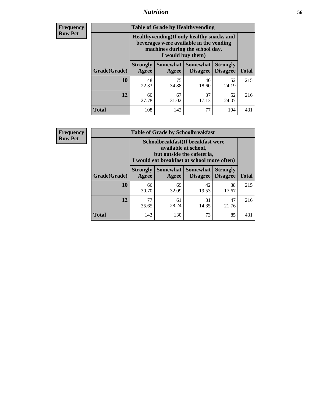### *Nutrition* **56**

**Frequency Row Pct**

| <b>Table of Grade by Healthyvending</b> |                                                                                                                                               |                          |                                    |                                    |              |  |
|-----------------------------------------|-----------------------------------------------------------------------------------------------------------------------------------------------|--------------------------|------------------------------------|------------------------------------|--------------|--|
|                                         | Healthyvending (If only healthy snacks and<br>beverages were available in the vending<br>machines during the school day,<br>I would buy them) |                          |                                    |                                    |              |  |
| Grade(Grade)                            | <b>Strongly</b><br>Agree                                                                                                                      | <b>Somewhat</b><br>Agree | <b>Somewhat</b><br><b>Disagree</b> | <b>Strongly</b><br><b>Disagree</b> | <b>Total</b> |  |
| 10                                      | 48<br>22.33                                                                                                                                   | 75<br>34.88              | 40<br>18.60                        | 52<br>24.19                        | 215          |  |
| 12                                      | 60<br>27.78                                                                                                                                   | 67<br>31.02              | 37<br>17.13                        | 52<br>24.07                        | 216          |  |
| <b>Total</b>                            | 108                                                                                                                                           | 142                      | 77                                 | 104                                | 431          |  |

**Frequency Row Pct**

| <b>Table of Grade by Schoolbreakfast</b> |                                                                                                                                         |                     |                             |                                    |              |  |
|------------------------------------------|-----------------------------------------------------------------------------------------------------------------------------------------|---------------------|-----------------------------|------------------------------------|--------------|--|
|                                          | Schoolbreakfast (If breakfast were<br>available at school,<br>but outside the cafeteria,<br>I would eat breakfast at school more often) |                     |                             |                                    |              |  |
| Grade(Grade)                             | <b>Strongly</b><br>Agree                                                                                                                | Somewhat  <br>Agree | Somewhat<br><b>Disagree</b> | <b>Strongly</b><br><b>Disagree</b> | <b>Total</b> |  |
| 10                                       | 66<br>30.70                                                                                                                             | 69<br>32.09         | 42<br>19.53                 | 38<br>17.67                        | 215          |  |
| 12                                       | 77<br>35.65                                                                                                                             | 61<br>28.24         | 31<br>14.35                 | 47<br>21.76                        | 216          |  |
| <b>Total</b>                             | 143                                                                                                                                     | 130                 | 73                          | 85                                 | 431          |  |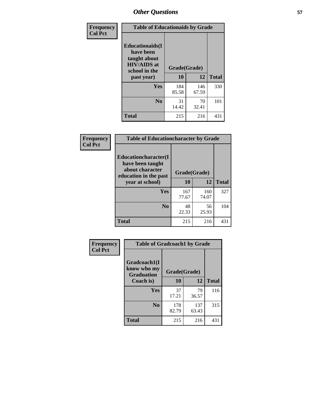| Frequency<br><b>Col Pct</b> | <b>Table of Educationaids by Grade</b>                                                                    |                    |              |              |
|-----------------------------|-----------------------------------------------------------------------------------------------------------|--------------------|--------------|--------------|
|                             | <b>Educationaids</b> (I<br>have been<br>taught about<br><b>HIV/AIDS</b> at<br>school in the<br>past year) | Grade(Grade)<br>10 | 12           | <b>Total</b> |
|                             | Yes                                                                                                       | 184<br>85.58       | 146<br>67.59 | 330          |
|                             | N <sub>0</sub>                                                                                            | 31<br>14.42        | 70<br>32.41  | 101          |
|                             | <b>Total</b>                                                                                              | 215                | 216          | 431          |

| Frequency      | <b>Table of Educationcharacter by Grade</b>                         |              |              |              |
|----------------|---------------------------------------------------------------------|--------------|--------------|--------------|
| <b>Col Pct</b> | <b>Educationcharacter(I)</b><br>have been taught<br>about character | Grade(Grade) |              |              |
|                | education in the past<br>year at school)                            | 10           | 12           | <b>Total</b> |
|                | Yes                                                                 | 167<br>77.67 | 160<br>74.07 | 327          |
|                | N <sub>0</sub>                                                      | 48<br>22.33  | 56<br>25.93  | 104          |
|                | <b>Total</b>                                                        | 215          | 216          | 431          |

| <b>Frequency</b> | <b>Table of Gradcoach1 by Grade</b>              |              |              |              |
|------------------|--------------------------------------------------|--------------|--------------|--------------|
| <b>Col Pct</b>   | Gradcoach1(I<br>know who my<br><b>Graduation</b> | Grade(Grade) |              |              |
|                  | Coach is)                                        | 10           | 12           | <b>Total</b> |
|                  | Yes                                              | 37<br>17.21  | 79<br>36.57  | 116          |
|                  | N <sub>0</sub>                                   | 178<br>82.79 | 137<br>63.43 | 315          |
|                  | <b>Total</b>                                     | 215          | 216          | 431          |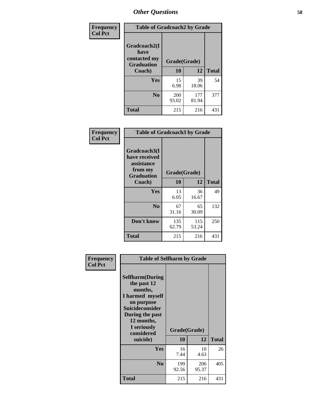| Frequency      | <b>Table of Gradcoach2 by Grade</b> |              |              |              |
|----------------|-------------------------------------|--------------|--------------|--------------|
| <b>Col Pct</b> | Gradcoach2(I<br>have                |              |              |              |
|                | contacted my<br><b>Graduation</b>   | Grade(Grade) |              |              |
|                | Coach)                              | 10           | 12           | <b>Total</b> |
|                | Yes                                 | 15<br>6.98   | 39<br>18.06  | 54           |
|                | N <sub>0</sub>                      | 200<br>93.02 | 177<br>81.94 | 377          |
|                | <b>Total</b>                        | 215          | 216          | 431          |

| <b>Frequency</b><br><b>Col Pct</b> |                                                                             | <b>Table of Gradcoach3 by Grade</b> |              |              |  |
|------------------------------------|-----------------------------------------------------------------------------|-------------------------------------|--------------|--------------|--|
|                                    | Gradcoach3(I<br>have received<br>assistance<br>from my<br><b>Graduation</b> | Grade(Grade)                        |              |              |  |
|                                    | Coach)                                                                      | 10                                  | 12           | <b>Total</b> |  |
|                                    | Yes                                                                         | 13<br>6.05                          | 36<br>16.67  | 49           |  |
|                                    | N <sub>0</sub>                                                              | 67<br>31.16                         | 65<br>30.09  | 132          |  |
|                                    | Don't know                                                                  | 135<br>62.79                        | 115<br>53.24 | 250          |  |
|                                    | <b>Total</b>                                                                | 215                                 | 216          | 431          |  |

| Frequency      | <b>Table of Selfharm by Grade</b>                                                                                                                                          |              |              |              |
|----------------|----------------------------------------------------------------------------------------------------------------------------------------------------------------------------|--------------|--------------|--------------|
| <b>Col Pct</b> | <b>Selfharm</b> (During<br>the past 12<br>months,<br>I harmed myself<br>on purpose<br><b>Suicideconsider</b><br>During the past<br>12 months,<br>I seriously<br>considered | Grade(Grade) |              |              |
|                | suicide)                                                                                                                                                                   | 10           | 12           | <b>Total</b> |
|                | <b>Yes</b>                                                                                                                                                                 | 16<br>7.44   | 10<br>4.63   | 26           |
|                | N <sub>0</sub>                                                                                                                                                             | 199<br>92.56 | 206<br>95.37 | 405          |
|                | <b>Total</b>                                                                                                                                                               | 215          | 216          | 431          |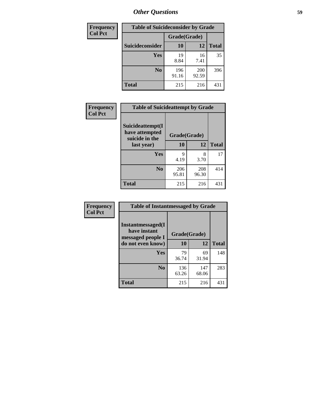| <b>Frequency</b> |                 | <b>Table of Suicideconsider by Grade</b> |              |              |  |
|------------------|-----------------|------------------------------------------|--------------|--------------|--|
| <b>Col Pct</b>   |                 | Grade(Grade)                             |              |              |  |
|                  | Suicideconsider | <b>10</b>                                | 12           | <b>Total</b> |  |
|                  | Yes             | 19<br>8.84                               | 16<br>7.41   | 35           |  |
|                  | N <sub>0</sub>  | 196<br>91.16                             | 200<br>92.59 | 396          |  |
|                  | Total           | 215                                      | 216          | 431          |  |

| Frequency      | <b>Table of Suicideattempt by Grade</b>              |              |              |              |
|----------------|------------------------------------------------------|--------------|--------------|--------------|
| <b>Col Pct</b> | Suicideattempt(I<br>have attempted<br>suicide in the | Grade(Grade) |              |              |
|                | last year)                                           | 10           | 12           | <b>Total</b> |
|                | Yes                                                  | 9<br>4.19    | 8<br>3.70    | 17           |
|                | N <sub>0</sub>                                       | 206<br>95.81 | 208<br>96.30 | 414          |
|                | <b>Total</b>                                         | 215          | 216          | 431          |

| Frequency      | <b>Table of Instantmessaged by Grade</b>                       |              |              |              |
|----------------|----------------------------------------------------------------|--------------|--------------|--------------|
| <b>Col Pct</b> | <b>Instantmessaged</b> (I<br>have instant<br>messaged people I | Grade(Grade) |              |              |
|                | do not even know)                                              | 10           | 12           | <b>Total</b> |
|                | Yes                                                            | 79<br>36.74  | 69<br>31.94  | 148          |
|                | N <sub>0</sub>                                                 | 136<br>63.26 | 147<br>68.06 | 283          |
|                | <b>Total</b>                                                   | 215          | 216          | 431          |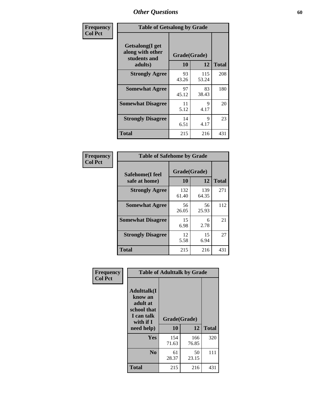| Frequency      | <b>Table of Getsalong by Grade</b>                          |              |              |              |
|----------------|-------------------------------------------------------------|--------------|--------------|--------------|
| <b>Col Pct</b> | <b>Getsalong</b> (I get<br>along with other<br>students and | Grade(Grade) |              |              |
|                | adults)                                                     | 10           | 12           | <b>Total</b> |
|                | <b>Strongly Agree</b>                                       | 93<br>43.26  | 115<br>53.24 | 208          |
|                | <b>Somewhat Agree</b>                                       | 97<br>45.12  | 83<br>38.43  | 180          |
|                | <b>Somewhat Disagree</b>                                    | 11<br>5.12   | 9<br>4.17    | 20           |
|                | <b>Strongly Disagree</b>                                    | 14<br>6.51   | 9<br>4.17    | 23           |
|                | <b>Total</b>                                                | 215          | 216          | 431          |

| Frequency      | <b>Table of Safehome by Grade</b> |              |              |              |  |  |  |
|----------------|-----------------------------------|--------------|--------------|--------------|--|--|--|
| <b>Col Pct</b> | Safehome(I feel                   | Grade(Grade) |              |              |  |  |  |
|                | safe at home)                     | 10           | 12           | <b>Total</b> |  |  |  |
|                | <b>Strongly Agree</b>             | 132<br>61.40 | 139<br>64.35 | 271          |  |  |  |
|                | <b>Somewhat Agree</b>             | 56<br>26.05  | 56<br>25.93  | 112          |  |  |  |
|                | <b>Somewhat Disagree</b>          | 15<br>6.98   | 6<br>2.78    | 21           |  |  |  |
|                | <b>Strongly Disagree</b>          | 12<br>5.58   | 15<br>6.94   | 27           |  |  |  |
|                | <b>Total</b>                      | 215          | 216          | 431          |  |  |  |

| Frequency<br><b>Col Pct</b> |                                                                                      | <b>Table of Adulttalk by Grade</b> |              |              |  |  |  |  |
|-----------------------------|--------------------------------------------------------------------------------------|------------------------------------|--------------|--------------|--|--|--|--|
|                             | <b>Adulttalk</b> (I<br>know an<br>adult at<br>school that<br>I can talk<br>with if I | Grade(Grade)                       |              |              |  |  |  |  |
|                             | need help)                                                                           | 10                                 | 12           | <b>Total</b> |  |  |  |  |
|                             | Yes                                                                                  | 154<br>71.63                       | 166<br>76.85 | 320          |  |  |  |  |
|                             | N <sub>0</sub>                                                                       | 61<br>28.37                        | 50<br>23.15  | 111          |  |  |  |  |
|                             | <b>Total</b>                                                                         | 215                                | 216          | 431          |  |  |  |  |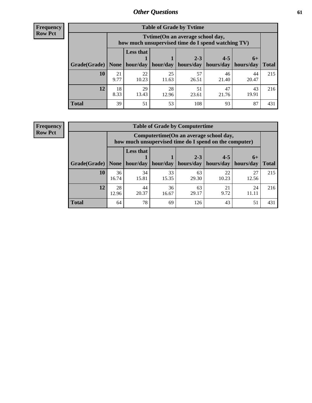**Frequency Row Pct**

| <b>Table of Grade by Tytime</b> |            |                                                                                         |                     |                        |                      |                     |              |  |  |  |
|---------------------------------|------------|-----------------------------------------------------------------------------------------|---------------------|------------------------|----------------------|---------------------|--------------|--|--|--|
|                                 |            | Tytime (On an average school day,<br>how much unsupervised time do I spend watching TV) |                     |                        |                      |                     |              |  |  |  |
| Grade(Grade)   None             |            | <b>Less that</b>                                                                        | hour/day   hour/day | $2 - 3$<br>  hours/day | $4 - 5$<br>hours/day | $6+$<br>  hours/day | <b>Total</b> |  |  |  |
| 10                              | 21<br>9.77 | 22<br>10.23                                                                             | 25<br>11.63         | 57<br>26.51            | 46<br>21.40          | 44<br>20.47         | 215          |  |  |  |
| 12                              | 18<br>8.33 | 29<br>13.43                                                                             | 28<br>12.96         | 51<br>23.61            | 47<br>21.76          | 43<br>19.91         | 216          |  |  |  |
| <b>Total</b>                    | 39         | 51                                                                                      | 53                  | 108                    | 93                   | 87                  | 431          |  |  |  |

**Frequency Row Pct**

| <b>Table of Grade by Computertime</b> |             |                                                                                                                               |             |             |             |             |     |  |  |
|---------------------------------------|-------------|-------------------------------------------------------------------------------------------------------------------------------|-------------|-------------|-------------|-------------|-----|--|--|
|                                       |             | Computertime(On an average school day,<br>how much unsupervised time do I spend on the computer)                              |             |             |             |             |     |  |  |
| Grade(Grade)                          | None        | <b>Less that</b><br>$4 - 5$<br>$2 - 3$<br>$6+$<br>hour/day<br>hours/day<br>hours/day<br>hour/day<br>hours/day<br><b>Total</b> |             |             |             |             |     |  |  |
| 10                                    | 36<br>16.74 | 34<br>15.81                                                                                                                   | 33<br>15.35 | 63<br>29.30 | 22<br>10.23 | 27<br>12.56 | 215 |  |  |
| 12                                    | 28<br>12.96 | 36<br>44<br>63<br>21<br>24<br>9.72<br>20.37<br>29.17<br>16.67<br>11.11                                                        |             |             |             |             |     |  |  |
| <b>Total</b>                          | 64          | 78                                                                                                                            | 69          | 126         | 43          | 51          | 431 |  |  |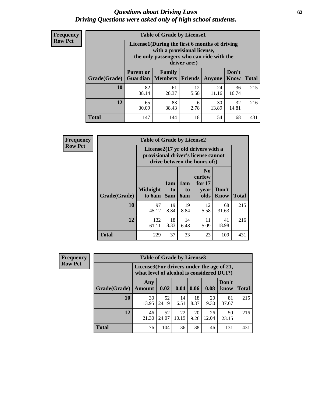#### *Questions about Driving Laws* **62** *Driving Questions were asked only of high school students.*

| <b>Frequency</b> |
|------------------|
| <b>Row Pct</b>   |

| <b>Table of Grade by License1</b> |                                                                       |                                                                                                                                           |            |               |               |              |  |  |  |
|-----------------------------------|-----------------------------------------------------------------------|-------------------------------------------------------------------------------------------------------------------------------------------|------------|---------------|---------------|--------------|--|--|--|
|                                   |                                                                       | License1(During the first 6 months of driving<br>with a provisional license,<br>the only passengers who can ride with the<br>driver are:) |            |               |               |              |  |  |  |
| Grade(Grade)                      | <b>Parent or</b>                                                      | <b>Family</b><br><b>Guardian</b>   Members                                                                                                | Friends    | <b>Anyone</b> | Don't<br>Know | <b>Total</b> |  |  |  |
| 10                                | 82<br>38.14                                                           | 61<br>28.37                                                                                                                               | 12<br>5.58 | 24<br>11.16   | 36<br>16.74   | 215          |  |  |  |
| 12                                | 32<br>83<br>65<br>30<br>6<br>30.09<br>2.78<br>13.89<br>14.81<br>38.43 |                                                                                                                                           |            |               |               |              |  |  |  |
| <b>Total</b>                      | 147                                                                   | 144                                                                                                                                       | 18         | 54            | 68            | 431          |  |  |  |

| <b>Frequency</b> | <b>Table of Grade by License2</b>                                                                                    |                           |                  |                                     |                                                      |                      |              |  |
|------------------|----------------------------------------------------------------------------------------------------------------------|---------------------------|------------------|-------------------------------------|------------------------------------------------------|----------------------|--------------|--|
| <b>Row Pct</b>   | License $2(17 \text{ yr})$ old drivers with a<br>provisional driver's license cannot<br>drive between the hours of:) |                           |                  |                                     |                                                      |                      |              |  |
|                  | Grade(Grade)                                                                                                         | <b>Midnight</b><br>to 6am | 1am<br>to<br>5am | 1am<br>t <sub>0</sub><br><b>6am</b> | N <sub>0</sub><br>curfew<br>for $17$<br>year<br>olds | Don't<br><b>Know</b> | <b>Total</b> |  |
|                  | 10                                                                                                                   | 97<br>45.12               | 19<br>8.84       | 19<br>8.84                          | 12<br>5.58                                           | 68<br>31.63          | 215          |  |
|                  | 12                                                                                                                   | 132<br>61.11              | 18<br>8.33       | 14<br>6.48                          | 11<br>5.09                                           | 41<br>18.98          | 216          |  |
|                  | <b>Total</b>                                                                                                         | 229                       | 37               | 33                                  | 23                                                   | 109                  | 431          |  |

| Frequency      |              | <b>Table of Grade by License3</b>                                                      |             |             |            |             |               |              |
|----------------|--------------|----------------------------------------------------------------------------------------|-------------|-------------|------------|-------------|---------------|--------------|
| <b>Row Pct</b> |              | License3(For drivers under the age of 21,<br>what level of alcohol is considered DUI?) |             |             |            |             |               |              |
|                | Grade(Grade) | Any<br><b>Amount</b>                                                                   | 0.02        | 0.04        | 0.06       | 0.08        | Don't<br>know | <b>Total</b> |
|                | <b>10</b>    | 30<br>13.95                                                                            | 52<br>24.19 | 14<br>6.51  | 18<br>8.37 | 20<br>9.30  | 81<br>37.67   | 215          |
|                | 12           | 46<br>21.30                                                                            | 52<br>24.07 | 22<br>10.19 | 20<br>9.26 | 26<br>12.04 | 50<br>23.15   | 216          |
|                | <b>Total</b> | 76                                                                                     | 104         | 36          | 38         | 46          | 131           | 431          |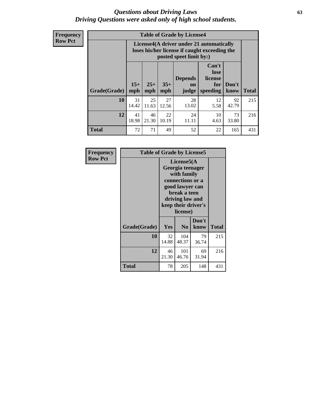#### *Questions about Driving Laws* **63** *Driving Questions were asked only of high school students.*

**Frequency Row Pct**

|              |             |                                                                                                                                                                                                                                                                                       |             | <b>Table of Grade by License4</b> |            |             |     |  |
|--------------|-------------|---------------------------------------------------------------------------------------------------------------------------------------------------------------------------------------------------------------------------------------------------------------------------------------|-------------|-----------------------------------|------------|-------------|-----|--|
|              |             | License4(A driver under 21 automatically<br>loses his/her license if caught exceeding the<br>posted speet limit by:)<br>Can't<br>lose<br><b>Depends</b><br>license<br>$15+$<br>$25+$<br>$35+$<br>Don't<br>for<br><b>on</b><br>speeding<br><b>Total</b><br>mph<br>know<br>mph<br>judge |             |                                   |            |             |     |  |
| Grade(Grade) | mph         |                                                                                                                                                                                                                                                                                       |             |                                   |            |             |     |  |
| 10           | 31<br>14.42 | 25<br>11.63                                                                                                                                                                                                                                                                           | 27<br>12.56 | 28<br>13.02                       | 12<br>5.58 | 92<br>42.79 | 215 |  |
| 12           | 41<br>18.98 | 46<br>21.30                                                                                                                                                                                                                                                                           | 22<br>10.19 | 24<br>11.11                       | 10<br>4.63 | 73<br>33.80 | 216 |  |
| <b>Total</b> | 72          | 71                                                                                                                                                                                                                                                                                    | 49          | 52                                | 22         | 165         | 431 |  |

| Frequency      | <b>Table of Grade by License5</b> |             |                                                                                                                                      |                     |       |  |
|----------------|-----------------------------------|-------------|--------------------------------------------------------------------------------------------------------------------------------------|---------------------|-------|--|
| <b>Row Pct</b> |                                   |             | License5(A)<br>Georgia teenager<br>with family<br>connections or a<br>good lawyer can<br>break a teen<br>driving law and<br>license) | keep their driver's |       |  |
|                | Grade(Grade)                      | <b>Yes</b>  | N <sub>0</sub>                                                                                                                       | Don't<br>know       | Total |  |
|                | 10                                | 32<br>14.88 | 104<br>48.37                                                                                                                         | 79<br>36.74         | 215   |  |
|                | 12                                | 46<br>21.30 | 101<br>46.76                                                                                                                         | 69<br>31.94         | 216   |  |
|                | <b>Total</b>                      | 78          | 205                                                                                                                                  | 148                 | 431   |  |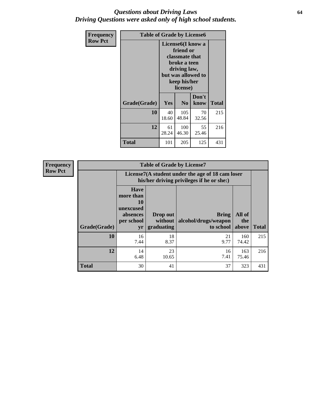#### *Questions about Driving Laws* **64** *Driving Questions were asked only of high school students.*

| <b>Frequency</b> | <b>Table of Grade by License6</b> |             |                                                                                                                           |                    |              |  |  |
|------------------|-----------------------------------|-------------|---------------------------------------------------------------------------------------------------------------------------|--------------------|--------------|--|--|
| <b>Row Pct</b>   |                                   |             | License <sub>6</sub> (I know a<br>friend or<br>classmate that<br>broke a teen<br>driving law,<br>keep his/her<br>license) | but was allowed to |              |  |  |
|                  | Grade(Grade)                      | <b>Yes</b>  | N <sub>0</sub>                                                                                                            | Don't<br>know      | <b>Total</b> |  |  |
|                  | 10                                | 40<br>18.60 | 105<br>48.84                                                                                                              | 70<br>32.56        | 215          |  |  |
|                  | 12                                | 61<br>28.24 | 100<br>46.30                                                                                                              | 55<br>25.46        | 216          |  |  |
|                  | Total                             | 101         | 205                                                                                                                       | 125                | 431          |  |  |

| Frequency      |              |                                                                             | <b>Table of Grade by License7</b>                                                             |                                                   |                        |              |  |  |  |
|----------------|--------------|-----------------------------------------------------------------------------|-----------------------------------------------------------------------------------------------|---------------------------------------------------|------------------------|--------------|--|--|--|
| <b>Row Pct</b> |              |                                                                             | License7(A student under the age of 18 cam loser<br>his/her driving privileges if he or she:) |                                                   |                        |              |  |  |  |
|                | Grade(Grade) | <b>Have</b><br>more than<br>10<br>unexcused<br>absences<br>per school<br>yr | Drop out<br>without  <br>graduating                                                           | <b>Bring</b><br>alcohol/drugs/weapon<br>to school | All of<br>the<br>above | <b>Total</b> |  |  |  |
|                | 10           | 16<br>7.44                                                                  | 18<br>8.37                                                                                    | 21<br>9.77                                        | 160<br>74.42           | 215          |  |  |  |
|                | 12           | 14<br>6.48                                                                  | 23<br>10.65                                                                                   | 16<br>7.41                                        | 163<br>75.46           | 216          |  |  |  |
|                | <b>Total</b> | 30                                                                          | 41                                                                                            | 37                                                | 323                    | 431          |  |  |  |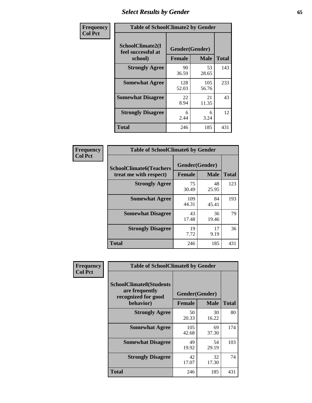## *Select Results by Gender* **65**

| Frequency      | <b>Table of SchoolClimate2 by Gender</b>          |                                 |              |              |  |
|----------------|---------------------------------------------------|---------------------------------|--------------|--------------|--|
| <b>Col Pct</b> | SchoolClimate2(I<br>feel successful at<br>school) | Gender(Gender)<br><b>Female</b> | <b>Male</b>  | <b>Total</b> |  |
|                | <b>Strongly Agree</b>                             | 90<br>36.59                     | 53<br>28.65  | 143          |  |
|                | <b>Somewhat Agree</b>                             | 128<br>52.03                    | 105<br>56.76 | 233          |  |
|                | <b>Somewhat Disagree</b>                          | 22<br>8.94                      | 21<br>11.35  | 43           |  |
|                | <b>Strongly Disagree</b>                          | 6<br>2.44                       | 6<br>3.24    | 12           |  |
|                | <b>Total</b>                                      | 246                             | 185          | 431          |  |

| Frequency      | <b>Table of SchoolClimate6 by Gender</b>                 |               |                               |              |  |
|----------------|----------------------------------------------------------|---------------|-------------------------------|--------------|--|
| <b>Col Pct</b> | <b>SchoolClimate6(Teachers</b><br>treat me with respect) | <b>Female</b> | Gender(Gender)<br><b>Male</b> | <b>Total</b> |  |
|                | <b>Strongly Agree</b>                                    | 75<br>30.49   | 48<br>25.95                   | 123          |  |
|                | <b>Somewhat Agree</b>                                    | 109<br>44.31  | 84<br>45.41                   | 193          |  |
|                | <b>Somewhat Disagree</b>                                 | 43<br>17.48   | 36<br>19.46                   | 79           |  |
|                | <b>Strongly Disagree</b>                                 | 19<br>7.72    | 17<br>9.19                    | 36           |  |
|                | <b>Total</b>                                             | 246           | 185                           | 431          |  |

| <b>Frequency</b> | <b>Table of SchoolClimate8 by Gender</b>                                             |               |                               |              |  |
|------------------|--------------------------------------------------------------------------------------|---------------|-------------------------------|--------------|--|
| <b>Col Pct</b>   | <b>SchoolClimate8(Students</b><br>are frequently<br>recognized for good<br>behavior) | <b>Female</b> | Gender(Gender)<br><b>Male</b> | <b>Total</b> |  |
|                  | <b>Strongly Agree</b>                                                                | 50<br>20.33   | 30<br>16.22                   | 80           |  |
|                  | <b>Somewhat Agree</b>                                                                | 105<br>42.68  | 69<br>37.30                   | 174          |  |
|                  | <b>Somewhat Disagree</b>                                                             | 49<br>19.92   | 54<br>29.19                   | 103          |  |
|                  | <b>Strongly Disagree</b>                                                             | 42<br>17.07   | 32<br>17.30                   | 74           |  |
|                  | Total                                                                                | 246           | 185                           | 431          |  |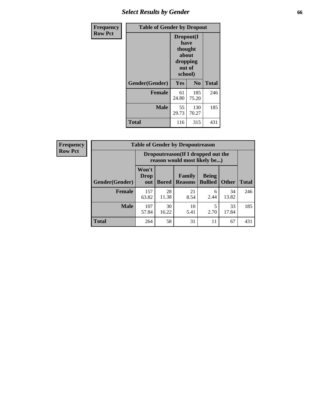## *Select Results by Gender* **66**

| <b>Frequency</b> | <b>Table of Gender by Dropout</b> |                                                                        |              |              |
|------------------|-----------------------------------|------------------------------------------------------------------------|--------------|--------------|
| <b>Row Pct</b>   |                                   | Dropout(I<br>have<br>thought<br>about<br>dropping<br>out of<br>school) |              |              |
|                  | Gender(Gender)                    | Yes                                                                    | No           | <b>Total</b> |
|                  | <b>Female</b>                     | 61<br>24.80                                                            | 185<br>75.20 | 246          |
|                  | <b>Male</b>                       | 55<br>29.73                                                            | 130<br>70.27 | 185          |
|                  | <b>Total</b>                      | 116                                                                    | 315          | 431          |

| <b>Frequency</b> | <b>Table of Gender by Dropoutreason</b> |                                                                    |              |                          |                                |              |              |
|------------------|-----------------------------------------|--------------------------------------------------------------------|--------------|--------------------------|--------------------------------|--------------|--------------|
| <b>Row Pct</b>   |                                         | Dropoutreason(If I dropped out the<br>reason would most likely be) |              |                          |                                |              |              |
|                  | Gender(Gender)                          | Won't<br><b>Drop</b><br>out                                        | <b>Bored</b> | Family<br><b>Reasons</b> | <b>Being</b><br><b>Bullied</b> | <b>Other</b> | <b>Total</b> |
|                  | <b>Female</b>                           | 157<br>63.82                                                       | 28<br>11.38  | 21<br>8.54               | 6<br>2.44                      | 34<br>13.82  | 246          |
|                  | <b>Male</b>                             | 107<br>57.84                                                       | 30<br>16.22  | 10<br>5.41               | 5<br>2.70                      | 33<br>17.84  | 185          |
|                  | <b>Total</b>                            | 264                                                                | 58           | 31                       | 11                             | 67           | 431          |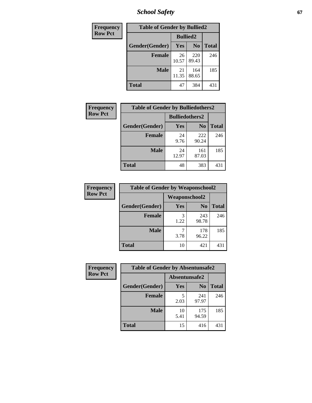*School Safety* **67**

| Frequency      | <b>Table of Gender by Bullied2</b> |                 |                |              |
|----------------|------------------------------------|-----------------|----------------|--------------|
| <b>Row Pct</b> |                                    | <b>Bullied2</b> |                |              |
|                | Gender(Gender)                     | Yes             | N <sub>0</sub> | <b>Total</b> |
|                | <b>Female</b>                      | 26<br>10.57     | 220<br>89.43   | 246          |
|                | <b>Male</b>                        | 21<br>11.35     | 164<br>88.65   | 185          |
|                | <b>Total</b>                       | 47              | 384            | 431          |

| Frequency      | <b>Table of Gender by Bulliedothers2</b> |                       |                |              |
|----------------|------------------------------------------|-----------------------|----------------|--------------|
| <b>Row Pct</b> |                                          | <b>Bulliedothers2</b> |                |              |
|                | Gender(Gender)                           | <b>Yes</b>            | N <sub>0</sub> | <b>Total</b> |
|                | <b>Female</b>                            | 24<br>9.76            | 222<br>90.24   | 246          |
|                | <b>Male</b>                              | 24<br>12.97           | 161<br>87.03   | 185          |
|                | <b>Total</b>                             | 48                    | 383            | 431          |

| Frequency      | <b>Table of Gender by Weaponschool2</b> |                      |                |              |
|----------------|-----------------------------------------|----------------------|----------------|--------------|
| <b>Row Pct</b> |                                         | <b>Weaponschool2</b> |                |              |
|                | Gender(Gender)                          | Yes                  | N <sub>0</sub> | <b>Total</b> |
|                | <b>Female</b>                           | 3<br>1.22            | 243<br>98.78   | 246          |
|                | <b>Male</b>                             | 3.78                 | 178<br>96.22   | 185          |
|                | <b>Total</b>                            | 10                   | 421            | 431          |

| Frequency      | <b>Table of Gender by Absentunsafe2</b> |               |                |              |  |
|----------------|-----------------------------------------|---------------|----------------|--------------|--|
| <b>Row Pct</b> |                                         | Absentunsafe2 |                |              |  |
|                | Gender(Gender)                          | Yes           | N <sub>0</sub> | <b>Total</b> |  |
|                | <b>Female</b>                           | 5<br>2.03     | 241<br>97.97   | 246          |  |
|                | <b>Male</b>                             | 10<br>5.41    | 175<br>94.59   | 185          |  |
|                | <b>Total</b>                            | 15            | 416            | 431          |  |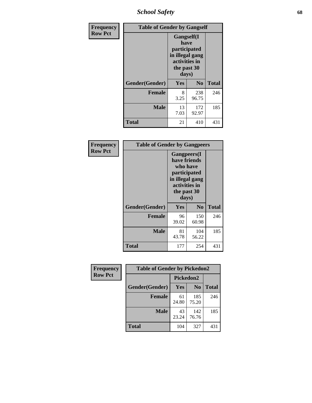*School Safety* **68**

| Frequency      | <b>Table of Gender by Gangself</b> |                                                                                                |              |              |
|----------------|------------------------------------|------------------------------------------------------------------------------------------------|--------------|--------------|
| <b>Row Pct</b> |                                    | Gangself(I<br>have<br>participated<br>in illegal gang<br>activities in<br>the past 30<br>days) |              |              |
|                | Gender(Gender)                     | Yes                                                                                            | $\bf No$     | <b>Total</b> |
|                | <b>Female</b>                      | 8<br>3.25                                                                                      | 238<br>96.75 | 246          |
|                | <b>Male</b>                        | 13<br>7.03                                                                                     | 172<br>92.97 | 185          |
|                | <b>Total</b>                       | 21                                                                                             | 410          | 431          |

| Frequency      | <b>Table of Gender by Gangpeers</b> |                                                                                                                             |                |              |
|----------------|-------------------------------------|-----------------------------------------------------------------------------------------------------------------------------|----------------|--------------|
| <b>Row Pct</b> |                                     | <b>Gangpeers</b> (I<br>have friends<br>who have<br>participated<br>in illegal gang<br>activities in<br>the past 30<br>days) |                |              |
|                | Gender(Gender)                      | Yes                                                                                                                         | N <sub>0</sub> | <b>Total</b> |
|                | <b>Female</b>                       | 96<br>39.02                                                                                                                 | 150<br>60.98   | 246          |
|                | <b>Male</b>                         | 81<br>43.78                                                                                                                 | 104<br>56.22   | 185          |
|                | <b>Total</b>                        | 177                                                                                                                         | 254            | 431          |

| Frequency      | <b>Table of Gender by Pickedon2</b> |             |                |              |
|----------------|-------------------------------------|-------------|----------------|--------------|
| <b>Row Pct</b> |                                     | Pickedon2   |                |              |
|                | Gender(Gender)                      | Yes         | N <sub>0</sub> | <b>Total</b> |
|                | <b>Female</b>                       | 61<br>24.80 | 185<br>75.20   | 246          |
|                | <b>Male</b>                         | 43<br>23.24 | 142<br>76.76   | 185          |
|                | <b>Total</b>                        | 104         | 327            | 431          |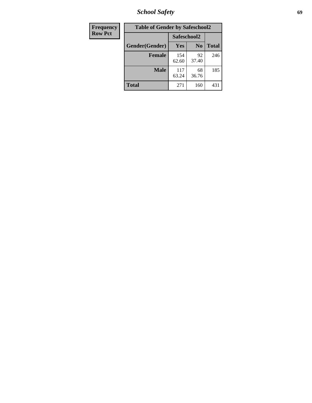*School Safety* **69**

| Frequency      | <b>Table of Gender by Safeschool2</b> |              |                |              |  |
|----------------|---------------------------------------|--------------|----------------|--------------|--|
| <b>Row Pct</b> |                                       |              | Safeschool2    |              |  |
|                | Gender(Gender)                        | <b>Yes</b>   | N <sub>0</sub> | <b>Total</b> |  |
|                | <b>Female</b>                         | 154<br>62.60 | 92<br>37.40    | 246          |  |
|                | <b>Male</b>                           | 117<br>63.24 | 68<br>36.76    | 185          |  |
|                | <b>Total</b>                          | 271          | 160            | 431          |  |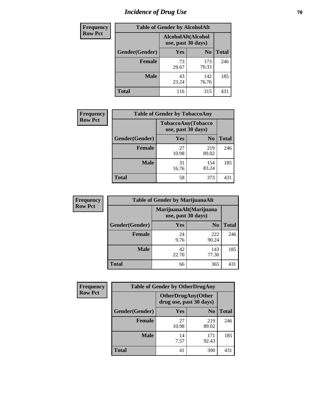# *Incidence of Drug Use* **70**

| <b>Frequency</b> | <b>Table of Gender by AlcoholAlt</b> |                                          |                |              |
|------------------|--------------------------------------|------------------------------------------|----------------|--------------|
| <b>Row Pct</b>   |                                      | AlcoholAlt(Alcohol<br>use, past 30 days) |                |              |
|                  | Gender(Gender)                       | <b>Yes</b>                               | N <sub>0</sub> | <b>Total</b> |
|                  | <b>Female</b>                        | 73<br>29.67                              | 173<br>70.33   | 246          |
|                  | <b>Male</b>                          | 43<br>23.24                              | 142<br>76.76   | 185          |
|                  | <b>Total</b>                         | 116                                      | 315            | 431          |

| Frequency      | <b>Table of Gender by TobaccoAny</b> |                    |                    |              |  |
|----------------|--------------------------------------|--------------------|--------------------|--------------|--|
| <b>Row Pct</b> |                                      | use, past 30 days) | TobaccoAny(Tobacco |              |  |
|                | Gender(Gender)                       | Yes                | N <sub>0</sub>     | <b>Total</b> |  |
|                | <b>Female</b>                        | 27<br>10.98        | 219<br>89.02       | 246          |  |
|                | <b>Male</b>                          | 31<br>16.76        | 154<br>83.24       | 185          |  |
|                | <b>Total</b>                         | 58                 | 373                | 431          |  |

| <b>Frequency</b> | <b>Table of Gender by MarijuanaAlt</b> |                                              |                |       |
|------------------|----------------------------------------|----------------------------------------------|----------------|-------|
| <b>Row Pct</b>   |                                        | MarijuanaAlt(Marijuana<br>use, past 30 days) |                |       |
|                  | Gender(Gender)                         | <b>Yes</b>                                   | N <sub>0</sub> | Total |
|                  | <b>Female</b>                          | 24<br>9.76                                   | 222<br>90.24   | 246   |
|                  | <b>Male</b>                            | 42<br>22.70                                  | 143<br>77.30   | 185   |
|                  | <b>Total</b>                           | 66                                           | 365            | 431   |

| <b>Frequency</b> | <b>Table of Gender by OtherDrugAny</b> |                         |                            |              |  |
|------------------|----------------------------------------|-------------------------|----------------------------|--------------|--|
| <b>Row Pct</b>   |                                        | drug use, past 30 days) | <b>OtherDrugAny</b> (Other |              |  |
|                  | Gender(Gender)                         | <b>Yes</b>              | N <sub>0</sub>             | <b>Total</b> |  |
|                  | <b>Female</b>                          | 27<br>10.98             | 219<br>89.02               | 246          |  |
|                  | <b>Male</b>                            | 14<br>7.57              | 171<br>92.43               | 185          |  |
|                  | <b>Total</b>                           | 41                      | 390                        | 431          |  |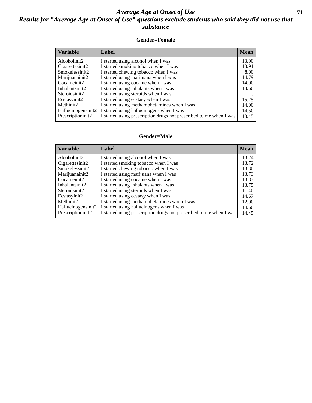#### *Average Age at Onset of Use* **71** *Results for "Average Age at Onset of Use" questions exclude students who said they did not use that substance*

#### **Gender=Female**

| Variable           | Label                                                              | <b>Mean</b> |
|--------------------|--------------------------------------------------------------------|-------------|
| Alcoholinit2       | I started using alcohol when I was                                 | 13.90       |
| Cigarettesinit2    | I started smoking tobacco when I was                               | 13.91       |
| Smokelessinit2     | I started chewing tobacco when I was                               | 8.00        |
| Marijuanainit2     | I started using marijuana when I was                               | 14.79       |
| Cocaineinit2       | I started using cocaine when I was                                 | 14.00       |
| Inhalantsinit2     | I started using inhalants when I was                               | 13.60       |
| Steroidsinit2      | I started using steroids when I was                                |             |
| Ecstasyinit2       | I started using ecstasy when I was                                 | 15.25       |
| Methinit2          | I started using methamphetamines when I was                        | 14.00       |
| Hallucinogensinit2 | I started using hallucinogens when I was                           | 14.50       |
| Prescription in t2 | I started using prescription drugs not prescribed to me when I was | 13.45       |

#### **Gender=Male**

| <b>Variable</b>    | Label                                                              | <b>Mean</b> |
|--------------------|--------------------------------------------------------------------|-------------|
| Alcoholinit2       | I started using alcohol when I was                                 | 13.24       |
| Cigarettesinit2    | I started smoking tobacco when I was                               | 13.72       |
| Smokelessinit2     | I started chewing tobacco when I was                               | 13.30       |
| Marijuanainit2     | I started using marijuana when I was                               | 13.73       |
| Cocaineinit2       | I started using cocaine when I was                                 | 13.83       |
| Inhalantsinit2     | I started using inhalants when I was                               | 13.75       |
| Steroidsinit2      | I started using steroids when I was                                | 11.40       |
| Ecstasyinit2       | I started using ecstasy when I was                                 | 14.67       |
| Methinit2          | I started using methamphetamines when I was                        | 12.00       |
| Hallucinogensinit2 | I started using hallucinogens when I was                           | 14.60       |
| Prescriptioninit2  | I started using prescription drugs not prescribed to me when I was | 14.45       |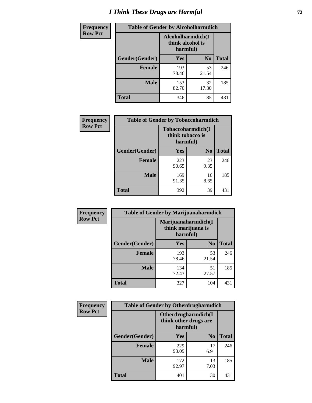# *I Think These Drugs are Harmful* **72**

| Frequency      | <b>Table of Gender by Alcoholharmdich</b> |                                                   |                |              |  |
|----------------|-------------------------------------------|---------------------------------------------------|----------------|--------------|--|
| <b>Row Pct</b> |                                           | Alcoholharmdich(I<br>think alcohol is<br>harmful) |                |              |  |
|                | Gender(Gender)                            | Yes                                               | N <sub>0</sub> | <b>Total</b> |  |
|                | <b>Female</b>                             | 193<br>78.46                                      | 53<br>21.54    | 246          |  |
|                | <b>Male</b>                               | 153<br>82.70                                      | 32<br>17.30    | 185          |  |
|                | <b>Total</b>                              | 346                                               | 85             | 431          |  |

| Frequency      | <b>Table of Gender by Tobaccoharmdich</b> |                              |                   |              |  |
|----------------|-------------------------------------------|------------------------------|-------------------|--------------|--|
| <b>Row Pct</b> |                                           | think tobacco is<br>harmful) | Tobaccoharmdich(I |              |  |
|                | Gender(Gender)                            | Yes                          | N <sub>0</sub>    | <b>Total</b> |  |
|                | <b>Female</b>                             | 223<br>90.65                 | 23<br>9.35        | 246          |  |
|                | <b>Male</b>                               | 169<br>91.35                 | 16<br>8.65        | 185          |  |
|                | <b>Total</b>                              | 392                          | 39                | 431          |  |

| Frequency      | <b>Table of Gender by Marijuanaharmdich</b> |                                                       |                |              |  |
|----------------|---------------------------------------------|-------------------------------------------------------|----------------|--------------|--|
| <b>Row Pct</b> |                                             | Marijuanaharmdich(I<br>think marijuana is<br>harmful) |                |              |  |
|                | Gender(Gender)                              | <b>Yes</b>                                            | N <sub>0</sub> | <b>Total</b> |  |
|                | <b>Female</b>                               | 193<br>78.46                                          | 53<br>21.54    | 246          |  |
|                | <b>Male</b>                                 | 134<br>72.43                                          | 51<br>27.57    | 185          |  |
|                | <b>Total</b>                                | 327                                                   | 104            | 431          |  |

| Frequency      | <b>Table of Gender by Otherdrugharmdich</b> |                                                          |                |              |  |
|----------------|---------------------------------------------|----------------------------------------------------------|----------------|--------------|--|
| <b>Row Pct</b> |                                             | Otherdrugharmdich(I<br>think other drugs are<br>harmful) |                |              |  |
|                | Gender(Gender)                              | <b>Yes</b>                                               | N <sub>0</sub> | <b>Total</b> |  |
|                | <b>Female</b>                               | 229<br>93.09                                             | 17<br>6.91     | 246          |  |
|                | <b>Male</b>                                 | 172<br>92.97                                             | 13<br>7.03     | 185          |  |
|                | <b>Total</b>                                | 401                                                      | 30             | 431          |  |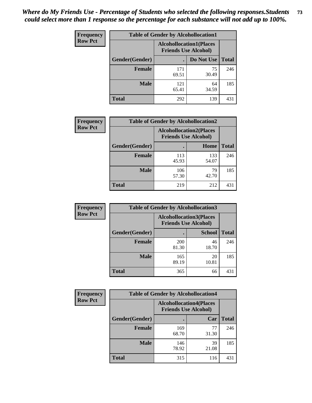| <b>Frequency</b> | <b>Table of Gender by Alcohollocation1</b> |                                                               |             |              |  |
|------------------|--------------------------------------------|---------------------------------------------------------------|-------------|--------------|--|
| <b>Row Pct</b>   |                                            | <b>Alcohollocation1(Places</b><br><b>Friends Use Alcohol)</b> |             |              |  |
|                  | Gender(Gender)                             |                                                               | Do Not Use  | <b>Total</b> |  |
|                  | <b>Female</b>                              | 171<br>69.51                                                  | 75<br>30.49 | 246          |  |
|                  | <b>Male</b>                                | 121<br>65.41                                                  | 64<br>34.59 | 185          |  |
|                  | <b>Total</b>                               | 292                                                           | 139         | 431          |  |

| <b>Frequency</b> | <b>Table of Gender by Alcohollocation2</b> |                                                               |              |              |
|------------------|--------------------------------------------|---------------------------------------------------------------|--------------|--------------|
| <b>Row Pct</b>   |                                            | <b>Alcohollocation2(Places</b><br><b>Friends Use Alcohol)</b> |              |              |
|                  | Gender(Gender)                             |                                                               | Home         | <b>Total</b> |
|                  | <b>Female</b>                              | 113<br>45.93                                                  | 133<br>54.07 | 246          |
|                  | <b>Male</b>                                | 106<br>57.30                                                  | 79<br>42.70  | 185          |
|                  | <b>Total</b>                               | 219                                                           | 212          | 431          |

| Frequency      | <b>Table of Gender by Alcohollocation3</b> |                                                               |               |              |
|----------------|--------------------------------------------|---------------------------------------------------------------|---------------|--------------|
| <b>Row Pct</b> |                                            | <b>Alcohollocation3(Places</b><br><b>Friends Use Alcohol)</b> |               |              |
|                | Gender(Gender)                             |                                                               | <b>School</b> | <b>Total</b> |
|                | <b>Female</b>                              | 200<br>81.30                                                  | 46<br>18.70   | 246          |
|                | <b>Male</b>                                | 165<br>89.19                                                  | 20<br>10.81   | 185          |
|                | <b>Total</b>                               | 365                                                           | 66            | 431          |

| <b>Frequency</b> | <b>Table of Gender by Alcohollocation4</b> |                                                               |             |              |
|------------------|--------------------------------------------|---------------------------------------------------------------|-------------|--------------|
| <b>Row Pct</b>   |                                            | <b>Alcohollocation4(Places</b><br><b>Friends Use Alcohol)</b> |             |              |
|                  | Gender(Gender)                             |                                                               | Car         | <b>Total</b> |
|                  | <b>Female</b>                              | 169<br>68.70                                                  | 77<br>31.30 | 246          |
|                  | <b>Male</b>                                | 146<br>78.92                                                  | 39<br>21.08 | 185          |
|                  | <b>Total</b>                               | 315                                                           | 116         | 431          |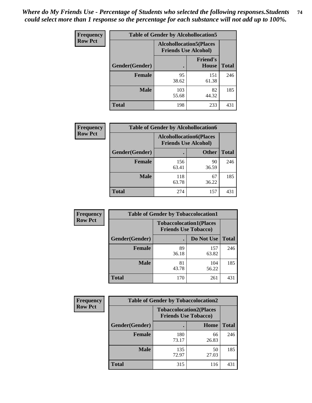| <b>Frequency</b> | <b>Table of Gender by Alcohollocation5</b> |                                                                |                          |              |
|------------------|--------------------------------------------|----------------------------------------------------------------|--------------------------|--------------|
| <b>Row Pct</b>   |                                            | <b>Alcohollocation5</b> (Places<br><b>Friends Use Alcohol)</b> |                          |              |
|                  | Gender(Gender)                             |                                                                | <b>Friend's</b><br>House | <b>Total</b> |
|                  | <b>Female</b>                              | 95<br>38.62                                                    | 151<br>61.38             | 246          |
|                  | <b>Male</b>                                | 103<br>55.68                                                   | 82<br>44.32              | 185          |
|                  | <b>Total</b>                               | 198                                                            | 233                      | 431          |

| Frequency      | <b>Table of Gender by Alcohollocation6</b> |                                                               |              |              |  |
|----------------|--------------------------------------------|---------------------------------------------------------------|--------------|--------------|--|
| <b>Row Pct</b> |                                            | <b>Alcohollocation6(Places</b><br><b>Friends Use Alcohol)</b> |              |              |  |
|                | <b>Gender</b> (Gender)                     |                                                               | <b>Other</b> | <b>Total</b> |  |
|                | <b>Female</b>                              | 156<br>63.41                                                  | 90<br>36.59  | 246          |  |
|                | <b>Male</b>                                | 118<br>63.78                                                  | 67<br>36.22  | 185          |  |
|                | <b>Total</b>                               | 274                                                           | 157          | 431          |  |

| Frequency      | <b>Table of Gender by Tobaccolocation1</b> |                                                               |              |              |  |
|----------------|--------------------------------------------|---------------------------------------------------------------|--------------|--------------|--|
| <b>Row Pct</b> |                                            | <b>Tobaccolocation1(Places</b><br><b>Friends Use Tobacco)</b> |              |              |  |
|                | Gender(Gender)                             |                                                               | Do Not Use   | <b>Total</b> |  |
|                | <b>Female</b>                              | 89<br>36.18                                                   | 157<br>63.82 | 246          |  |
|                | <b>Male</b>                                | 81<br>43.78                                                   | 104<br>56.22 | 185          |  |
|                | <b>Total</b>                               | 170                                                           | 261          | 431          |  |

| <b>Frequency</b> | <b>Table of Gender by Tobaccolocation2</b> |                                                               |             |              |  |
|------------------|--------------------------------------------|---------------------------------------------------------------|-------------|--------------|--|
| <b>Row Pct</b>   |                                            | <b>Tobaccolocation2(Places</b><br><b>Friends Use Tobacco)</b> |             |              |  |
|                  | Gender(Gender)                             |                                                               | Home        | <b>Total</b> |  |
|                  | Female                                     | 180<br>73.17                                                  | 66<br>26.83 | 246          |  |
|                  | <b>Male</b>                                | 135<br>72.97                                                  | 50<br>27.03 | 185          |  |
|                  | <b>Total</b>                               | 315                                                           | 116         | 431          |  |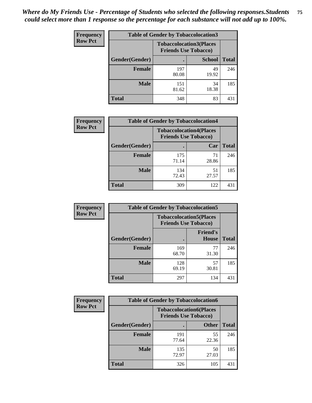| <b>Frequency</b> | <b>Table of Gender by Tobaccolocation3</b> |                             |                                |              |  |
|------------------|--------------------------------------------|-----------------------------|--------------------------------|--------------|--|
| <b>Row Pct</b>   |                                            | <b>Friends Use Tobacco)</b> | <b>Tobaccolocation3(Places</b> |              |  |
|                  | Gender(Gender)                             |                             | <b>School</b>                  | <b>Total</b> |  |
|                  | <b>Female</b>                              | 197<br>80.08                | 49<br>19.92                    | 246          |  |
|                  | <b>Male</b>                                | 151<br>81.62                | 34<br>18.38                    | 185          |  |
|                  | <b>Total</b>                               | 348                         | 83                             | 431          |  |

| <b>Frequency</b> | <b>Table of Gender by Tobaccolocation4</b> |                                                               |             |              |
|------------------|--------------------------------------------|---------------------------------------------------------------|-------------|--------------|
| <b>Row Pct</b>   |                                            | <b>Tobaccolocation4(Places</b><br><b>Friends Use Tobacco)</b> |             |              |
|                  | Gender(Gender)                             |                                                               | Car         | <b>Total</b> |
|                  | Female                                     | 175<br>71.14                                                  | 71<br>28.86 | 246          |
|                  | <b>Male</b>                                | 134<br>72.43                                                  | 51<br>27.57 | 185          |
|                  | <b>Total</b>                               | 309                                                           | 122         | 431          |

| <b>Frequency</b> | <b>Table of Gender by Tobaccolocation5</b> |                                                               |                          |              |
|------------------|--------------------------------------------|---------------------------------------------------------------|--------------------------|--------------|
| <b>Row Pct</b>   |                                            | <b>Tobaccolocation5(Places</b><br><b>Friends Use Tobacco)</b> |                          |              |
|                  | Gender(Gender)                             |                                                               | <b>Friend's</b><br>House | <b>Total</b> |
|                  | <b>Female</b>                              | 169<br>68.70                                                  | 77<br>31.30              | 246          |
|                  | <b>Male</b>                                | 128<br>69.19                                                  | 57<br>30.81              | 185          |
|                  | <b>Total</b>                               | 297                                                           | 134                      | 431          |

| <b>Frequency</b> | <b>Table of Gender by Tobaccolocation6</b> |                                                               |              |              |
|------------------|--------------------------------------------|---------------------------------------------------------------|--------------|--------------|
| <b>Row Pct</b>   |                                            | <b>Tobaccolocation6(Places</b><br><b>Friends Use Tobacco)</b> |              |              |
|                  | Gender(Gender)                             |                                                               | <b>Other</b> | <b>Total</b> |
|                  | Female                                     | 191<br>77.64                                                  | 55<br>22.36  | 246          |
|                  | <b>Male</b>                                | 135<br>72.97                                                  | 50<br>27.03  | 185          |
|                  | <b>Total</b>                               | 326                                                           | 105          | 431          |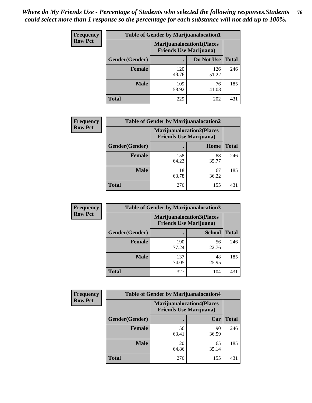| <b>Frequency</b> | <b>Table of Gender by Marijuanalocation1</b> |                                                                    |              |              |
|------------------|----------------------------------------------|--------------------------------------------------------------------|--------------|--------------|
| <b>Row Pct</b>   |                                              | <b>Marijuanalocation1(Places</b><br><b>Friends Use Marijuana</b> ) |              |              |
|                  | Gender(Gender)                               |                                                                    | Do Not Use   | <b>Total</b> |
|                  | <b>Female</b>                                | 120<br>48.78                                                       | 126<br>51.22 | 246          |
|                  | <b>Male</b>                                  | 109<br>58.92                                                       | 76<br>41.08  | 185          |
|                  | <b>Total</b>                                 | 229                                                                | 202          | 431          |

| <b>Frequency</b> | <b>Table of Gender by Marijuanalocation2</b> |                                                                    |             |              |
|------------------|----------------------------------------------|--------------------------------------------------------------------|-------------|--------------|
| <b>Row Pct</b>   |                                              | <b>Marijuanalocation2(Places</b><br><b>Friends Use Marijuana</b> ) |             |              |
|                  | Gender(Gender)                               |                                                                    | Home        | <b>Total</b> |
|                  | Female                                       | 158<br>64.23                                                       | 88<br>35.77 | 246          |
|                  | <b>Male</b>                                  | 118<br>63.78                                                       | 67<br>36.22 | 185          |
|                  | <b>Total</b>                                 | 276                                                                | 155         | 431          |

| Frequency      | <b>Table of Gender by Marijuanalocation3</b> |                                                                    |               |              |
|----------------|----------------------------------------------|--------------------------------------------------------------------|---------------|--------------|
| <b>Row Pct</b> |                                              | <b>Marijuanalocation3(Places</b><br><b>Friends Use Marijuana</b> ) |               |              |
|                | Gender(Gender)                               |                                                                    | <b>School</b> | <b>Total</b> |
|                | Female                                       | 190<br>77.24                                                       | 56<br>22.76   | 246          |
|                | <b>Male</b>                                  | 137<br>74.05                                                       | 48<br>25.95   | 185          |
|                | <b>Total</b>                                 | 327                                                                | 104           | 431          |

| <b>Frequency</b> | <b>Table of Gender by Marijuanalocation4</b> |                                                                    |             |              |
|------------------|----------------------------------------------|--------------------------------------------------------------------|-------------|--------------|
| <b>Row Pct</b>   |                                              | <b>Marijuanalocation4(Places</b><br><b>Friends Use Marijuana</b> ) |             |              |
|                  | Gender(Gender)                               |                                                                    | Car         | <b>Total</b> |
|                  | <b>Female</b>                                | 156<br>63.41                                                       | 90<br>36.59 | 246          |
|                  | <b>Male</b>                                  | 120<br>64.86                                                       | 65<br>35.14 | 185          |
|                  | <b>Total</b>                                 | 276                                                                | 155         | 431          |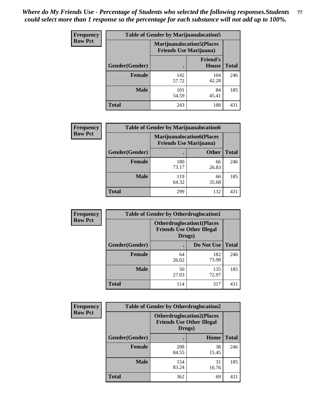| <b>Frequency</b> | <b>Table of Gender by Marijuanalocation5</b> |                                                                    |                          |              |
|------------------|----------------------------------------------|--------------------------------------------------------------------|--------------------------|--------------|
| <b>Row Pct</b>   |                                              | <b>Marijuanalocation5(Places</b><br><b>Friends Use Marijuana</b> ) |                          |              |
|                  | Gender(Gender)                               |                                                                    | <b>Friend's</b><br>House | <b>Total</b> |
|                  | <b>Female</b>                                | 142<br>57.72                                                       | 104<br>42.28             | 246          |
|                  | <b>Male</b>                                  | 101<br>54.59                                                       | 84<br>45.41              | 185          |
|                  | <b>Total</b>                                 | 243                                                                | 188                      | 431          |

| <b>Frequency</b> | <b>Table of Gender by Marijuanalocation6</b> |                                                                     |              |              |
|------------------|----------------------------------------------|---------------------------------------------------------------------|--------------|--------------|
| <b>Row Pct</b>   |                                              | <b>Marijuanalocation6(Places)</b><br><b>Friends Use Marijuana</b> ) |              |              |
|                  | Gender(Gender)                               |                                                                     | <b>Other</b> | <b>Total</b> |
|                  | <b>Female</b>                                | 180<br>73.17                                                        | 66<br>26.83  | 246          |
|                  | <b>Male</b>                                  | 119<br>64.32                                                        | 66<br>35.68  | 185          |
|                  | <b>Total</b>                                 | 299                                                                 | 132          | 431          |

| <b>Frequency</b> | <b>Table of Gender by Otherdruglocation1</b> |                                                                                |              |              |
|------------------|----------------------------------------------|--------------------------------------------------------------------------------|--------------|--------------|
| <b>Row Pct</b>   |                                              | <b>Otherdruglocation1(Places</b><br><b>Friends Use Other Illegal</b><br>Drugs) |              |              |
|                  | Gender(Gender)                               |                                                                                | Do Not Use   | <b>Total</b> |
|                  | Female                                       | 64<br>26.02                                                                    | 182<br>73.98 | 246          |
|                  | <b>Male</b>                                  | 50<br>27.03                                                                    | 135<br>72.97 | 185          |
|                  | <b>Total</b>                                 | 114                                                                            | 317          | 431          |

| <b>Frequency</b> | <b>Table of Gender by Otherdruglocation2</b> |                                            |                                  |              |
|------------------|----------------------------------------------|--------------------------------------------|----------------------------------|--------------|
| <b>Row Pct</b>   |                                              | <b>Friends Use Other Illegal</b><br>Drugs) | <b>Otherdruglocation2(Places</b> |              |
|                  | Gender(Gender)                               |                                            | Home                             | <b>Total</b> |
|                  | Female                                       | 208<br>84.55                               | 38<br>15.45                      | 246          |
|                  | <b>Male</b>                                  | 154<br>83.24                               | 31<br>16.76                      | 185          |
|                  | <b>Total</b>                                 | 362                                        | 69                               | 431          |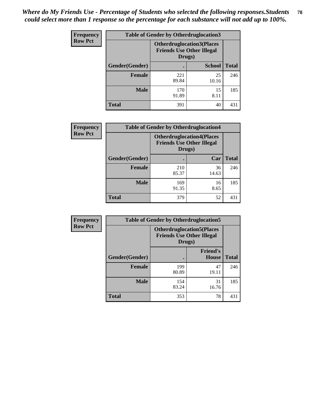| Frequency      | <b>Table of Gender by Otherdruglocation3</b> |              |                                                                                |              |
|----------------|----------------------------------------------|--------------|--------------------------------------------------------------------------------|--------------|
| <b>Row Pct</b> |                                              |              | <b>Otherdruglocation3(Places</b><br><b>Friends Use Other Illegal</b><br>Drugs) |              |
|                | Gender(Gender)                               |              | <b>School</b>                                                                  | <b>Total</b> |
|                | <b>Female</b>                                | 221<br>89.84 | 25<br>10.16                                                                    | 246          |
|                | <b>Male</b>                                  | 170<br>91.89 | 15<br>8.11                                                                     | 185          |
|                | <b>Total</b>                                 | 391          | 40                                                                             | 431          |

| <b>Frequency</b> | <b>Table of Gender by Otherdruglocation4</b> |                                                                                |             |              |
|------------------|----------------------------------------------|--------------------------------------------------------------------------------|-------------|--------------|
| <b>Row Pct</b>   |                                              | <b>Otherdruglocation4(Places</b><br><b>Friends Use Other Illegal</b><br>Drugs) |             |              |
|                  | Gender(Gender)                               |                                                                                | Car         | <b>Total</b> |
|                  | Female                                       | 210<br>85.37                                                                   | 36<br>14.63 | 246          |
|                  | <b>Male</b>                                  | 169<br>91.35                                                                   | 16<br>8.65  | 185          |
|                  | <b>Total</b>                                 | 379                                                                            | 52          | 431          |

| Frequency      | <b>Table of Gender by Otherdruglocation5</b> |                                                                                |                                 |              |
|----------------|----------------------------------------------|--------------------------------------------------------------------------------|---------------------------------|--------------|
| <b>Row Pct</b> |                                              | <b>Otherdruglocation5(Places</b><br><b>Friends Use Other Illegal</b><br>Drugs) |                                 |              |
|                | Gender(Gender)                               |                                                                                | <b>Friend's</b><br><b>House</b> | <b>Total</b> |
|                | <b>Female</b>                                | 199<br>80.89                                                                   | 47<br>19.11                     | 246          |
|                | <b>Male</b>                                  | 154<br>83.24                                                                   | 31<br>16.76                     | 185          |
|                | <b>Total</b>                                 | 353                                                                            | 78                              | 431          |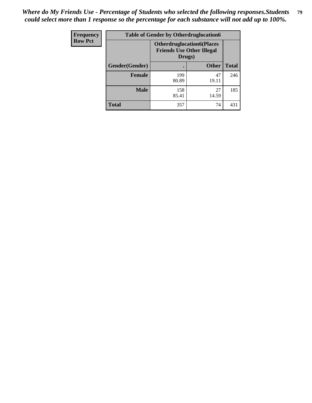| <b>Frequency</b> | <b>Table of Gender by Otherdruglocation6</b> |                                                                                |              |              |
|------------------|----------------------------------------------|--------------------------------------------------------------------------------|--------------|--------------|
| <b>Row Pct</b>   |                                              | <b>Otherdruglocation6(Places</b><br><b>Friends Use Other Illegal</b><br>Drugs) |              |              |
|                  | Gender(Gender)                               |                                                                                | <b>Other</b> | <b>Total</b> |
|                  | <b>Female</b>                                | 199<br>80.89                                                                   | 47<br>19.11  | 246          |
|                  | <b>Male</b>                                  | 158<br>85.41                                                                   | 27<br>14.59  | 185          |
|                  | <b>Total</b>                                 | 357                                                                            | 74           | 431          |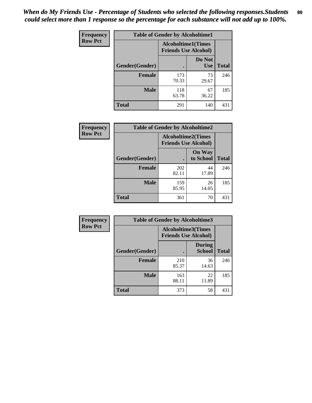| <b>Frequency</b> | <b>Table of Gender by Alcoholtime1</b> |                                                          |                      |              |
|------------------|----------------------------------------|----------------------------------------------------------|----------------------|--------------|
| <b>Row Pct</b>   |                                        | <b>Alcoholtime1(Times</b><br><b>Friends Use Alcohol)</b> |                      |              |
|                  | Gender(Gender)                         | $\bullet$                                                | Do Not<br><b>Use</b> | <b>Total</b> |
|                  | <b>Female</b>                          | 173<br>70.33                                             | 73<br>29.67          | 246          |
|                  | <b>Male</b>                            | 118<br>63.78                                             | 67<br>36.22          | 185          |
|                  | <b>Total</b>                           | 291                                                      | 140                  | 431          |

| Frequency      | <b>Table of Gender by Alcoholtime2</b> |                                                          |                            |              |
|----------------|----------------------------------------|----------------------------------------------------------|----------------------------|--------------|
| <b>Row Pct</b> |                                        | <b>Alcoholtime2(Times</b><br><b>Friends Use Alcohol)</b> |                            |              |
|                | Gender(Gender)                         |                                                          | <b>On Way</b><br>to School | <b>Total</b> |
|                | <b>Female</b>                          | 202<br>82.11                                             | 44<br>17.89                | 246          |
|                | <b>Male</b>                            | 159<br>85.95                                             | 26<br>14.05                | 185          |
|                | <b>Total</b>                           | 361                                                      | 70                         | 431          |

| Frequency      | <b>Table of Gender by Alcoholtime3</b> |                                                          |                         |              |
|----------------|----------------------------------------|----------------------------------------------------------|-------------------------|--------------|
| <b>Row Pct</b> |                                        | <b>Alcoholtime3(Times</b><br><b>Friends Use Alcohol)</b> |                         |              |
|                | Gender(Gender)                         |                                                          | During<br><b>School</b> | <b>Total</b> |
|                | Female                                 | 210<br>85.37                                             | 36<br>14.63             | 246          |
|                | <b>Male</b>                            | 163<br>88.11                                             | 22<br>11.89             | 185          |
|                | <b>Total</b>                           | 373                                                      | 58                      | 431          |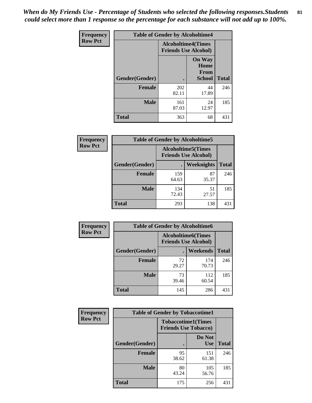*When do My Friends Use - Percentage of Students who selected the following responses.Students could select more than 1 response so the percentage for each substance will not add up to 100%.* **81**

| <b>Frequency</b> | <b>Table of Gender by Alcoholtime4</b> |                                                          |                                                |              |  |
|------------------|----------------------------------------|----------------------------------------------------------|------------------------------------------------|--------------|--|
| <b>Row Pct</b>   |                                        | <b>Alcoholtime4(Times</b><br><b>Friends Use Alcohol)</b> |                                                |              |  |
|                  | Gender(Gender)                         |                                                          | <b>On Way</b><br>Home<br>From<br><b>School</b> | <b>Total</b> |  |
|                  | <b>Female</b>                          | 202<br>82.11                                             | 44<br>17.89                                    | 246          |  |
|                  | <b>Male</b>                            | 161<br>87.03                                             | 24<br>12.97                                    | 185          |  |
|                  | <b>Total</b>                           | 363                                                      | 68                                             | 431          |  |

| <b>Frequency</b> | <b>Table of Gender by Alcoholtime5</b> |                                                          |             |              |
|------------------|----------------------------------------|----------------------------------------------------------|-------------|--------------|
| <b>Row Pct</b>   |                                        | <b>Alcoholtime5(Times</b><br><b>Friends Use Alcohol)</b> |             |              |
|                  | Gender(Gender)                         |                                                          | Weeknights  | <b>Total</b> |
|                  | <b>Female</b>                          | 159<br>64.63                                             | 87<br>35.37 | 246          |
|                  | <b>Male</b>                            | 134<br>72.43                                             | 51<br>27.57 | 185          |
|                  | <b>Total</b>                           | 293                                                      | 138         | 431          |

| <b>Frequency</b> |                | <b>Table of Gender by Alcoholtime6</b> |                                                           |              |
|------------------|----------------|----------------------------------------|-----------------------------------------------------------|--------------|
| <b>Row Pct</b>   |                |                                        | <b>Alcoholtime6</b> (Times<br><b>Friends Use Alcohol)</b> |              |
|                  | Gender(Gender) |                                        | Weekends                                                  | <b>Total</b> |
|                  | Female         | 72<br>29.27                            | 174<br>70.73                                              | 246          |
|                  | <b>Male</b>    | 73<br>39.46                            | 112<br>60.54                                              | 185          |
|                  | <b>Total</b>   | 145                                    | 286                                                       | 431          |

| <b>Frequency</b> | <b>Table of Gender by Tobaccotime1</b> |                                                          |                      |              |
|------------------|----------------------------------------|----------------------------------------------------------|----------------------|--------------|
| <b>Row Pct</b>   |                                        | <b>Tobaccotime1(Times</b><br><b>Friends Use Tobacco)</b> |                      |              |
|                  | Gender(Gender)                         |                                                          | Do Not<br><b>Use</b> | <b>Total</b> |
|                  | <b>Female</b>                          | 95<br>38.62                                              | 151<br>61.38         | 246          |
|                  | <b>Male</b>                            | 80<br>43.24                                              | 105<br>56.76         | 185          |
|                  | <b>Total</b>                           | 175                                                      | 256                  | 431          |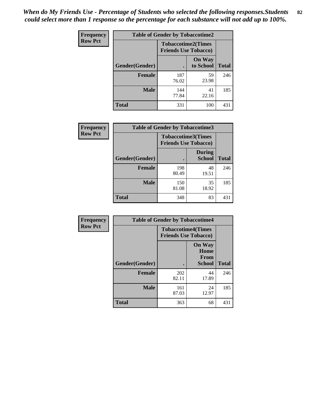| <b>Frequency</b> | <b>Table of Gender by Tobaccotime2</b> |                                                          |                            |              |
|------------------|----------------------------------------|----------------------------------------------------------|----------------------------|--------------|
| <b>Row Pct</b>   |                                        | <b>Tobaccotime2(Times</b><br><b>Friends Use Tobacco)</b> |                            |              |
|                  | <b>Gender</b> (Gender)                 |                                                          | <b>On Way</b><br>to School | <b>Total</b> |
|                  | <b>Female</b>                          | 187<br>76.02                                             | 59<br>23.98                | 246          |
|                  | <b>Male</b>                            | 144<br>77.84                                             | 41<br>22.16                | 185          |
|                  | <b>Total</b>                           | 331                                                      | 100                        | 431          |

| Frequency      | <b>Table of Gender by Tobaccotime3</b> |                                                          |                                |              |
|----------------|----------------------------------------|----------------------------------------------------------|--------------------------------|--------------|
| <b>Row Pct</b> |                                        | <b>Tobaccotime3(Times</b><br><b>Friends Use Tobacco)</b> |                                |              |
|                | Gender(Gender)                         |                                                          | <b>During</b><br><b>School</b> | <b>Total</b> |
|                | <b>Female</b>                          | 198<br>80.49                                             | 48<br>19.51                    | 246          |
|                | <b>Male</b>                            | 150<br>81.08                                             | 35<br>18.92                    | 185          |
|                | <b>Total</b>                           | 348                                                      | 83                             | 431          |

| Frequency      | <b>Table of Gender by Tobaccotime4</b> |                                                          |                                                       |              |
|----------------|----------------------------------------|----------------------------------------------------------|-------------------------------------------------------|--------------|
| <b>Row Pct</b> |                                        | <b>Tobaccotime4(Times</b><br><b>Friends Use Tobacco)</b> |                                                       |              |
|                | Gender(Gender)                         |                                                          | <b>On Way</b><br>Home<br><b>From</b><br><b>School</b> | <b>Total</b> |
|                | <b>Female</b>                          | 202<br>82.11                                             | 44<br>17.89                                           | 246          |
|                | <b>Male</b>                            | 161<br>87.03                                             | 24<br>12.97                                           | 185          |
|                | <b>Total</b>                           | 363                                                      | 68                                                    | 431          |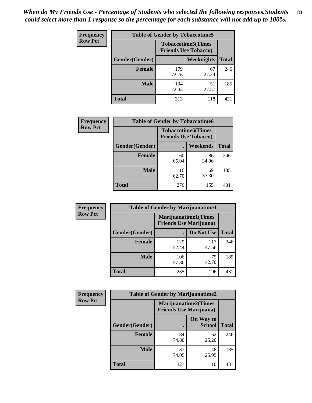| Frequency      | <b>Table of Gender by Tobaccotime5</b> |              |                                                          |              |  |
|----------------|----------------------------------------|--------------|----------------------------------------------------------|--------------|--|
| <b>Row Pct</b> |                                        |              | <b>Tobaccotime5(Times</b><br><b>Friends Use Tobacco)</b> |              |  |
|                | Gender(Gender)                         |              | Weeknights                                               | <b>Total</b> |  |
|                | <b>Female</b>                          | 179<br>72.76 | 67<br>27.24                                              | 246          |  |
|                | <b>Male</b>                            | 134<br>72.43 | 51<br>27.57                                              | 185          |  |
|                | <b>Total</b>                           | 313          | 118                                                      | 431          |  |

| <b>Frequency</b> | <b>Table of Gender by Tobaccotime6</b> |                             |                           |              |
|------------------|----------------------------------------|-----------------------------|---------------------------|--------------|
| <b>Row Pct</b>   |                                        | <b>Friends Use Tobacco)</b> | <b>Tobaccotime6(Times</b> |              |
|                  | Gender(Gender)                         |                             | <b>Weekends</b>           | <b>Total</b> |
|                  | <b>Female</b>                          | 160<br>65.04                | 86<br>34.96               | 246          |
|                  | <b>Male</b>                            | 116<br>62.70                | 69<br>37.30               | 185          |
|                  | <b>Total</b>                           | 276                         | 155                       | 431          |

| <b>Frequency</b> | <b>Table of Gender by Marijuanatime1</b> |                                |                             |              |
|------------------|------------------------------------------|--------------------------------|-----------------------------|--------------|
| <b>Row Pct</b>   |                                          | <b>Friends Use Marijuana</b> ) | <b>Marijuanatime1(Times</b> |              |
|                  | Gender(Gender)                           |                                | Do Not Use                  | <b>Total</b> |
|                  | <b>Female</b>                            | 129<br>52.44                   | 117<br>47.56                | 246          |
|                  | <b>Male</b>                              | 106<br>57.30                   | 79<br>42.70                 | 185          |
|                  | <b>Total</b>                             | 235                            | 196                         | 431          |

| <b>Frequency</b> | <b>Table of Gender by Marijuanatime2</b> |                                                        |                            |              |
|------------------|------------------------------------------|--------------------------------------------------------|----------------------------|--------------|
| <b>Row Pct</b>   |                                          | Marijuanatime2(Times<br><b>Friends Use Marijuana</b> ) |                            |              |
|                  | Gender(Gender)                           |                                                        | On Way to<br><b>School</b> | <b>Total</b> |
|                  | <b>Female</b>                            | 184<br>74.80                                           | 62<br>25.20                | 246          |
|                  | <b>Male</b>                              | 137<br>74.05                                           | 48<br>25.95                | 185          |
|                  | <b>Total</b>                             | 321                                                    | 110                        | 431          |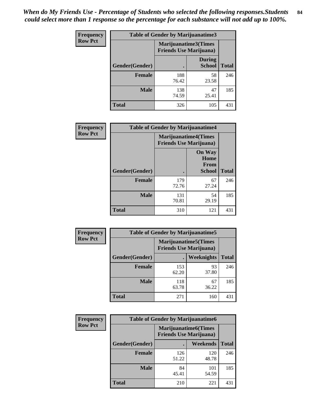*When do My Friends Use - Percentage of Students who selected the following responses.Students could select more than 1 response so the percentage for each substance will not add up to 100%.* **84**

| <b>Frequency</b> | Table of Gender by Marijuanatime3 |                                                        |                                |              |
|------------------|-----------------------------------|--------------------------------------------------------|--------------------------------|--------------|
| <b>Row Pct</b>   |                                   | Marijuanatime3(Times<br><b>Friends Use Marijuana</b> ) |                                |              |
|                  | Gender(Gender)                    | $\bullet$                                              | <b>During</b><br><b>School</b> | <b>Total</b> |
|                  | <b>Female</b>                     | 188<br>76.42                                           | 58<br>23.58                    | 246          |
|                  | <b>Male</b>                       | 138<br>74.59                                           | 47<br>25.41                    | 185          |
|                  | <b>Total</b>                      | 326                                                    | 105                            | 431          |

| Frequency      | <b>Table of Gender by Marijuanatime4</b> |                                |                                                       |              |
|----------------|------------------------------------------|--------------------------------|-------------------------------------------------------|--------------|
| <b>Row Pct</b> |                                          | <b>Friends Use Marijuana</b> ) | <b>Marijuanatime4</b> (Times                          |              |
|                | Gender(Gender)                           |                                | <b>On Way</b><br>Home<br><b>From</b><br><b>School</b> | <b>Total</b> |
|                | <b>Female</b>                            | 179<br>72.76                   | 67<br>27.24                                           | 246          |
|                | <b>Male</b>                              | 131<br>70.81                   | 54<br>29.19                                           | 185          |
|                | <b>Total</b>                             | 310                            | 121                                                   | 431          |

| Frequency      |                | <b>Table of Gender by Marijuanatime5</b>                       |             |              |
|----------------|----------------|----------------------------------------------------------------|-------------|--------------|
| <b>Row Pct</b> |                | <b>Marijuanatime5</b> (Times<br><b>Friends Use Marijuana</b> ) |             |              |
|                | Gender(Gender) | ٠                                                              | Weeknights  | <b>Total</b> |
|                | <b>Female</b>  | 153<br>62.20                                                   | 93<br>37.80 | 246          |
|                | <b>Male</b>    | 118<br>63.78                                                   | 67<br>36.22 | 185          |
|                | <b>Total</b>   | 271                                                            | 160         | 431          |

| Frequency      | <b>Table of Gender by Marijuanatime6</b> |                                                               |                 |              |
|----------------|------------------------------------------|---------------------------------------------------------------|-----------------|--------------|
| <b>Row Pct</b> |                                          | <b>Marijuanatime6(Times</b><br><b>Friends Use Marijuana</b> ) |                 |              |
|                | Gender(Gender)                           |                                                               | <b>Weekends</b> | <b>Total</b> |
|                | <b>Female</b>                            | 126<br>51.22                                                  | 120<br>48.78    | 246          |
|                | <b>Male</b>                              | 84<br>45.41                                                   | 101<br>54.59    | 185          |
|                | <b>Total</b>                             | 210                                                           | 221             | 431          |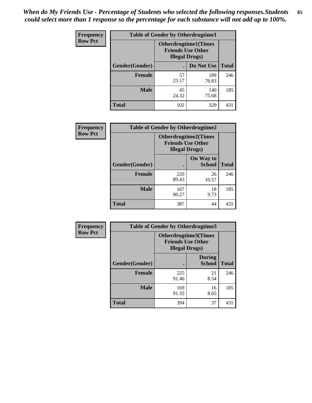*When do My Friends Use - Percentage of Students who selected the following responses.Students could select more than 1 response so the percentage for each substance will not add up to 100%.* **85**

| <b>Frequency</b> | <b>Table of Gender by Otherdrugtime1</b> |                                                                                    |              |              |
|------------------|------------------------------------------|------------------------------------------------------------------------------------|--------------|--------------|
| <b>Row Pct</b>   |                                          | <b>Otherdrugtime1</b> (Times<br><b>Friends Use Other</b><br><b>Illegal Drugs</b> ) |              |              |
|                  | Gender(Gender)                           |                                                                                    | Do Not Use   | <b>Total</b> |
|                  | Female                                   | 57<br>23.17                                                                        | 189<br>76.83 | 246          |
|                  | <b>Male</b>                              | 45<br>24.32                                                                        | 140<br>75.68 | 185          |
|                  | <b>Total</b>                             | 102                                                                                | 329          | 431          |

| Frequency      | <b>Table of Gender by Otherdrugtime2</b> |                                                                                   |                            |              |
|----------------|------------------------------------------|-----------------------------------------------------------------------------------|----------------------------|--------------|
| <b>Row Pct</b> |                                          | <b>Otherdrugtime2(Times</b><br><b>Friends Use Other</b><br><b>Illegal Drugs</b> ) |                            |              |
|                | <b>Gender</b> (Gender)                   |                                                                                   | On Way to<br><b>School</b> | <b>Total</b> |
|                | <b>Female</b>                            | 220<br>89.43                                                                      | 26<br>10.57                | 246          |
|                | <b>Male</b>                              | 167<br>90.27                                                                      | 18<br>9.73                 | 185          |
|                | <b>Total</b>                             | 387                                                                               | 44                         | 431          |

| Frequency      | <b>Table of Gender by Otherdrugtime3</b> |                        |                                                         |              |
|----------------|------------------------------------------|------------------------|---------------------------------------------------------|--------------|
| <b>Row Pct</b> |                                          | <b>Illegal Drugs</b> ) | <b>Otherdrugtime3(Times</b><br><b>Friends Use Other</b> |              |
|                | Gender(Gender)                           |                        | <b>During</b><br><b>School</b>                          | <b>Total</b> |
|                | <b>Female</b>                            | 225<br>91.46           | 21<br>8.54                                              | 246          |
|                | <b>Male</b>                              | 169<br>91.35           | 16<br>8.65                                              | 185          |
|                | <b>Total</b>                             | 394                    | 37                                                      | 431          |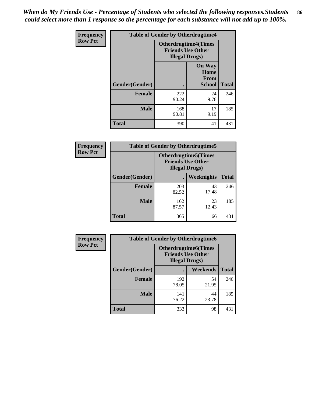*When do My Friends Use - Percentage of Students who selected the following responses.Students could select more than 1 response so the percentage for each substance will not add up to 100%.* **86**

| <b>Frequency</b> | <b>Table of Gender by Otherdrugtime4</b> |                                                    |                                         |              |
|------------------|------------------------------------------|----------------------------------------------------|-----------------------------------------|--------------|
| <b>Row Pct</b>   |                                          | <b>Friends Use Other</b><br><b>Illegal Drugs</b> ) | <b>Otherdrugtime4(Times</b>             |              |
|                  | Gender(Gender)                           |                                                    | <b>On Way</b><br>Home<br>From<br>School | <b>Total</b> |
|                  | <b>Female</b>                            | 222<br>90.24                                       | 24<br>9.76                              | 246          |
|                  | <b>Male</b>                              | 168<br>90.81                                       | 17<br>9.19                              | 185          |
|                  | <b>Total</b>                             | 390                                                | 41                                      | 431          |

| Frequency      | <b>Table of Gender by Otherdrugtime5</b> |                                                                                    |             |              |
|----------------|------------------------------------------|------------------------------------------------------------------------------------|-------------|--------------|
| <b>Row Pct</b> |                                          | <b>Otherdrugtime5</b> (Times<br><b>Friends Use Other</b><br><b>Illegal Drugs</b> ) |             |              |
|                | Gender(Gender)                           |                                                                                    | Weeknights  | <b>Total</b> |
|                | <b>Female</b>                            | 203<br>82.52                                                                       | 43<br>17.48 | 246          |
|                | <b>Male</b>                              | 162<br>87.57                                                                       | 23<br>12.43 | 185          |
|                | <b>Total</b>                             | 365                                                                                | 66          | 431          |

| <b>Frequency</b> | <b>Table of Gender by Otherdrugtime6</b> |                                                                                   |             |              |
|------------------|------------------------------------------|-----------------------------------------------------------------------------------|-------------|--------------|
| <b>Row Pct</b>   |                                          | <b>Otherdrugtime6(Times</b><br><b>Friends Use Other</b><br><b>Illegal Drugs</b> ) |             |              |
|                  | Gender(Gender)                           |                                                                                   | Weekends    | <b>Total</b> |
|                  | <b>Female</b>                            | 192<br>78.05                                                                      | 54<br>21.95 | 246          |
|                  | <b>Male</b>                              | 141<br>76.22                                                                      | 44<br>23.78 | 185          |
|                  | <b>Total</b>                             | 333                                                                               | 98          | 431          |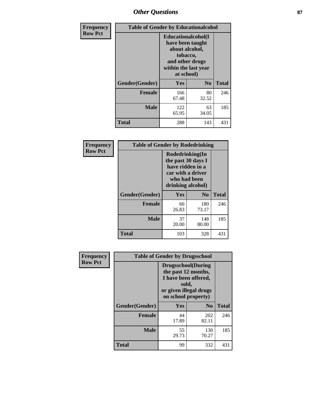## *Other Questions* **87**

| <b>Frequency</b> | <b>Table of Gender by Educationalcohol</b> |                                                                                                                               |                |              |
|------------------|--------------------------------------------|-------------------------------------------------------------------------------------------------------------------------------|----------------|--------------|
| <b>Row Pct</b>   |                                            | Educationalcohol(I<br>have been taught<br>about alcohol,<br>tobacco,<br>and other drugs<br>within the last year<br>at school) |                |              |
|                  | Gender(Gender)                             | <b>Yes</b>                                                                                                                    | N <sub>0</sub> | <b>Total</b> |
|                  | <b>Female</b>                              | 166<br>67.48                                                                                                                  | 80<br>32.52    | 246          |
|                  | <b>Male</b>                                | 122<br>65.95                                                                                                                  | 63<br>34.05    | 185          |
|                  | <b>Total</b>                               | 288                                                                                                                           | 143            | 431          |

| Frequency      | <b>Table of Gender by Rodedrinking</b> |                                                                                                                     |                |              |  |
|----------------|----------------------------------------|---------------------------------------------------------------------------------------------------------------------|----------------|--------------|--|
| <b>Row Pct</b> |                                        | Rodedrinking(In<br>the past 30 days I<br>have ridden in a<br>car with a driver<br>who had been<br>drinking alcohol) |                |              |  |
|                | Gender(Gender)                         | Yes                                                                                                                 | N <sub>0</sub> | <b>Total</b> |  |
|                | <b>Female</b>                          | 66<br>26.83                                                                                                         | 180<br>73.17   | 246          |  |
|                | <b>Male</b>                            | 37<br>20.00                                                                                                         | 148<br>80.00   | 185          |  |
|                | <b>Total</b>                           | 103                                                                                                                 | 328            | 431          |  |

| Frequency      | <b>Table of Gender by Drugsschool</b> |                                                                                                                                     |                |              |  |
|----------------|---------------------------------------|-------------------------------------------------------------------------------------------------------------------------------------|----------------|--------------|--|
| <b>Row Pct</b> |                                       | <b>Drugsschool</b> (During<br>the past 12 months,<br>I have been offered,<br>sold,<br>or given illegal drugs<br>on school property) |                |              |  |
|                | Gender(Gender)                        | Yes                                                                                                                                 | N <sub>0</sub> | <b>Total</b> |  |
|                | <b>Female</b>                         | 44<br>17.89                                                                                                                         | 202<br>82.11   | 246          |  |
|                | <b>Male</b>                           | 55<br>29.73                                                                                                                         | 130<br>70.27   | 185          |  |
|                | <b>Total</b>                          | 99                                                                                                                                  | 332            | 431          |  |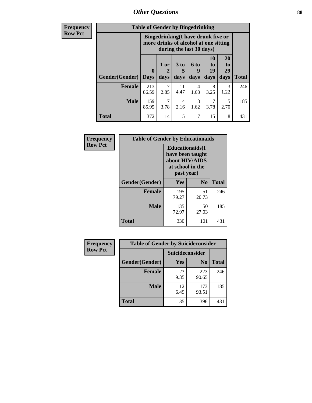*Other Questions* **88**

**Frequency Row Pct**

| <b>Table of Gender by Bingedrinking</b> |                                                                                                         |              |                   |                          |                        |                        |              |
|-----------------------------------------|---------------------------------------------------------------------------------------------------------|--------------|-------------------|--------------------------|------------------------|------------------------|--------------|
|                                         | Bingedrinking(I have drunk five or<br>more drinks of alcohol at one sitting<br>during the last 30 days) |              |                   |                          |                        |                        |              |
| <b>Gender</b> (Gender)                  | $\mathbf{0}$<br><b>Days</b>                                                                             | 1 or<br>days | 3 to<br>5<br>days | <b>6 to</b><br>9<br>days | 10<br>to<br>19<br>days | 20<br>to<br>29<br>days | <b>Total</b> |
|                                         |                                                                                                         |              |                   |                          |                        |                        |              |
| <b>Female</b>                           | 213<br>86.59                                                                                            | 7<br>2.85    | 11<br>4.47        | 4<br>1.63                | 8<br>3.25              | 3<br>1.22              | 246          |
| <b>Male</b>                             | 159<br>85.95                                                                                            | 7<br>3.78    | 4<br>2.16         | 3<br>1.62                | 3.78                   | 5<br>2.70              | 185          |

| Frequency      | <b>Table of Gender by Educationaids</b> |                                                                                                 |                |              |  |
|----------------|-----------------------------------------|-------------------------------------------------------------------------------------------------|----------------|--------------|--|
| <b>Row Pct</b> |                                         | <b>Educationaids</b> (I<br>have been taught<br>about HIV/AIDS<br>at school in the<br>past year) |                |              |  |
|                | Gender(Gender)                          | Yes                                                                                             | N <sub>0</sub> | <b>Total</b> |  |
|                | <b>Female</b>                           | 195<br>79.27                                                                                    | 51<br>20.73    | 246          |  |
|                | <b>Male</b>                             | 135<br>72.97                                                                                    | 50<br>27.03    | 185          |  |
|                | <b>Total</b>                            | 330                                                                                             | 101            | 431          |  |

| <b>Frequency</b> | <b>Table of Gender by Suicideconsider</b> |                 |                |              |
|------------------|-------------------------------------------|-----------------|----------------|--------------|
| <b>Row Pct</b>   |                                           | Suicideconsider |                |              |
|                  | Gender(Gender)                            | <b>Yes</b>      | N <sub>0</sub> | <b>Total</b> |
|                  | <b>Female</b>                             | 23<br>9.35      | 223<br>90.65   | 246          |
|                  | <b>Male</b>                               | 12<br>6.49      | 173<br>93.51   | 185          |
|                  | <b>Total</b>                              | 35              | 396            | 431          |